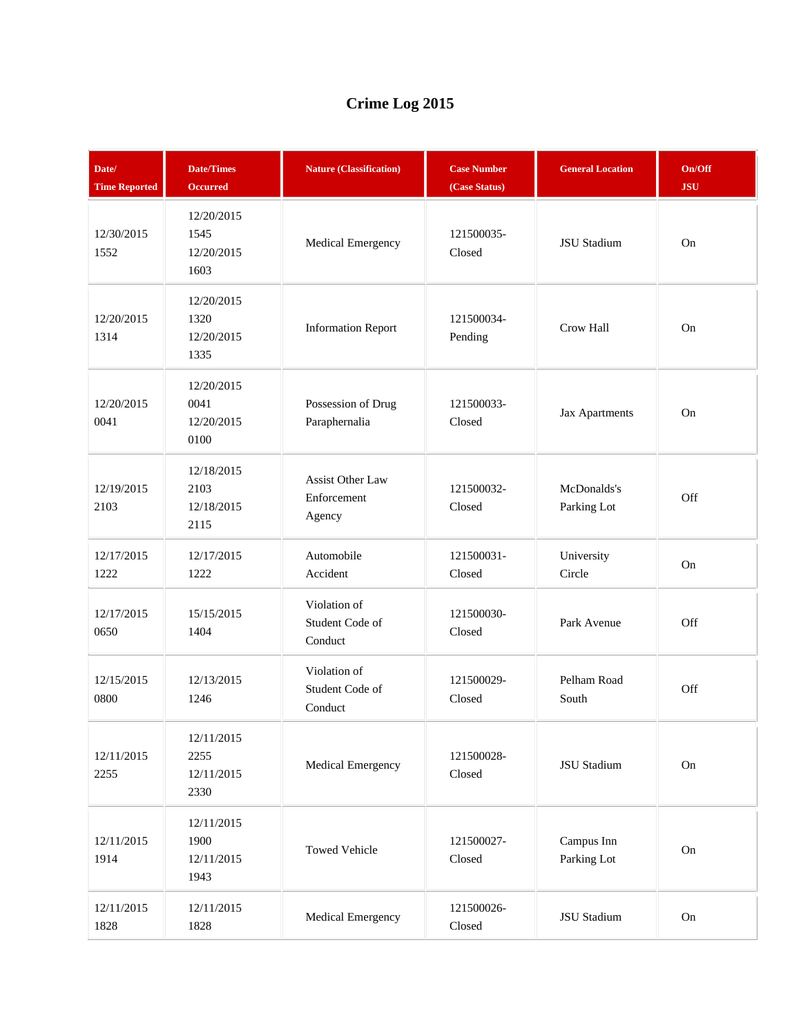## **Crime Log 2015**

| Date/<br><b>Time Reported</b> | <b>Date/Times</b><br><b>Occurred</b>     | <b>Nature (Classification)</b>                   | <b>Case Number</b><br>(Case Status) | <b>General Location</b>    | On/Off<br><b>JSU</b> |
|-------------------------------|------------------------------------------|--------------------------------------------------|-------------------------------------|----------------------------|----------------------|
| 12/30/2015<br>1552            | 12/20/2015<br>1545<br>12/20/2015<br>1603 | Medical Emergency                                | 121500035-<br>Closed                | JSU Stadium                | On                   |
| 12/20/2015<br>1314            | 12/20/2015<br>1320<br>12/20/2015<br>1335 | <b>Information Report</b>                        | 121500034-<br>Pending               | Crow Hall                  | On                   |
| 12/20/2015<br>0041            | 12/20/2015<br>0041<br>12/20/2015<br>0100 | Possession of Drug<br>Paraphernalia              | 121500033-<br>Closed                | Jax Apartments             | On                   |
| 12/19/2015<br>2103            | 12/18/2015<br>2103<br>12/18/2015<br>2115 | <b>Assist Other Law</b><br>Enforcement<br>Agency | 121500032-<br>Closed                | McDonalds's<br>Parking Lot | Off                  |
| 12/17/2015<br>1222            | 12/17/2015<br>1222                       | Automobile<br>Accident                           | 121500031-<br>Closed                | University<br>Circle       | On                   |
| 12/17/2015<br>0650            | 15/15/2015<br>1404                       | Violation of<br>Student Code of<br>Conduct       | 121500030-<br>Closed                | Park Avenue                | Off                  |
| 12/15/2015<br>0800            | 12/13/2015<br>1246                       | Violation of<br>Student Code of<br>Conduct       | 121500029-<br>Closed                | Pelham Road<br>South       | Off                  |
| 12/11/2015<br>2255            | 12/11/2015<br>2255<br>12/11/2015<br>2330 | Medical Emergency                                | 121500028-<br>Closed                | <b>JSU</b> Stadium         | On                   |
| 12/11/2015<br>1914            | 12/11/2015<br>1900<br>12/11/2015<br>1943 | <b>Towed Vehicle</b>                             | 121500027-<br>Closed                | Campus Inn<br>Parking Lot  | On                   |
| 12/11/2015<br>1828            | 12/11/2015<br>1828                       | Medical Emergency                                | 121500026-<br>Closed                | <b>JSU</b> Stadium         | On                   |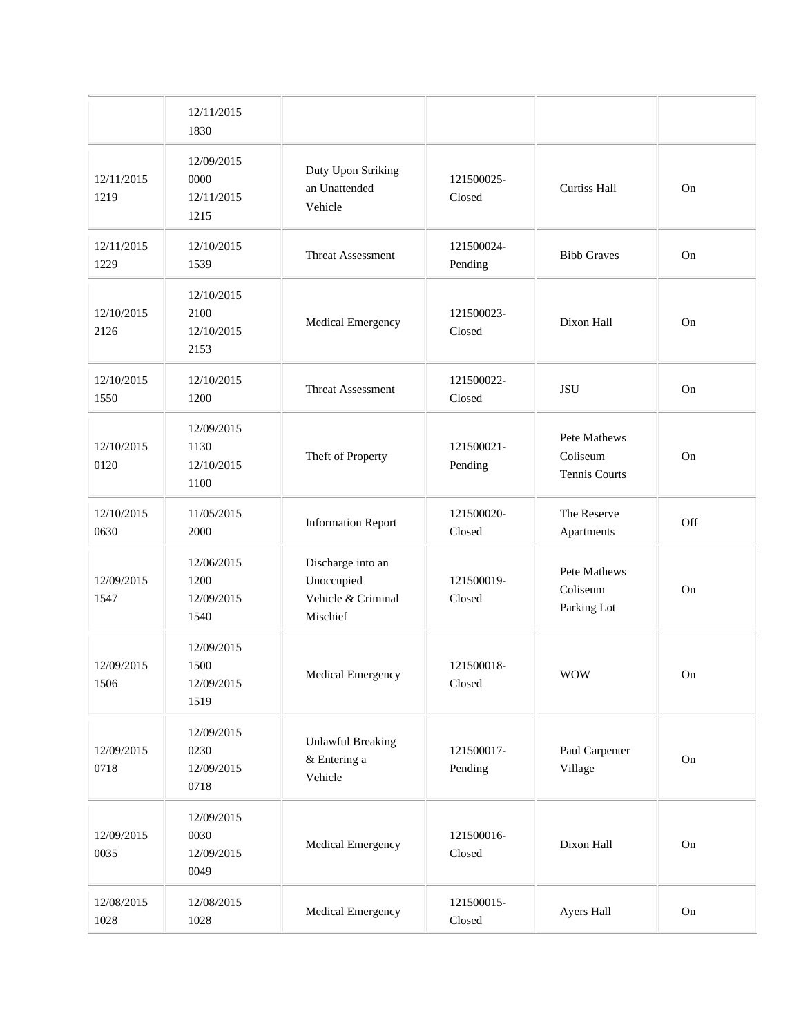|                    | 12/11/2015<br>1830                       |                                                                   |                       |                                           |     |
|--------------------|------------------------------------------|-------------------------------------------------------------------|-----------------------|-------------------------------------------|-----|
| 12/11/2015<br>1219 | 12/09/2015<br>0000<br>12/11/2015<br>1215 | Duty Upon Striking<br>an Unattended<br>Vehicle                    | 121500025-<br>Closed  | <b>Curtiss Hall</b>                       | On  |
| 12/11/2015<br>1229 | 12/10/2015<br>1539                       | <b>Threat Assessment</b>                                          | 121500024-<br>Pending | <b>Bibb Graves</b>                        | On  |
| 12/10/2015<br>2126 | 12/10/2015<br>2100<br>12/10/2015<br>2153 | Medical Emergency                                                 | 121500023-<br>Closed  | Dixon Hall                                | On  |
| 12/10/2015<br>1550 | 12/10/2015<br>1200                       | Threat Assessment                                                 | 121500022-<br>Closed  | <b>JSU</b>                                | On  |
| 12/10/2015<br>0120 | 12/09/2015<br>1130<br>12/10/2015<br>1100 | Theft of Property                                                 | 121500021-<br>Pending | Pete Mathews<br>Coliseum<br>Tennis Courts | On  |
| 12/10/2015<br>0630 | 11/05/2015<br>2000                       | <b>Information Report</b>                                         | 121500020-<br>Closed  | The Reserve<br>Apartments                 | Off |
| 12/09/2015<br>1547 | 12/06/2015<br>1200<br>12/09/2015<br>1540 | Discharge into an<br>Unoccupied<br>Vehicle & Criminal<br>Mischief | 121500019-<br>Closed  | Pete Mathews<br>Coliseum<br>Parking Lot   | On  |
| 12/09/2015<br>1506 | 12/09/2015<br>1500<br>12/09/2015<br>1519 | <b>Medical Emergency</b>                                          | 121500018-<br>Closed  | <b>WOW</b>                                | On  |
| 12/09/2015<br>0718 | 12/09/2015<br>0230<br>12/09/2015<br>0718 | <b>Unlawful Breaking</b><br>& Entering a<br>Vehicle               | 121500017-<br>Pending | Paul Carpenter<br>Village                 | On  |
| 12/09/2015<br>0035 | 12/09/2015<br>0030<br>12/09/2015<br>0049 | Medical Emergency                                                 | 121500016-<br>Closed  | Dixon Hall                                | On  |
| 12/08/2015<br>1028 | 12/08/2015<br>1028                       | Medical Emergency                                                 | 121500015-<br>Closed  | Ayers Hall                                | On  |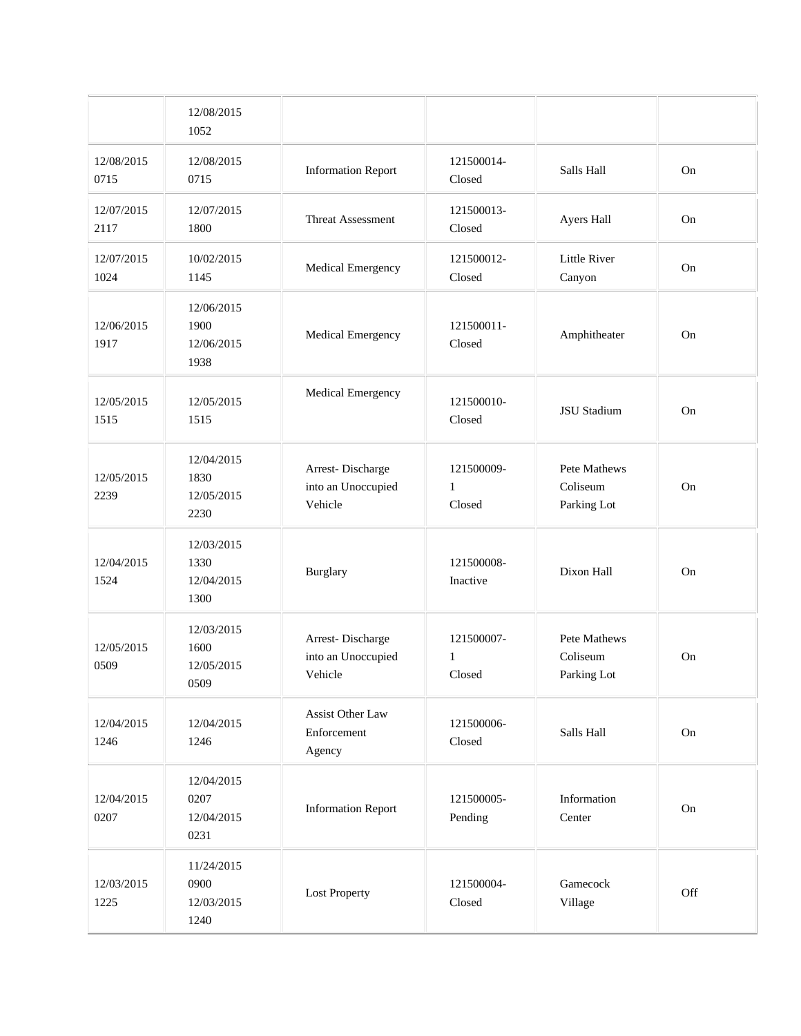|                    | 12/08/2015<br>1052                       |                                                   |                           |                                         |            |
|--------------------|------------------------------------------|---------------------------------------------------|---------------------------|-----------------------------------------|------------|
| 12/08/2015<br>0715 | 12/08/2015<br>0715                       | <b>Information Report</b>                         | 121500014-<br>Closed      | Salls Hall                              | On         |
| 12/07/2015<br>2117 | 12/07/2015<br>1800                       | Threat Assessment                                 | 121500013-<br>Closed      | Ayers Hall                              | On         |
| 12/07/2015<br>1024 | 10/02/2015<br>1145                       | Medical Emergency                                 | 121500012-<br>Closed      | Little River<br>Canyon                  | On         |
| 12/06/2015<br>1917 | 12/06/2015<br>1900<br>12/06/2015<br>1938 | Medical Emergency                                 | 121500011-<br>Closed      | Amphitheater                            | On         |
| 12/05/2015<br>1515 | 12/05/2015<br>1515                       | Medical Emergency                                 | 121500010-<br>Closed      | JSU Stadium                             | On         |
| 12/05/2015<br>2239 | 12/04/2015<br>1830<br>12/05/2015<br>2230 | Arrest-Discharge<br>into an Unoccupied<br>Vehicle | 121500009-<br>1<br>Closed | Pete Mathews<br>Coliseum<br>Parking Lot | On         |
| 12/04/2015<br>1524 | 12/03/2015<br>1330<br>12/04/2015<br>1300 | Burglary                                          | 121500008-<br>Inactive    | Dixon Hall                              | On         |
| 12/05/2015<br>0509 | 12/03/2015<br>1600<br>12/05/2015<br>0509 | Arrest-Discharge<br>into an Unoccupied<br>Vehicle | 121500007-<br>1<br>Closed | Pete Mathews<br>Coliseum<br>Parking Lot | On         |
| 12/04/2015<br>1246 | 12/04/2015<br>1246                       | Assist Other Law<br>Enforcement<br>Agency         | 121500006-<br>Closed      | Salls Hall                              | On         |
| 12/04/2015<br>0207 | 12/04/2015<br>0207<br>12/04/2015<br>0231 | <b>Information Report</b>                         | 121500005-<br>Pending     | Information<br>Center                   | ${\rm On}$ |
| 12/03/2015<br>1225 | 11/24/2015<br>0900<br>12/03/2015<br>1240 | <b>Lost Property</b>                              | 121500004-<br>Closed      | Gamecock<br>Village                     | Off        |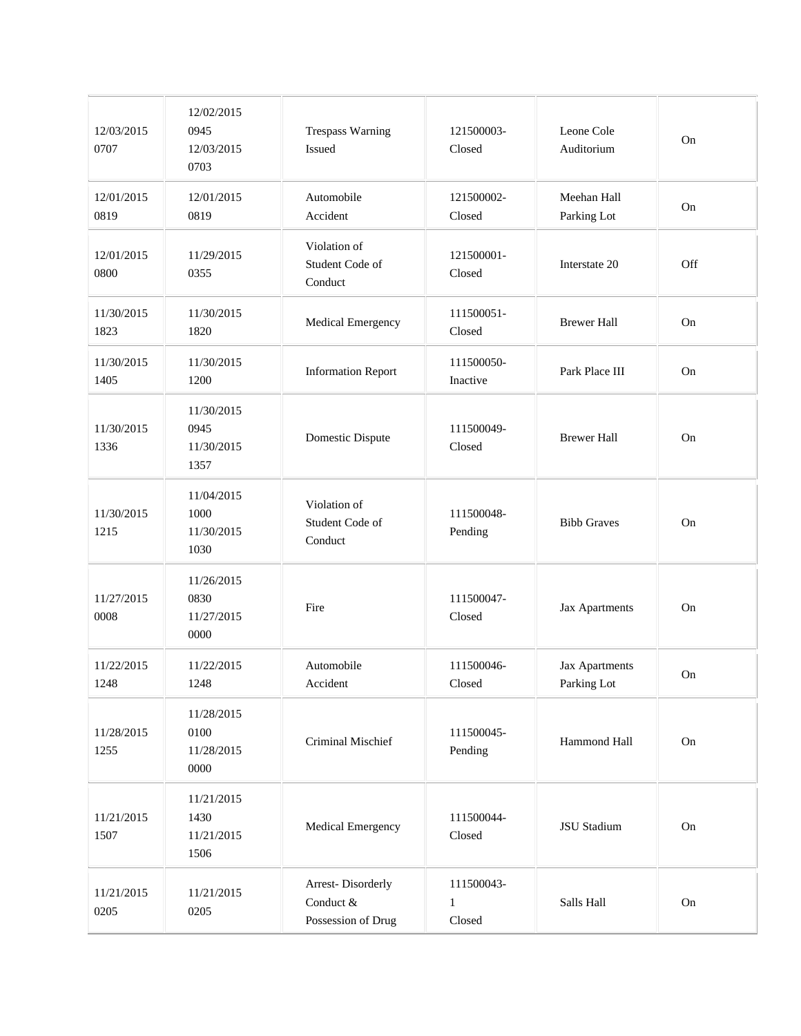| 12/03/2015<br>0707 | 12/02/2015<br>0945<br>12/03/2015<br>0703 | <b>Trespass Warning</b><br>Issued                    | 121500003-<br>Closed                 | Leone Cole<br>Auditorium      | On        |
|--------------------|------------------------------------------|------------------------------------------------------|--------------------------------------|-------------------------------|-----------|
| 12/01/2015<br>0819 | 12/01/2015<br>0819                       | Automobile<br>Accident                               | 121500002-<br>Closed                 | Meehan Hall<br>Parking Lot    | On        |
| 12/01/2015<br>0800 | 11/29/2015<br>0355                       | Violation of<br>Student Code of<br>Conduct           | 121500001-<br>Closed                 | Interstate 20                 | Off       |
| 11/30/2015<br>1823 | 11/30/2015<br>1820                       | Medical Emergency                                    | 111500051-<br>Closed                 | <b>Brewer Hall</b>            | $\rm On$  |
| 11/30/2015<br>1405 | 11/30/2015<br>1200                       | <b>Information Report</b>                            | 111500050-<br>Inactive               | Park Place III                | On        |
| 11/30/2015<br>1336 | 11/30/2015<br>0945<br>11/30/2015<br>1357 | Domestic Dispute                                     | 111500049-<br>Closed                 | <b>Brewer Hall</b>            | On        |
| 11/30/2015<br>1215 | 11/04/2015<br>1000<br>11/30/2015<br>1030 | Violation of<br>Student Code of<br>Conduct           | 111500048-<br>Pending                | <b>Bibb Graves</b>            | On        |
| 11/27/2015<br>0008 | 11/26/2015<br>0830<br>11/27/2015<br>0000 | Fire                                                 | 111500047-<br>Closed                 | Jax Apartments                | On        |
| 11/22/2015<br>1248 | 11/22/2015<br>1248                       | Automobile<br>Accident                               | 111500046-<br>Closed                 | Jax Apartments<br>Parking Lot | <b>On</b> |
| 11/28/2015<br>1255 | 11/28/2015<br>0100<br>11/28/2015<br>0000 | Criminal Mischief                                    | 111500045-<br>Pending                | Hammond Hall                  | On        |
| 11/21/2015<br>1507 | 11/21/2015<br>1430<br>11/21/2015<br>1506 | Medical Emergency                                    | 111500044-<br>Closed                 | JSU Stadium                   | On        |
| 11/21/2015<br>0205 | 11/21/2015<br>0205                       | Arrest-Disorderly<br>Conduct &<br>Possession of Drug | 111500043-<br>$\mathbf{1}$<br>Closed | Salls Hall                    | On        |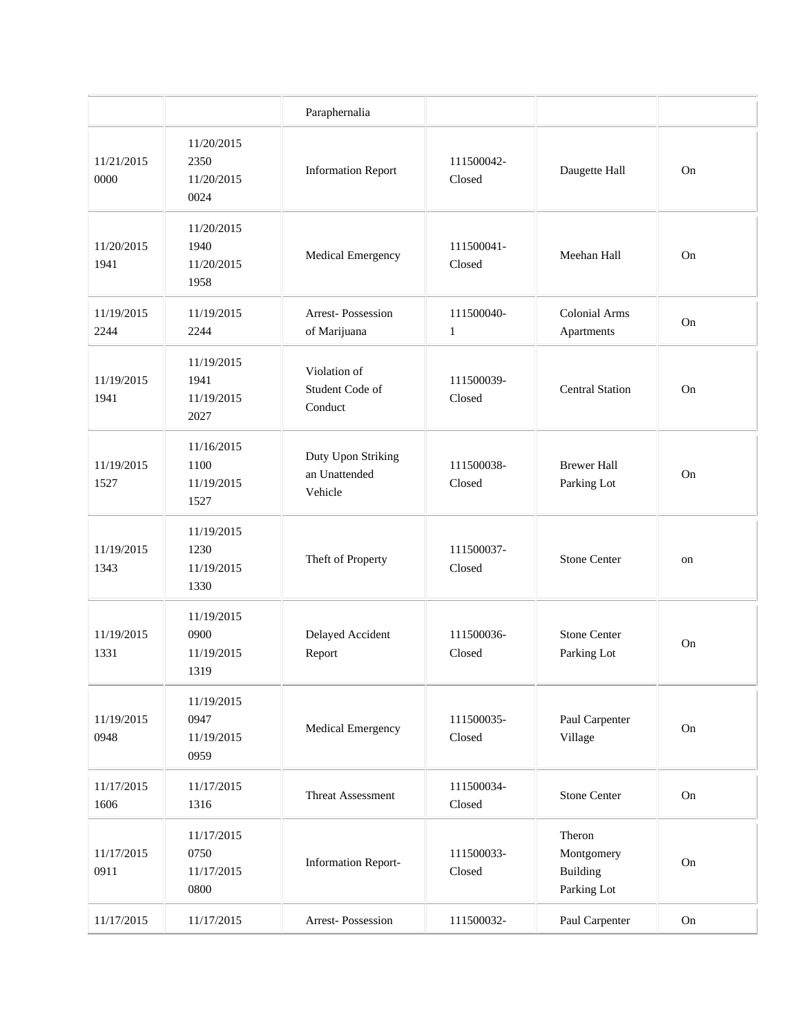|                    |                                          | Paraphernalia                                  |                            |                                                 |          |
|--------------------|------------------------------------------|------------------------------------------------|----------------------------|-------------------------------------------------|----------|
| 11/21/2015<br>0000 | 11/20/2015<br>2350<br>11/20/2015<br>0024 | <b>Information Report</b>                      | 111500042-<br>Closed       | Daugette Hall                                   | On       |
| 11/20/2015<br>1941 | 11/20/2015<br>1940<br>11/20/2015<br>1958 | Medical Emergency                              | 111500041-<br>Closed       | Meehan Hall                                     | On       |
| 11/19/2015<br>2244 | 11/19/2015<br>2244                       | <b>Arrest-Possession</b><br>of Marijuana       | 111500040-<br>$\mathbf{1}$ | <b>Colonial Arms</b><br>Apartments              | On       |
| 11/19/2015<br>1941 | 11/19/2015<br>1941<br>11/19/2015<br>2027 | Violation of<br>Student Code of<br>Conduct     | 111500039-<br>Closed       | <b>Central Station</b>                          | On       |
| 11/19/2015<br>1527 | 11/16/2015<br>1100<br>11/19/2015<br>1527 | Duty Upon Striking<br>an Unattended<br>Vehicle | 111500038-<br>Closed       | <b>Brewer Hall</b><br>Parking Lot               | On       |
| 11/19/2015<br>1343 | 11/19/2015<br>1230<br>11/19/2015<br>1330 | Theft of Property                              | 111500037-<br>Closed       | <b>Stone Center</b>                             | on       |
| 11/19/2015<br>1331 | 11/19/2015<br>0900<br>11/19/2015<br>1319 | Delayed Accident<br>Report                     | 111500036-<br>Closed       | <b>Stone Center</b><br>Parking Lot              | On       |
| 11/19/2015<br>0948 | 11/19/2015<br>0947<br>11/19/2015<br>0959 | Medical Emergency                              | 111500035-<br>Closed       | Paul Carpenter<br>Village                       | On       |
| 11/17/2015<br>1606 | 11/17/2015<br>1316                       | Threat Assessment                              | 111500034-<br>Closed       | <b>Stone Center</b>                             | $\rm On$ |
| 11/17/2015<br>0911 | 11/17/2015<br>0750<br>11/17/2015<br>0800 | <b>Information Report-</b>                     | 111500033-<br>Closed       | Theron<br>Montgomery<br>Building<br>Parking Lot | On       |
| 11/17/2015         | 11/17/2015                               | Arrest-Possession                              | 111500032-                 | Paul Carpenter                                  | On       |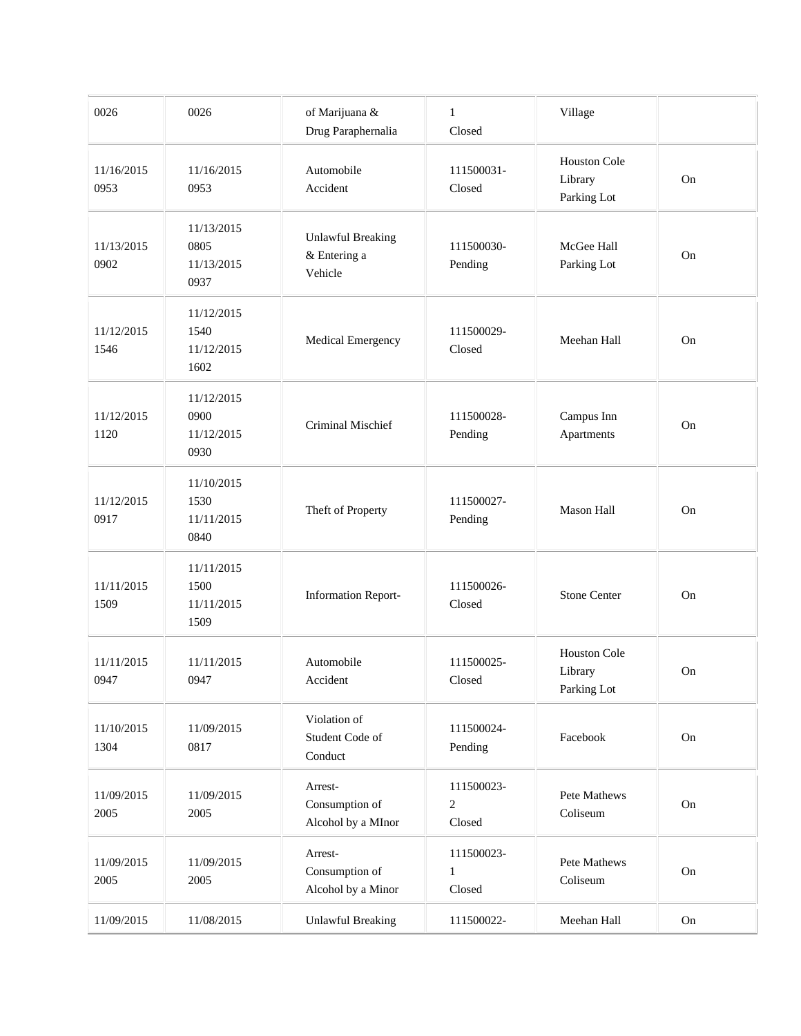| 0026               | 0026                                     | of Marijuana &<br>Drug Paraphernalia                | $\mathbf{1}$<br>Closed               | Village                                       |          |
|--------------------|------------------------------------------|-----------------------------------------------------|--------------------------------------|-----------------------------------------------|----------|
| 11/16/2015<br>0953 | 11/16/2015<br>0953                       | Automobile<br>Accident                              | 111500031-<br>Closed                 | Houston Cole<br>Library<br>Parking Lot        | On       |
| 11/13/2015<br>0902 | 11/13/2015<br>0805<br>11/13/2015<br>0937 | <b>Unlawful Breaking</b><br>& Entering a<br>Vehicle | 111500030-<br>Pending                | McGee Hall<br>Parking Lot                     | On       |
| 11/12/2015<br>1546 | 11/12/2015<br>1540<br>11/12/2015<br>1602 | Medical Emergency                                   | 111500029-<br>Closed                 | Meehan Hall                                   | On       |
| 11/12/2015<br>1120 | 11/12/2015<br>0900<br>11/12/2015<br>0930 | Criminal Mischief                                   | 111500028-<br>Pending                | Campus Inn<br>Apartments                      | On       |
| 11/12/2015<br>0917 | 11/10/2015<br>1530<br>11/11/2015<br>0840 | Theft of Property                                   | 111500027-<br>Pending                | Mason Hall                                    | On       |
| 11/11/2015<br>1509 | 11/11/2015<br>1500<br>11/11/2015<br>1509 | <b>Information Report-</b>                          | 111500026-<br>Closed                 | <b>Stone Center</b>                           | On       |
| 11/11/2015<br>0947 | 11/11/2015<br>0947                       | Automobile<br>Accident                              | 111500025-<br>Closed                 | <b>Houston Cole</b><br>Library<br>Parking Lot | On       |
| 11/10/2015<br>1304 | 11/09/2015<br>0817                       | Violation of<br>Student Code of<br>Conduct          | 111500024-<br>Pending                | Facebook                                      | $\rm On$ |
| 11/09/2015<br>2005 | 11/09/2015<br>2005                       | Arrest-<br>Consumption of<br>Alcohol by a MInor     | 111500023-<br>$\mathbf{2}$<br>Closed | Pete Mathews<br>Coliseum                      | $\rm On$ |
| 11/09/2015<br>2005 | 11/09/2015<br>2005                       | Arrest-<br>Consumption of<br>Alcohol by a Minor     | 111500023-<br>1<br>Closed            | Pete Mathews<br>Coliseum                      | $\rm On$ |
| 11/09/2015         | 11/08/2015                               | <b>Unlawful Breaking</b>                            | 111500022-                           | Meehan Hall                                   | On       |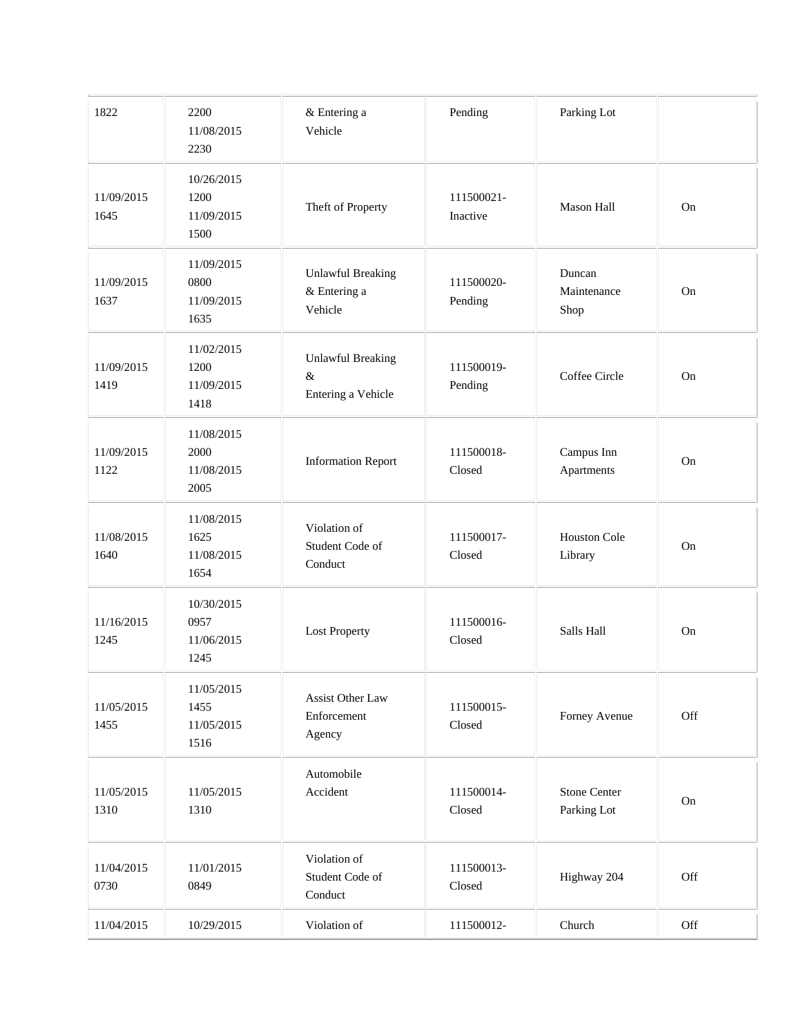| 1822               | 2200<br>11/08/2015<br>2230               | & Entering a<br>Vehicle                                | Pending                | Parking Lot                        |            |
|--------------------|------------------------------------------|--------------------------------------------------------|------------------------|------------------------------------|------------|
| 11/09/2015<br>1645 | 10/26/2015<br>1200<br>11/09/2015<br>1500 | Theft of Property                                      | 111500021-<br>Inactive | <b>Mason Hall</b>                  | On         |
| 11/09/2015<br>1637 | 11/09/2015<br>0800<br>11/09/2015<br>1635 | <b>Unlawful Breaking</b><br>& Entering a<br>Vehicle    | 111500020-<br>Pending  | Duncan<br>Maintenance<br>Shop      | On         |
| 11/09/2015<br>1419 | 11/02/2015<br>1200<br>11/09/2015<br>1418 | <b>Unlawful Breaking</b><br>$\&$<br>Entering a Vehicle | 111500019-<br>Pending  | Coffee Circle                      | On         |
| 11/09/2015<br>1122 | 11/08/2015<br>2000<br>11/08/2015<br>2005 | <b>Information Report</b>                              | 111500018-<br>Closed   | Campus Inn<br>Apartments           | On         |
| 11/08/2015<br>1640 | 11/08/2015<br>1625<br>11/08/2015<br>1654 | Violation of<br>Student Code of<br>Conduct             | 111500017-<br>Closed   | Houston Cole<br>Library            | On         |
| 11/16/2015<br>1245 | 10/30/2015<br>0957<br>11/06/2015<br>1245 | <b>Lost Property</b>                                   | 111500016-<br>Closed   | Salls Hall                         | On         |
| 11/05/2015<br>1455 | 11/05/2015<br>1455<br>11/05/2015<br>1516 | Assist Other Law<br>Enforcement<br>Agency              | 111500015-<br>Closed   | Forney Avenue                      | Off        |
| 11/05/2015<br>1310 | 11/05/2015<br>1310                       | Automobile<br>Accident                                 | 111500014-<br>Closed   | <b>Stone Center</b><br>Parking Lot | ${\rm On}$ |
| 11/04/2015<br>0730 | 11/01/2015<br>0849                       | Violation of<br>Student Code of<br>Conduct             | 111500013-<br>Closed   | Highway 204                        | Off        |
| 11/04/2015         | 10/29/2015                               | Violation of                                           | 111500012-             | Church                             | Off        |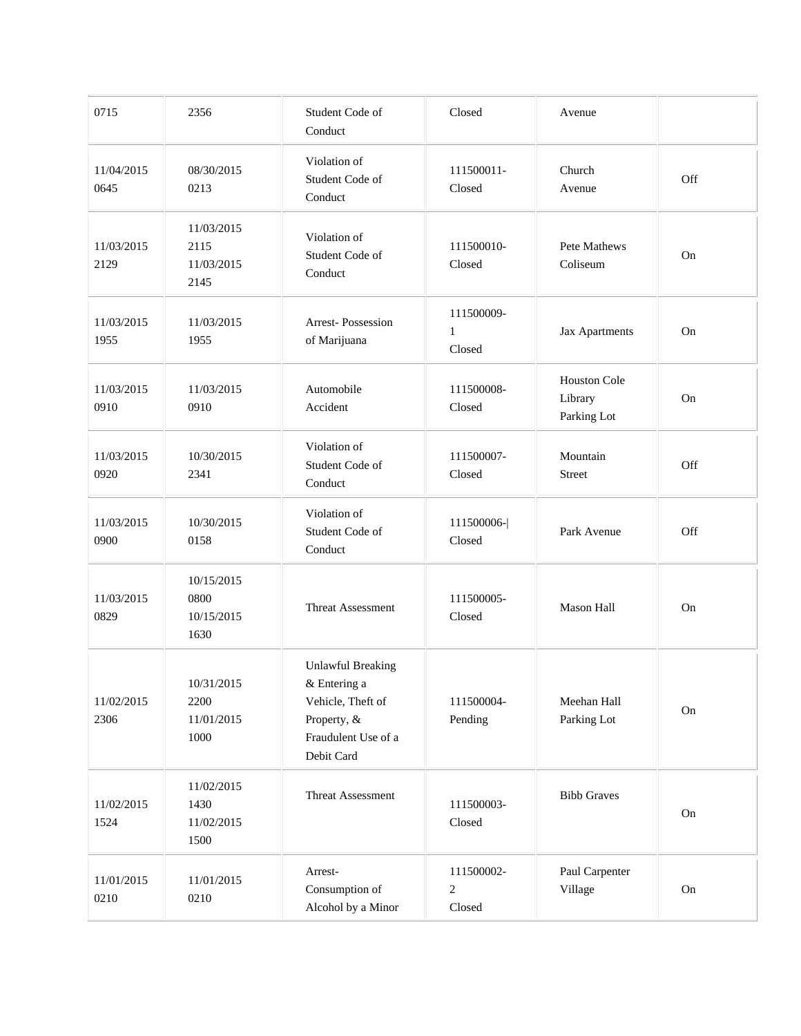| 0715               | 2356                                     | Student Code of<br>Conduct                                                                                        | Closed                               | Avenue                                 |            |
|--------------------|------------------------------------------|-------------------------------------------------------------------------------------------------------------------|--------------------------------------|----------------------------------------|------------|
| 11/04/2015<br>0645 | 08/30/2015<br>0213                       | Violation of<br>Student Code of<br>Conduct                                                                        | 111500011-<br>Closed                 | Church<br>Avenue                       | Off        |
| 11/03/2015<br>2129 | 11/03/2015<br>2115<br>11/03/2015<br>2145 | Violation of<br>Student Code of<br>Conduct                                                                        | 111500010-<br>Closed                 | Pete Mathews<br>Coliseum               | On         |
| 11/03/2015<br>1955 | 11/03/2015<br>1955                       | <b>Arrest-Possession</b><br>of Marijuana                                                                          | 111500009-<br>$\mathbf{1}$<br>Closed | Jax Apartments                         | On         |
| 11/03/2015<br>0910 | 11/03/2015<br>0910                       | Automobile<br>Accident                                                                                            | 111500008-<br>Closed                 | Houston Cole<br>Library<br>Parking Lot | On         |
| 11/03/2015<br>0920 | 10/30/2015<br>2341                       | Violation of<br>Student Code of<br>Conduct                                                                        | 111500007-<br>Closed                 | Mountain<br>Street                     | Off        |
| 11/03/2015<br>0900 | 10/30/2015<br>0158                       | Violation of<br>Student Code of<br>Conduct                                                                        | 111500006-<br>Closed                 | Park Avenue                            | Off        |
| 11/03/2015<br>0829 | 10/15/2015<br>0800<br>10/15/2015<br>1630 | <b>Threat Assessment</b>                                                                                          | 111500005-<br>Closed                 | Mason Hall                             | On         |
| 11/02/2015<br>2306 | 10/31/2015<br>2200<br>11/01/2015<br>1000 | <b>Unlawful Breaking</b><br>& Entering a<br>Vehicle, Theft of<br>Property, &<br>Fraudulent Use of a<br>Debit Card | 111500004-<br>Pending                | Meehan Hall<br>Parking Lot             | On         |
| 11/02/2015<br>1524 | 11/02/2015<br>1430<br>11/02/2015<br>1500 | Threat Assessment                                                                                                 | 111500003-<br>Closed                 | <b>Bibb Graves</b>                     | ${\rm On}$ |
| 11/01/2015<br>0210 | 11/01/2015<br>0210                       | Arrest-<br>Consumption of<br>Alcohol by a Minor                                                                   | 111500002-<br>$\sqrt{2}$<br>Closed   | Paul Carpenter<br>Village              | On         |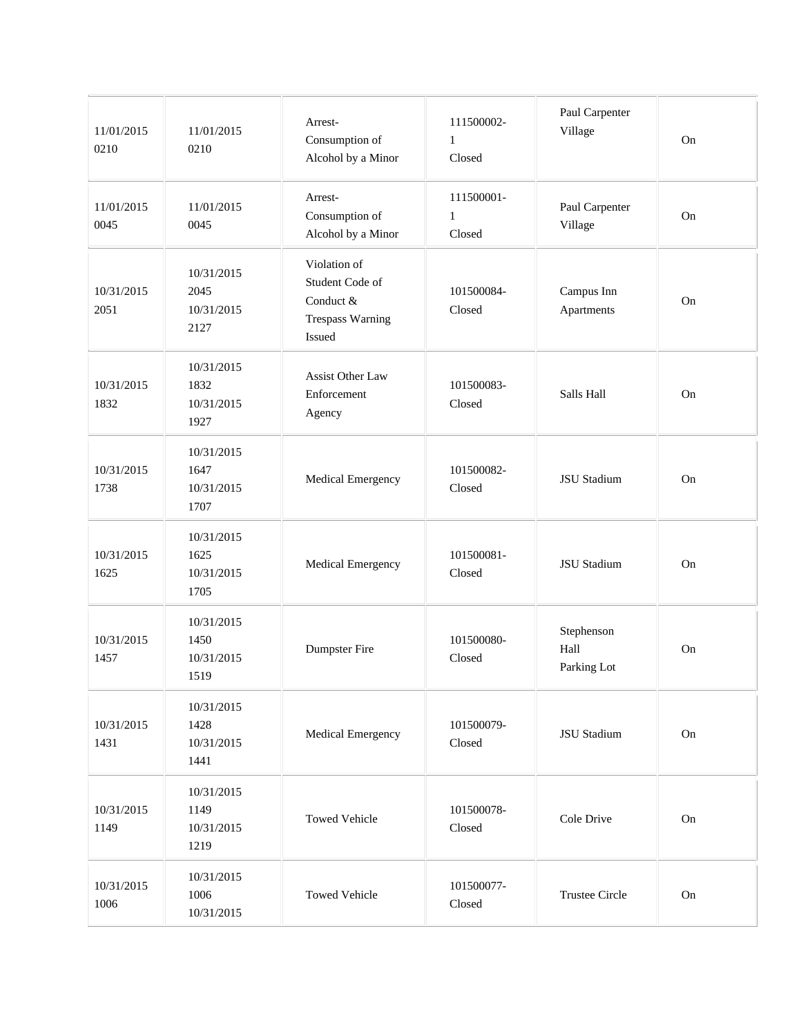| 11/01/2015<br>0210 | 11/01/2015<br>0210                       | Arrest-<br>Consumption of<br>Alcohol by a Minor                                   | 111500002-<br>$\mathbf{1}$<br>Closed | Paul Carpenter<br>Village         | On         |
|--------------------|------------------------------------------|-----------------------------------------------------------------------------------|--------------------------------------|-----------------------------------|------------|
| 11/01/2015<br>0045 | 11/01/2015<br>0045                       | Arrest-<br>Consumption of<br>Alcohol by a Minor                                   | 111500001-<br>1<br>Closed            | Paul Carpenter<br>Village         | On         |
| 10/31/2015<br>2051 | 10/31/2015<br>2045<br>10/31/2015<br>2127 | Violation of<br>Student Code of<br>Conduct &<br><b>Trespass Warning</b><br>Issued | 101500084-<br>Closed                 | Campus Inn<br>Apartments          | On         |
| 10/31/2015<br>1832 | 10/31/2015<br>1832<br>10/31/2015<br>1927 | Assist Other Law<br>Enforcement<br>Agency                                         | 101500083-<br>Closed                 | Salls Hall                        | On         |
| 10/31/2015<br>1738 | 10/31/2015<br>1647<br>10/31/2015<br>1707 | Medical Emergency                                                                 | 101500082-<br>Closed                 | <b>JSU</b> Stadium                | On         |
| 10/31/2015<br>1625 | 10/31/2015<br>1625<br>10/31/2015<br>1705 | Medical Emergency                                                                 | 101500081-<br>Closed                 | JSU Stadium                       | On         |
| 10/31/2015<br>1457 | 10/31/2015<br>1450<br>10/31/2015<br>1519 | Dumpster Fire                                                                     | 101500080-<br>Closed                 | Stephenson<br>Hall<br>Parking Lot | On         |
| 10/31/2015<br>1431 | 10/31/2015<br>1428<br>10/31/2015<br>1441 | Medical Emergency                                                                 | 101500079-<br>Closed                 | <b>JSU</b> Stadium                | ${\rm On}$ |
| 10/31/2015<br>1149 | 10/31/2015<br>1149<br>10/31/2015<br>1219 | <b>Towed Vehicle</b>                                                              | 101500078-<br>Closed                 | Cole Drive                        | ${\rm On}$ |
| 10/31/2015<br>1006 | 10/31/2015<br>1006<br>10/31/2015         | <b>Towed Vehicle</b>                                                              | 101500077-<br>Closed                 | <b>Trustee Circle</b>             | On         |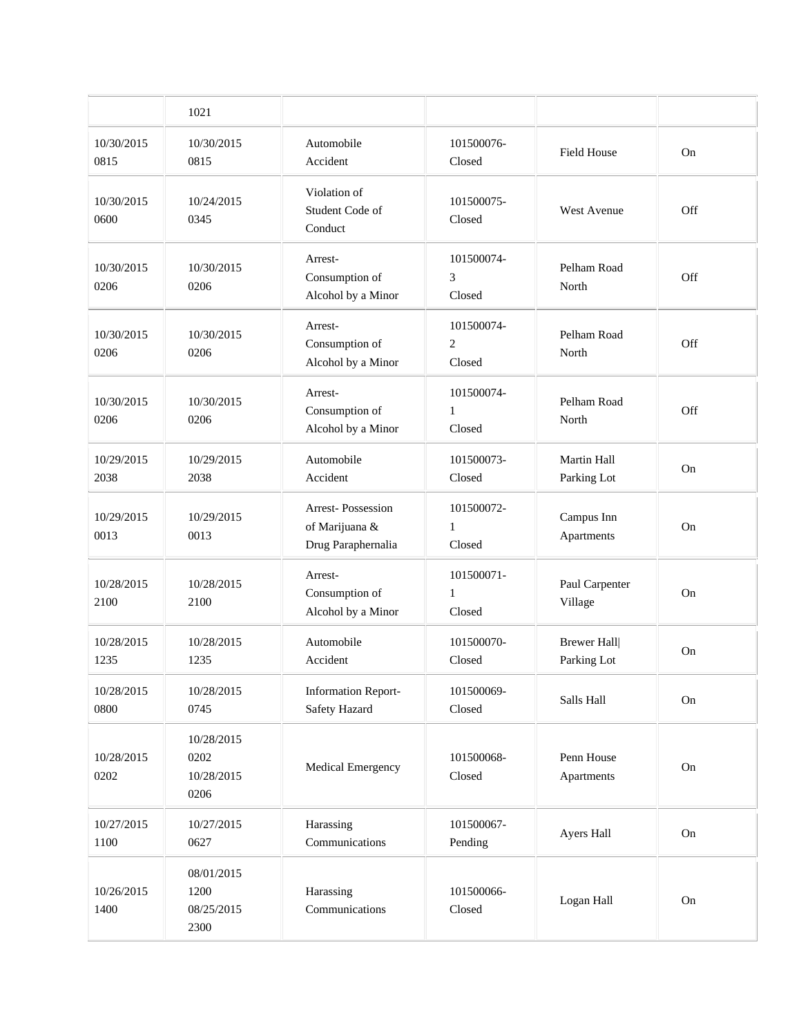|                    | 1021                                     |                                                           |                                        |                                   |           |
|--------------------|------------------------------------------|-----------------------------------------------------------|----------------------------------------|-----------------------------------|-----------|
| 10/30/2015<br>0815 | 10/30/2015<br>0815                       | Automobile<br>Accident                                    | 101500076-<br>Closed                   | Field House                       | On        |
| 10/30/2015<br>0600 | 10/24/2015<br>0345                       | Violation of<br>Student Code of<br>Conduct                | 101500075-<br>Closed                   | <b>West Avenue</b>                | Off       |
| 10/30/2015<br>0206 | 10/30/2015<br>0206                       | Arrest-<br>Consumption of<br>Alcohol by a Minor           | 101500074-<br>3<br>Closed              | Pelham Road<br>North              | Off       |
| 10/30/2015<br>0206 | 10/30/2015<br>0206                       | Arrest-<br>Consumption of<br>Alcohol by a Minor           | 101500074-<br>$\overline{c}$<br>Closed | Pelham Road<br>North              | Off       |
| 10/30/2015<br>0206 | 10/30/2015<br>0206                       | Arrest-<br>Consumption of<br>Alcohol by a Minor           | 101500074-<br>$\mathbf{1}$<br>Closed   | Pelham Road<br>North              | Off       |
| 10/29/2015<br>2038 | 10/29/2015<br>2038                       | Automobile<br>Accident                                    | 101500073-<br>Closed                   | Martin Hall<br>Parking Lot        | On        |
| 10/29/2015<br>0013 | 10/29/2015<br>0013                       | Arrest-Possession<br>of Marijuana &<br>Drug Paraphernalia | 101500072-<br>$\mathbf{1}$<br>Closed   | Campus Inn<br>Apartments          | <b>On</b> |
| 10/28/2015<br>2100 | 10/28/2015<br>2100                       | Arrest-<br>Consumption of<br>Alcohol by a Minor           | 101500071-<br>$\mathbf{1}$<br>Closed   | Paul Carpenter<br>Village         | On        |
| 10/28/2015<br>1235 | 10/28/2015<br>1235                       | Automobile<br>Accident                                    | 101500070-<br>Closed                   | <b>Brewer Hall</b><br>Parking Lot | <b>On</b> |
| 10/28/2015<br>0800 | 10/28/2015<br>0745                       | <b>Information Report-</b><br>Safety Hazard               | 101500069-<br>Closed                   | Salls Hall                        | On        |
| 10/28/2015<br>0202 | 10/28/2015<br>0202<br>10/28/2015<br>0206 | Medical Emergency                                         | 101500068-<br>Closed                   | Penn House<br>Apartments          | On        |
| 10/27/2015<br>1100 | 10/27/2015<br>0627                       | Harassing<br>Communications                               | 101500067-<br>Pending                  | Ayers Hall                        | On        |
| 10/26/2015<br>1400 | 08/01/2015<br>1200<br>08/25/2015<br>2300 | Harassing<br>Communications                               | 101500066-<br>Closed                   | Logan Hall                        | On        |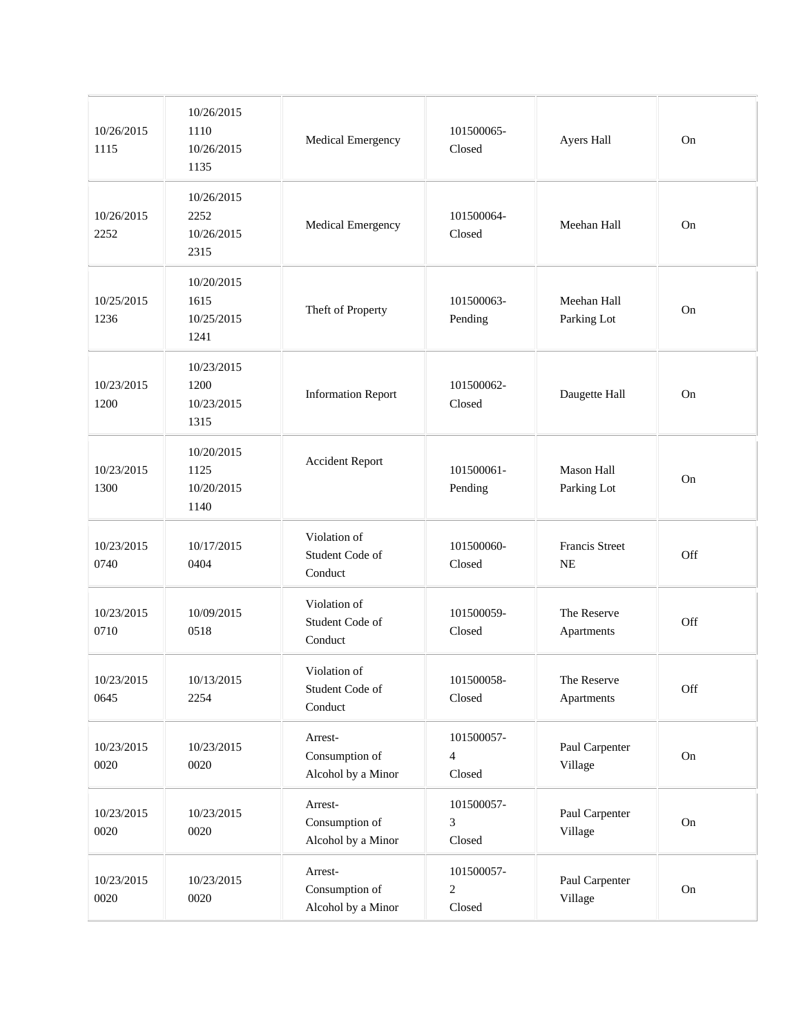| 10/26/2015<br>1115 | 10/26/2015<br>1110<br>10/26/2015<br>1135 | Medical Emergency                               | 101500065-<br>Closed                   | Ayers Hall                         | On  |
|--------------------|------------------------------------------|-------------------------------------------------|----------------------------------------|------------------------------------|-----|
| 10/26/2015<br>2252 | 10/26/2015<br>2252<br>10/26/2015<br>2315 | Medical Emergency                               | 101500064-<br>Closed                   | Meehan Hall                        | On  |
| 10/25/2015<br>1236 | 10/20/2015<br>1615<br>10/25/2015<br>1241 | Theft of Property                               | 101500063-<br>Pending                  | Meehan Hall<br>Parking Lot         | On  |
| 10/23/2015<br>1200 | 10/23/2015<br>1200<br>10/23/2015<br>1315 | <b>Information Report</b>                       | 101500062-<br>Closed                   | Daugette Hall                      | On  |
| 10/23/2015<br>1300 | 10/20/2015<br>1125<br>10/20/2015<br>1140 | <b>Accident Report</b>                          | 101500061-<br>Pending                  | Mason Hall<br>Parking Lot          | On  |
| 10/23/2015<br>0740 | 10/17/2015<br>0404                       | Violation of<br>Student Code of<br>Conduct      | 101500060-<br>Closed                   | <b>Francis Street</b><br><b>NE</b> | Off |
| 10/23/2015<br>0710 | 10/09/2015<br>0518                       | Violation of<br>Student Code of<br>Conduct      | 101500059-<br>Closed                   | The Reserve<br>Apartments          | Off |
| 10/23/2015<br>0645 | 10/13/2015<br>2254                       | Violation of<br>Student Code of<br>Conduct      | 101500058-<br>Closed                   | The Reserve<br>Apartments          | Off |
| 10/23/2015<br>0020 | 10/23/2015<br>0020                       | Arrest-<br>Consumption of<br>Alcohol by a Minor | 101500057-<br>4<br>Closed              | Paul Carpenter<br>Village          | On  |
| 10/23/2015<br>0020 | 10/23/2015<br>0020                       | Arrest-<br>Consumption of<br>Alcohol by a Minor | 101500057-<br>3<br>Closed              | Paul Carpenter<br>Village          | On  |
| 10/23/2015<br>0020 | 10/23/2015<br>0020                       | Arrest-<br>Consumption of<br>Alcohol by a Minor | 101500057-<br>$\overline{2}$<br>Closed | Paul Carpenter<br>Village          | On  |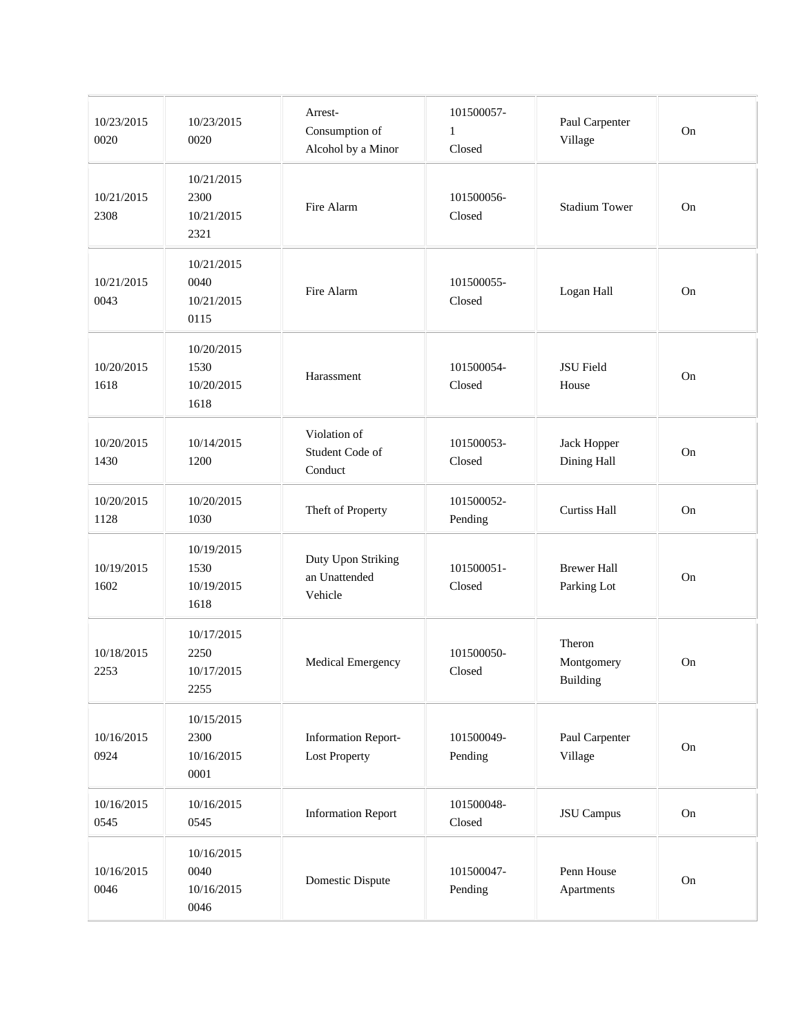| 10/23/2015<br>0020 | 10/23/2015<br>0020                       | Arrest-<br>Consumption of<br>Alcohol by a Minor    | 101500057-<br>$\mathbf{1}$<br>Closed | Paul Carpenter<br>Village         | On         |
|--------------------|------------------------------------------|----------------------------------------------------|--------------------------------------|-----------------------------------|------------|
| 10/21/2015<br>2308 | 10/21/2015<br>2300<br>10/21/2015<br>2321 | Fire Alarm                                         | 101500056-<br>Closed                 | <b>Stadium Tower</b>              | On         |
| 10/21/2015<br>0043 | 10/21/2015<br>0040<br>10/21/2015<br>0115 | Fire Alarm                                         | 101500055-<br>Closed                 | Logan Hall                        | On         |
| 10/20/2015<br>1618 | 10/20/2015<br>1530<br>10/20/2015<br>1618 | Harassment                                         | 101500054-<br>Closed                 | JSU Field<br>House                | On         |
| 10/20/2015<br>1430 | 10/14/2015<br>1200                       | Violation of<br>Student Code of<br>Conduct         | 101500053-<br>Closed                 | Jack Hopper<br>Dining Hall        | On         |
| 10/20/2015<br>1128 | 10/20/2015<br>1030                       | Theft of Property                                  | 101500052-<br>Pending                | <b>Curtiss Hall</b>               | On         |
| 10/19/2015<br>1602 | 10/19/2015<br>1530<br>10/19/2015<br>1618 | Duty Upon Striking<br>an Unattended<br>Vehicle     | 101500051-<br>Closed                 | <b>Brewer Hall</b><br>Parking Lot | On         |
| 10/18/2015<br>2253 | 10/17/2015<br>2250<br>10/17/2015<br>2255 | Medical Emergency                                  | 101500050-<br>Closed                 | Theron<br>Montgomery<br>Building  | On         |
| 10/16/2015<br>0924 | 10/15/2015<br>2300<br>10/16/2015<br>0001 | <b>Information Report-</b><br><b>Lost Property</b> | 101500049-<br>Pending                | Paul Carpenter<br>Village         | On         |
| 10/16/2015<br>0545 | 10/16/2015<br>0545                       | <b>Information Report</b>                          | 101500048-<br>Closed                 | JSU Campus                        | On         |
| 10/16/2015<br>0046 | 10/16/2015<br>0040<br>10/16/2015<br>0046 | Domestic Dispute                                   | 101500047-<br>Pending                | Penn House<br>Apartments          | ${\rm On}$ |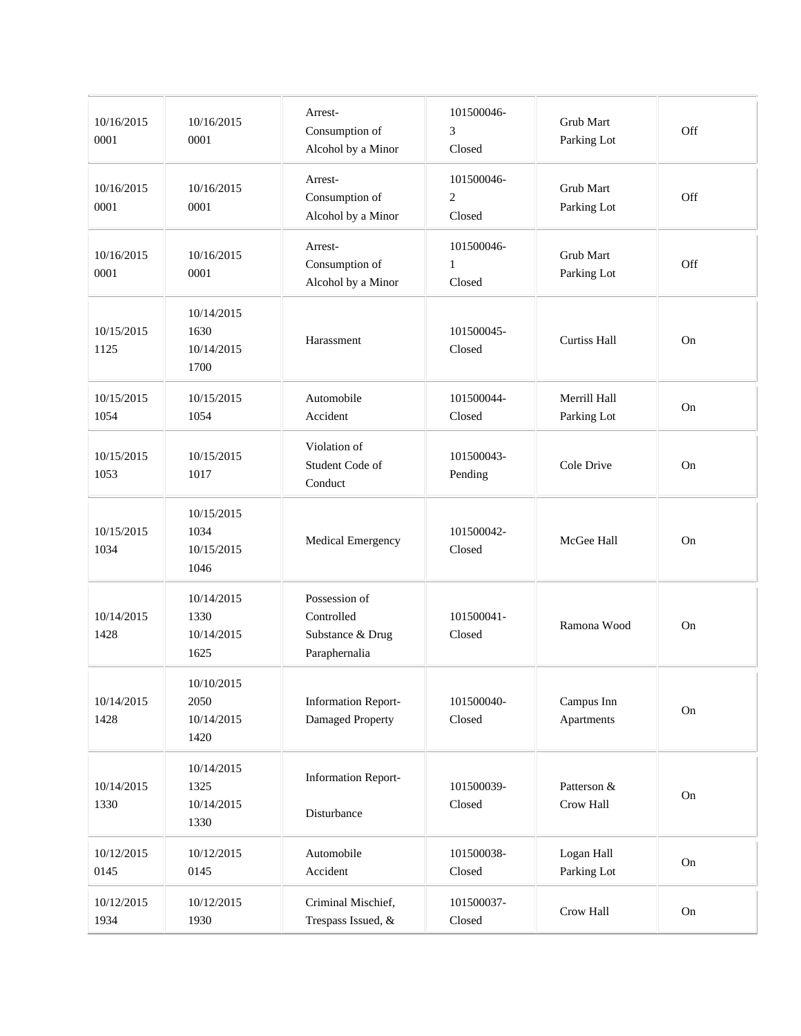| 10/16/2015<br>0001 | 10/16/2015<br>0001                       | Arrest-<br>Consumption of<br>Alcohol by a Minor                  | 101500046-<br>3<br>Closed              | Grub Mart<br>Parking Lot    | Off |
|--------------------|------------------------------------------|------------------------------------------------------------------|----------------------------------------|-----------------------------|-----|
| 10/16/2015<br>0001 | 10/16/2015<br>0001                       | Arrest-<br>Consumption of<br>Alcohol by a Minor                  | 101500046-<br>$\overline{2}$<br>Closed | Grub Mart<br>Parking Lot    | Off |
| 10/16/2015<br>0001 | 10/16/2015<br>0001                       | Arrest-<br>Consumption of<br>Alcohol by a Minor                  | 101500046-<br>$\mathbf{1}$<br>Closed   | Grub Mart<br>Parking Lot    | Off |
| 10/15/2015<br>1125 | 10/14/2015<br>1630<br>10/14/2015<br>1700 | Harassment                                                       | 101500045-<br>Closed                   | <b>Curtiss Hall</b>         | On  |
| 10/15/2015<br>1054 | 10/15/2015<br>1054                       | Automobile<br>Accident                                           | 101500044-<br>Closed                   | Merrill Hall<br>Parking Lot | On  |
| 10/15/2015<br>1053 | 10/15/2015<br>1017                       | Violation of<br>Student Code of<br>Conduct                       | 101500043-<br>Pending                  | Cole Drive                  | On  |
| 10/15/2015<br>1034 | 10/15/2015<br>1034<br>10/15/2015<br>1046 | Medical Emergency                                                | 101500042-<br>Closed                   | McGee Hall                  | On  |
| 10/14/2015<br>1428 | 10/14/2015<br>1330<br>10/14/2015<br>1625 | Possession of<br>Controlled<br>Substance & Drug<br>Paraphernalia | 101500041-<br>Closed                   | Ramona Wood                 | On  |
| 10/14/2015<br>1428 | 10/10/2015<br>2050<br>10/14/2015<br>1420 | <b>Information Report-</b><br>Damaged Property                   | 101500040-<br>Closed                   | Campus Inn<br>Apartments    | On  |
| 10/14/2015<br>1330 | 10/14/2015<br>1325<br>10/14/2015<br>1330 | <b>Information Report-</b><br>Disturbance                        | 101500039-<br>Closed                   | Patterson &<br>Crow Hall    | On  |
| 10/12/2015<br>0145 | 10/12/2015<br>0145                       | Automobile<br>Accident                                           | 101500038-<br>Closed                   | Logan Hall<br>Parking Lot   | On  |
| 10/12/2015<br>1934 | 10/12/2015<br>1930                       | Criminal Mischief,<br>Trespass Issued, &                         | 101500037-<br>Closed                   | Crow Hall                   | On  |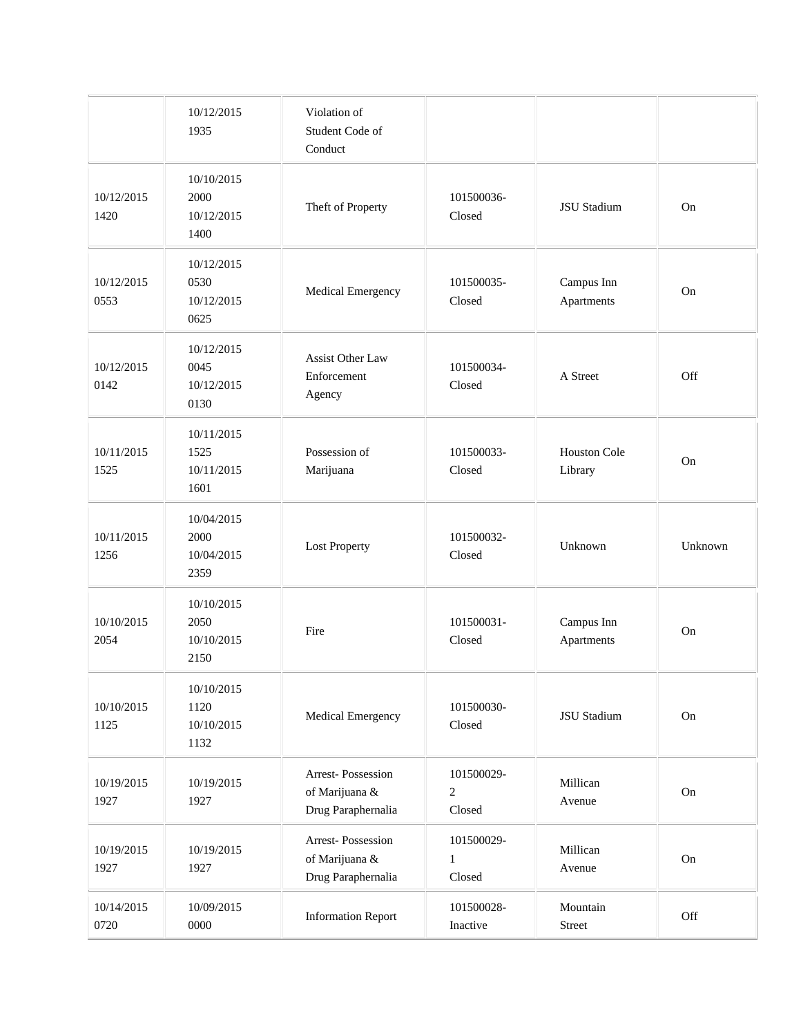|                    | 10/12/2015<br>1935                       | Violation of<br>Student Code of<br>Conduct                |                                      |                                |         |
|--------------------|------------------------------------------|-----------------------------------------------------------|--------------------------------------|--------------------------------|---------|
| 10/12/2015<br>1420 | 10/10/2015<br>2000<br>10/12/2015<br>1400 | Theft of Property                                         | 101500036-<br>Closed                 | JSU Stadium                    | On      |
| 10/12/2015<br>0553 | 10/12/2015<br>0530<br>10/12/2015<br>0625 | Medical Emergency                                         | 101500035-<br>Closed                 | Campus Inn<br>Apartments       | On      |
| 10/12/2015<br>0142 | 10/12/2015<br>0045<br>10/12/2015<br>0130 | <b>Assist Other Law</b><br>Enforcement<br>Agency          | 101500034-<br>Closed                 | A Street                       | Off     |
| 10/11/2015<br>1525 | 10/11/2015<br>1525<br>10/11/2015<br>1601 | Possession of<br>Marijuana                                | 101500033-<br>Closed                 | <b>Houston Cole</b><br>Library | On      |
| 10/11/2015<br>1256 | 10/04/2015<br>2000<br>10/04/2015<br>2359 | <b>Lost Property</b>                                      | 101500032-<br>Closed                 | Unknown                        | Unknown |
| 10/10/2015<br>2054 | 10/10/2015<br>2050<br>10/10/2015<br>2150 | Fire                                                      | 101500031-<br>Closed                 | Campus Inn<br>Apartments       | On      |
| 10/10/2015<br>1125 | 10/10/2015<br>1120<br>10/10/2015<br>1132 | Medical Emergency                                         | 101500030-<br>Closed                 | <b>JSU</b> Stadium             | On      |
| 10/19/2015<br>1927 | 10/19/2015<br>1927                       | Arrest-Possession<br>of Marijuana &<br>Drug Paraphernalia | 101500029-<br>$\sqrt{2}$<br>Closed   | Millican<br>Avenue             | On      |
| 10/19/2015<br>1927 | 10/19/2015<br>1927                       | Arrest-Possession<br>of Marijuana &<br>Drug Paraphernalia | 101500029-<br>$\mathbf{1}$<br>Closed | Millican<br>Avenue             | On      |
| 10/14/2015<br>0720 | 10/09/2015<br>0000                       | <b>Information Report</b>                                 | 101500028-<br>Inactive               | Mountain<br>Street             | Off     |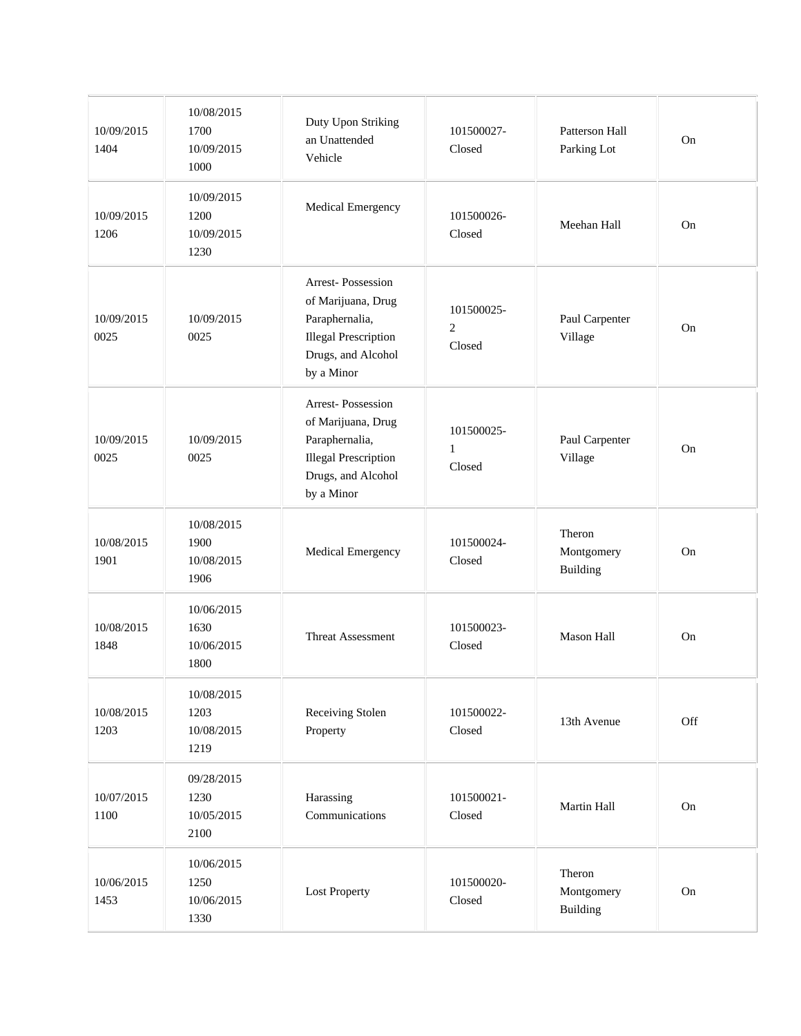| 10/09/2015<br>1404 | 10/08/2015<br>1700<br>10/09/2015<br>1000 | Duty Upon Striking<br>an Unattended<br>Vehicle                                                                               | 101500027-<br>Closed                 | Patterson Hall<br>Parking Lot    | On  |
|--------------------|------------------------------------------|------------------------------------------------------------------------------------------------------------------------------|--------------------------------------|----------------------------------|-----|
| 10/09/2015<br>1206 | 10/09/2015<br>1200<br>10/09/2015<br>1230 | Medical Emergency                                                                                                            | 101500026-<br>Closed                 | Meehan Hall                      | On  |
| 10/09/2015<br>0025 | 10/09/2015<br>0025                       | Arrest-Possession<br>of Marijuana, Drug<br>Paraphernalia,<br><b>Illegal Prescription</b><br>Drugs, and Alcohol<br>by a Minor | 101500025-<br>$\mathbf{2}$<br>Closed | Paul Carpenter<br>Village        | On  |
| 10/09/2015<br>0025 | 10/09/2015<br>0025                       | Arrest-Possession<br>of Marijuana, Drug<br>Paraphernalia,<br><b>Illegal Prescription</b><br>Drugs, and Alcohol<br>by a Minor | 101500025-<br>$\mathbf{1}$<br>Closed | Paul Carpenter<br>Village        | On  |
| 10/08/2015<br>1901 | 10/08/2015<br>1900<br>10/08/2015<br>1906 | Medical Emergency                                                                                                            | 101500024-<br>Closed                 | Theron<br>Montgomery<br>Building | On  |
| 10/08/2015<br>1848 | 10/06/2015<br>1630<br>10/06/2015<br>1800 | <b>Threat Assessment</b>                                                                                                     | 101500023-<br>Closed                 | <b>Mason Hall</b>                | On  |
| 10/08/2015<br>1203 | 10/08/2015<br>1203<br>10/08/2015<br>1219 | Receiving Stolen<br>Property                                                                                                 | 101500022-<br>Closed                 | 13th Avenue                      | Off |
| 10/07/2015<br>1100 | 09/28/2015<br>1230<br>10/05/2015<br>2100 | Harassing<br>Communications                                                                                                  | 101500021-<br>Closed                 | Martin Hall                      | On  |
| 10/06/2015<br>1453 | 10/06/2015<br>1250<br>10/06/2015<br>1330 | <b>Lost Property</b>                                                                                                         | 101500020-<br>Closed                 | Theron<br>Montgomery<br>Building | On  |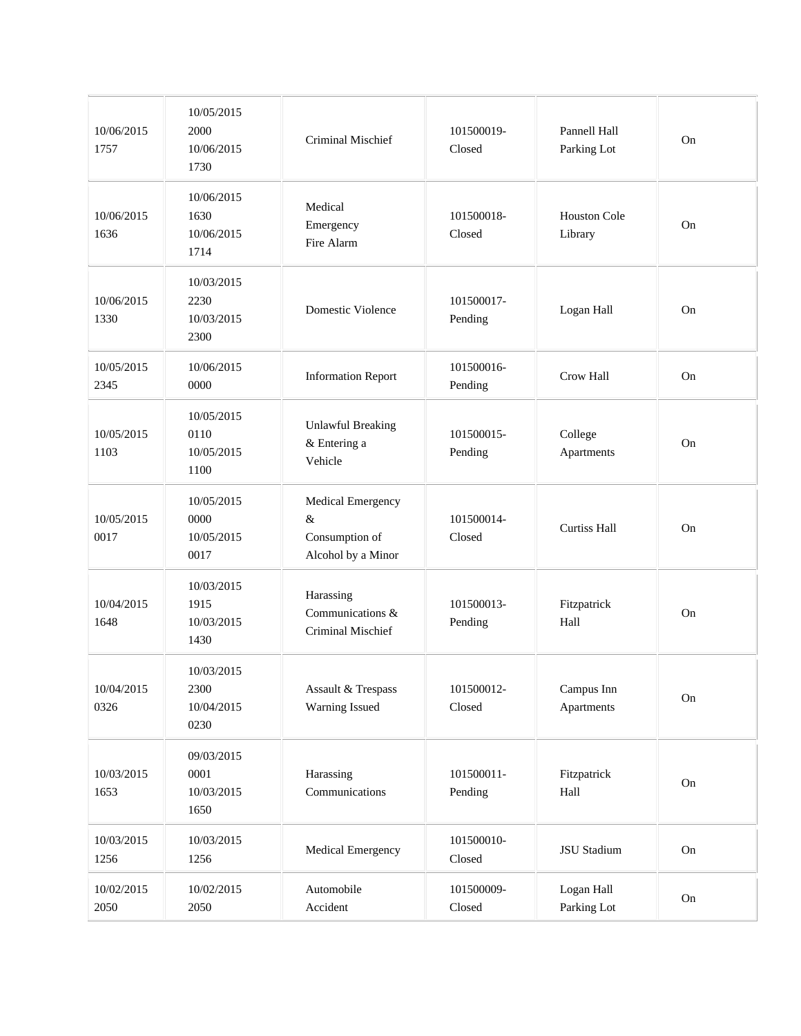| 10/06/2015<br>1757 | 10/05/2015<br>2000<br>10/06/2015<br>1730 | Criminal Mischief                                              | 101500019-<br>Closed  | Pannell Hall<br>Parking Lot    | On |
|--------------------|------------------------------------------|----------------------------------------------------------------|-----------------------|--------------------------------|----|
| 10/06/2015<br>1636 | 10/06/2015<br>1630<br>10/06/2015<br>1714 | Medical<br>Emergency<br>Fire Alarm                             | 101500018-<br>Closed  | <b>Houston Cole</b><br>Library | On |
| 10/06/2015<br>1330 | 10/03/2015<br>2230<br>10/03/2015<br>2300 | Domestic Violence                                              | 101500017-<br>Pending | Logan Hall                     | On |
| 10/05/2015<br>2345 | 10/06/2015<br>0000                       | <b>Information Report</b>                                      | 101500016-<br>Pending | <b>Crow Hall</b>               | On |
| 10/05/2015<br>1103 | 10/05/2015<br>0110<br>10/05/2015<br>1100 | <b>Unlawful Breaking</b><br>& Entering a<br>Vehicle            | 101500015-<br>Pending | College<br>Apartments          | On |
| 10/05/2015<br>0017 | 10/05/2015<br>0000<br>10/05/2015<br>0017 | Medical Emergency<br>&<br>Consumption of<br>Alcohol by a Minor | 101500014-<br>Closed  | <b>Curtiss Hall</b>            | On |
| 10/04/2015<br>1648 | 10/03/2015<br>1915<br>10/03/2015<br>1430 | Harassing<br>Communications &<br>Criminal Mischief             | 101500013-<br>Pending | Fitzpatrick<br>Hall            | On |
| 10/04/2015<br>0326 | 10/03/2015<br>2300<br>10/04/2015<br>0230 | Assault & Trespass<br>Warning Issued                           | 101500012-<br>Closed  | Campus Inn<br>Apartments       | On |
| 10/03/2015<br>1653 | 09/03/2015<br>0001<br>10/03/2015<br>1650 | Harassing<br>Communications                                    | 101500011-<br>Pending | Fitzpatrick<br>Hall            | On |
| 10/03/2015<br>1256 | 10/03/2015<br>1256                       | Medical Emergency                                              | 101500010-<br>Closed  | JSU Stadium                    | On |
| 10/02/2015<br>2050 | 10/02/2015<br>2050                       | Automobile<br>Accident                                         | 101500009-<br>Closed  | Logan Hall<br>Parking Lot      | On |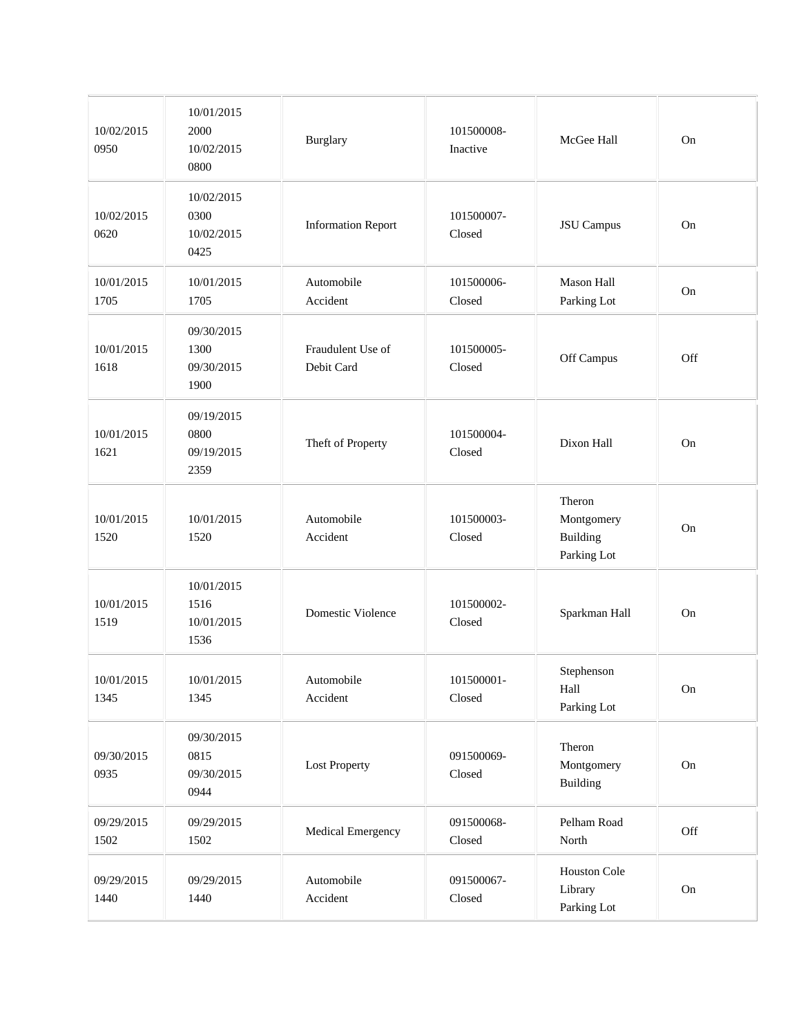| 10/02/2015<br>0950 | 10/01/2015<br>2000<br>10/02/2015<br>0800 | Burglary                        | 101500008-<br>Inactive | McGee Hall                                      | On  |
|--------------------|------------------------------------------|---------------------------------|------------------------|-------------------------------------------------|-----|
| 10/02/2015<br>0620 | 10/02/2015<br>0300<br>10/02/2015<br>0425 | <b>Information Report</b>       | 101500007-<br>Closed   | <b>JSU</b> Campus                               | On  |
| 10/01/2015<br>1705 | 10/01/2015<br>1705                       | Automobile<br>Accident          | 101500006-<br>Closed   | Mason Hall<br>Parking Lot                       | On  |
| 10/01/2015<br>1618 | 09/30/2015<br>1300<br>09/30/2015<br>1900 | Fraudulent Use of<br>Debit Card | 101500005-<br>Closed   | Off Campus                                      | Off |
| 10/01/2015<br>1621 | 09/19/2015<br>0800<br>09/19/2015<br>2359 | Theft of Property               | 101500004-<br>Closed   | Dixon Hall                                      | On  |
| 10/01/2015<br>1520 | 10/01/2015<br>1520                       | Automobile<br>Accident          | 101500003-<br>Closed   | Theron<br>Montgomery<br>Building<br>Parking Lot | On  |
| 10/01/2015<br>1519 | 10/01/2015<br>1516<br>10/01/2015<br>1536 | Domestic Violence               | 101500002-<br>Closed   | Sparkman Hall                                   | On  |
| 10/01/2015<br>1345 | 10/01/2015<br>1345                       | Automobile<br>Accident          | 101500001-<br>Closed   | Stephenson<br>Hall<br>Parking Lot               | On  |
| 09/30/2015<br>0935 | 09/30/2015<br>0815<br>09/30/2015<br>0944 | <b>Lost Property</b>            | 091500069-<br>Closed   | Theron<br>Montgomery<br>Building                | On  |
| 09/29/2015<br>1502 | 09/29/2015<br>1502                       | Medical Emergency               | 091500068-<br>Closed   | Pelham Road<br>North                            | Off |
| 09/29/2015<br>1440 | 09/29/2015<br>1440                       | Automobile<br>Accident          | 091500067-<br>Closed   | Houston Cole<br>Library<br>Parking Lot          | On  |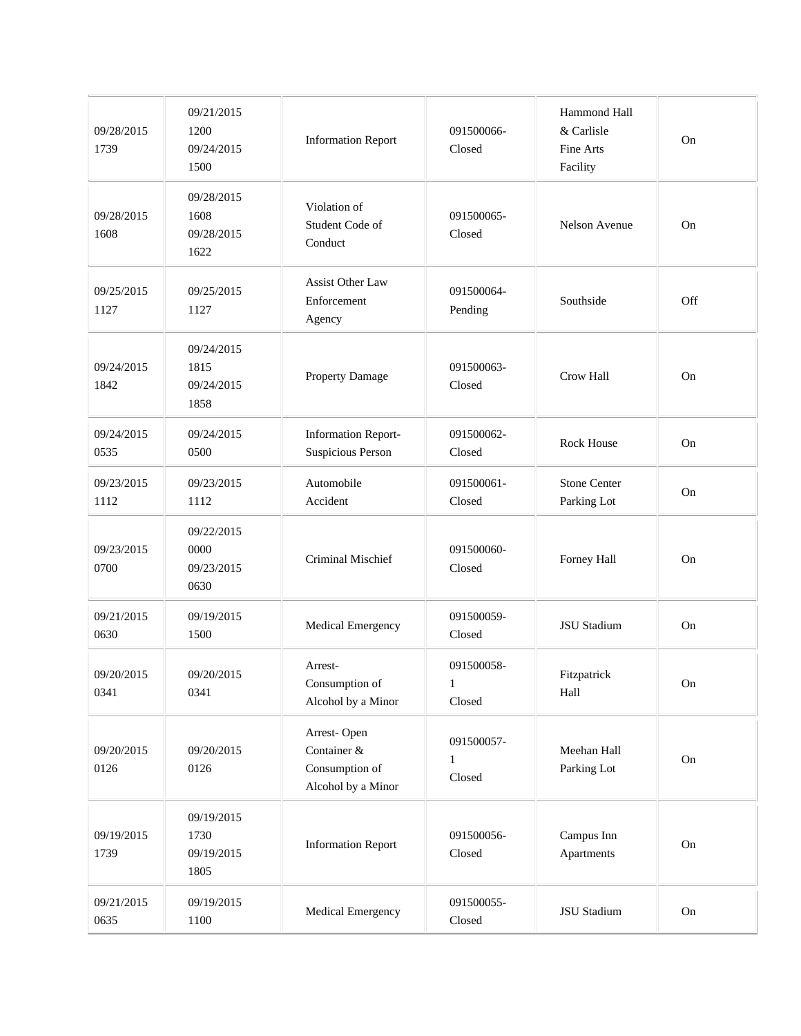| 09/28/2015<br>1739 | 09/21/2015<br>1200<br>09/24/2015<br>1500 | <b>Information Report</b>                                          | 091500066-<br>Closed                 | Hammond Hall<br>& Carlisle<br>Fine Arts<br>Facility | On       |
|--------------------|------------------------------------------|--------------------------------------------------------------------|--------------------------------------|-----------------------------------------------------|----------|
| 09/28/2015<br>1608 | 09/28/2015<br>1608<br>09/28/2015<br>1622 | Violation of<br>Student Code of<br>Conduct                         | 091500065-<br>Closed                 | <b>Nelson Avenue</b>                                | On       |
| 09/25/2015<br>1127 | 09/25/2015<br>1127                       | Assist Other Law<br>Enforcement<br>Agency                          | 091500064-<br>Pending                | Southside                                           | Off      |
| 09/24/2015<br>1842 | 09/24/2015<br>1815<br>09/24/2015<br>1858 | Property Damage                                                    | 091500063-<br>Closed                 | Crow Hall                                           | On       |
| 09/24/2015<br>0535 | 09/24/2015<br>0500                       | <b>Information Report-</b><br>Suspicious Person                    | 091500062-<br>Closed                 | Rock House                                          | On       |
| 09/23/2015<br>1112 | 09/23/2015<br>1112                       | Automobile<br>Accident                                             | 091500061-<br>Closed                 | <b>Stone Center</b><br>Parking Lot                  | On       |
| 09/23/2015<br>0700 | 09/22/2015<br>0000<br>09/23/2015<br>0630 | Criminal Mischief                                                  | 091500060-<br>Closed                 | Forney Hall                                         | On       |
| 09/21/2015<br>0630 | 09/19/2015<br>1500                       | Medical Emergency                                                  | 091500059-<br>Closed                 | JSU Stadium                                         | On       |
| 09/20/2015<br>0341 | 09/20/2015<br>0341                       | Arrest-<br>Consumption of<br>Alcohol by a Minor                    | 091500058-<br>1<br>Closed            | Fitzpatrick<br>Hall                                 | On       |
| 09/20/2015<br>0126 | 09/20/2015<br>0126                       | Arrest-Open<br>Container &<br>Consumption of<br>Alcohol by a Minor | 091500057-<br>$\mathbf{1}$<br>Closed | Meehan Hall<br>Parking Lot                          | On       |
| 09/19/2015<br>1739 | 09/19/2015<br>1730<br>09/19/2015<br>1805 | <b>Information Report</b>                                          | 091500056-<br>Closed                 | Campus Inn<br>Apartments                            | On       |
| 09/21/2015<br>0635 | 09/19/2015<br>1100                       | Medical Emergency                                                  | 091500055-<br>Closed                 | JSU Stadium                                         | $\rm On$ |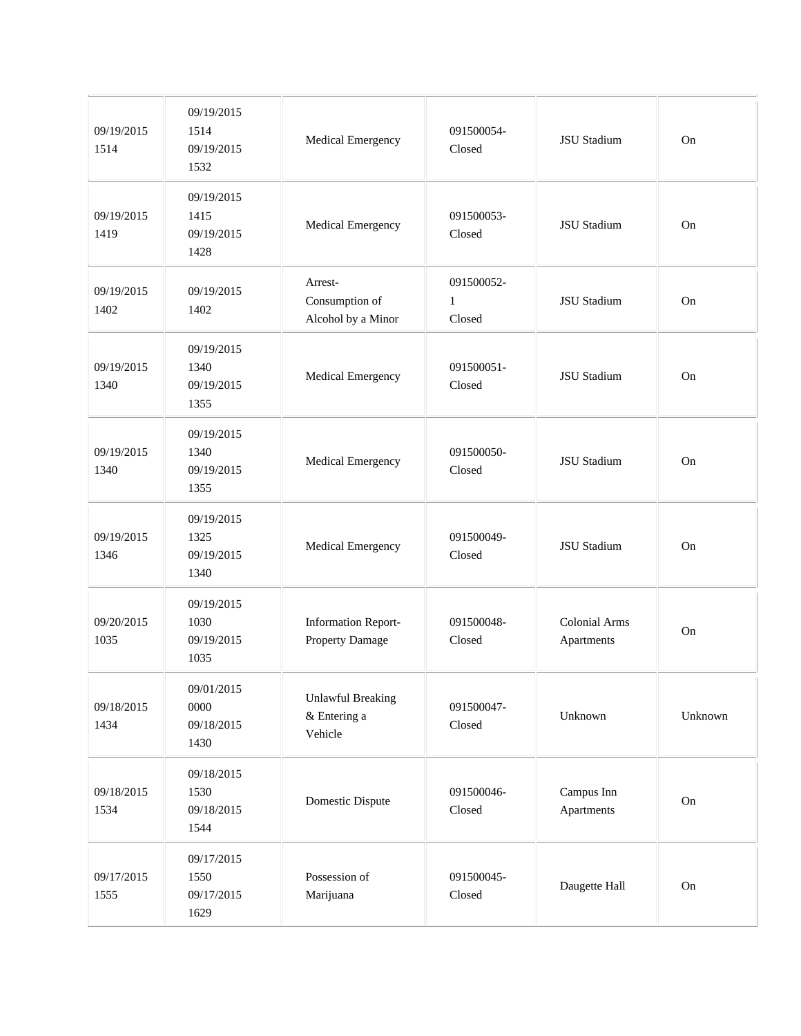| 09/19/2015<br>1514 | 09/19/2015<br>1514<br>09/19/2015<br>1532 | Medical Emergency                                   | 091500054-<br>Closed                 | <b>JSU</b> Stadium                 | On      |
|--------------------|------------------------------------------|-----------------------------------------------------|--------------------------------------|------------------------------------|---------|
| 09/19/2015<br>1419 | 09/19/2015<br>1415<br>09/19/2015<br>1428 | Medical Emergency                                   | 091500053-<br>Closed                 | <b>JSU Stadium</b>                 | On      |
| 09/19/2015<br>1402 | 09/19/2015<br>1402                       | Arrest-<br>Consumption of<br>Alcohol by a Minor     | 091500052-<br>$\mathbf{1}$<br>Closed | JSU Stadium                        | On      |
| 09/19/2015<br>1340 | 09/19/2015<br>1340<br>09/19/2015<br>1355 | Medical Emergency                                   | 091500051-<br>Closed                 | <b>JSU</b> Stadium                 | On      |
| 09/19/2015<br>1340 | 09/19/2015<br>1340<br>09/19/2015<br>1355 | Medical Emergency                                   | 091500050-<br>Closed                 | <b>JSU</b> Stadium                 | On      |
| 09/19/2015<br>1346 | 09/19/2015<br>1325<br>09/19/2015<br>1340 | Medical Emergency                                   | 091500049-<br>Closed                 | <b>JSU Stadium</b>                 | On      |
| 09/20/2015<br>1035 | 09/19/2015<br>1030<br>09/19/2015<br>1035 | <b>Information Report-</b><br>Property Damage       | 091500048-<br>Closed                 | <b>Colonial Arms</b><br>Apartments | On      |
| 09/18/2015<br>1434 | 09/01/2015<br>0000<br>09/18/2015<br>1430 | <b>Unlawful Breaking</b><br>& Entering a<br>Vehicle | 091500047-<br>Closed                 | Unknown                            | Unknown |
| 09/18/2015<br>1534 | 09/18/2015<br>1530<br>09/18/2015<br>1544 | Domestic Dispute                                    | 091500046-<br>Closed                 | Campus Inn<br>Apartments           | On      |
| 09/17/2015<br>1555 | 09/17/2015<br>1550<br>09/17/2015<br>1629 | Possession of<br>Marijuana                          | 091500045-<br>Closed                 | Daugette Hall                      | On      |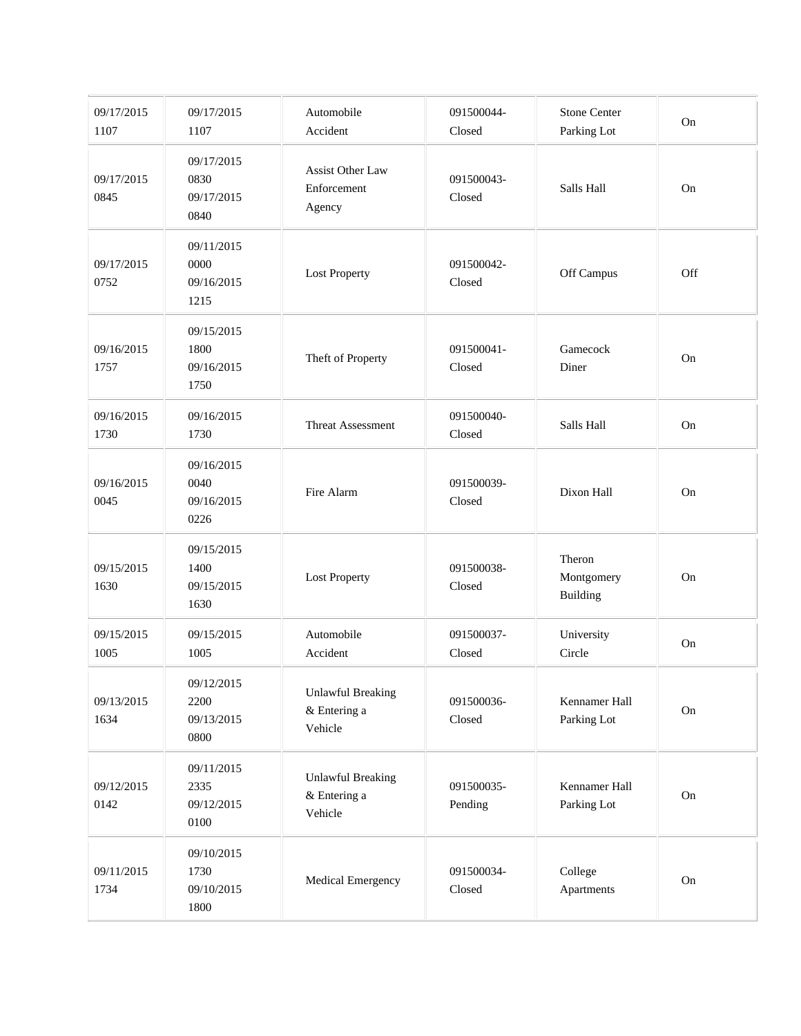| 09/17/2015<br>1107 | 09/17/2015<br>1107                       | Automobile<br>Accident                              | 091500044-<br>Closed  | <b>Stone Center</b><br>Parking Lot | On  |
|--------------------|------------------------------------------|-----------------------------------------------------|-----------------------|------------------------------------|-----|
| 09/17/2015<br>0845 | 09/17/2015<br>0830<br>09/17/2015<br>0840 | <b>Assist Other Law</b><br>Enforcement<br>Agency    | 091500043-<br>Closed  | Salls Hall                         | On  |
| 09/17/2015<br>0752 | 09/11/2015<br>0000<br>09/16/2015<br>1215 | <b>Lost Property</b>                                | 091500042-<br>Closed  | Off Campus                         | Off |
| 09/16/2015<br>1757 | 09/15/2015<br>1800<br>09/16/2015<br>1750 | Theft of Property                                   | 091500041-<br>Closed  | Gamecock<br>Diner                  | On  |
| 09/16/2015<br>1730 | 09/16/2015<br>1730                       | Threat Assessment                                   | 091500040-<br>Closed  | Salls Hall                         | On  |
| 09/16/2015<br>0045 | 09/16/2015<br>0040<br>09/16/2015<br>0226 | Fire Alarm                                          | 091500039-<br>Closed  | Dixon Hall                         | On  |
| 09/15/2015<br>1630 | 09/15/2015<br>1400<br>09/15/2015<br>1630 | <b>Lost Property</b>                                | 091500038-<br>Closed  | Theron<br>Montgomery<br>Building   | On  |
| 09/15/2015<br>1005 | 09/15/2015<br>1005                       | Automobile<br>Accident                              | 091500037-<br>Closed  | University<br>Circle               | On  |
| 09/13/2015<br>1634 | 09/12/2015<br>2200<br>09/13/2015<br>0800 | <b>Unlawful Breaking</b><br>& Entering a<br>Vehicle | 091500036-<br>Closed  | Kennamer Hall<br>Parking Lot       | On  |
| 09/12/2015<br>0142 | 09/11/2015<br>2335<br>09/12/2015<br>0100 | <b>Unlawful Breaking</b><br>& Entering a<br>Vehicle | 091500035-<br>Pending | Kennamer Hall<br>Parking Lot       | On  |
| 09/11/2015<br>1734 | 09/10/2015<br>1730<br>09/10/2015<br>1800 | Medical Emergency                                   | 091500034-<br>Closed  | College<br>Apartments              | On  |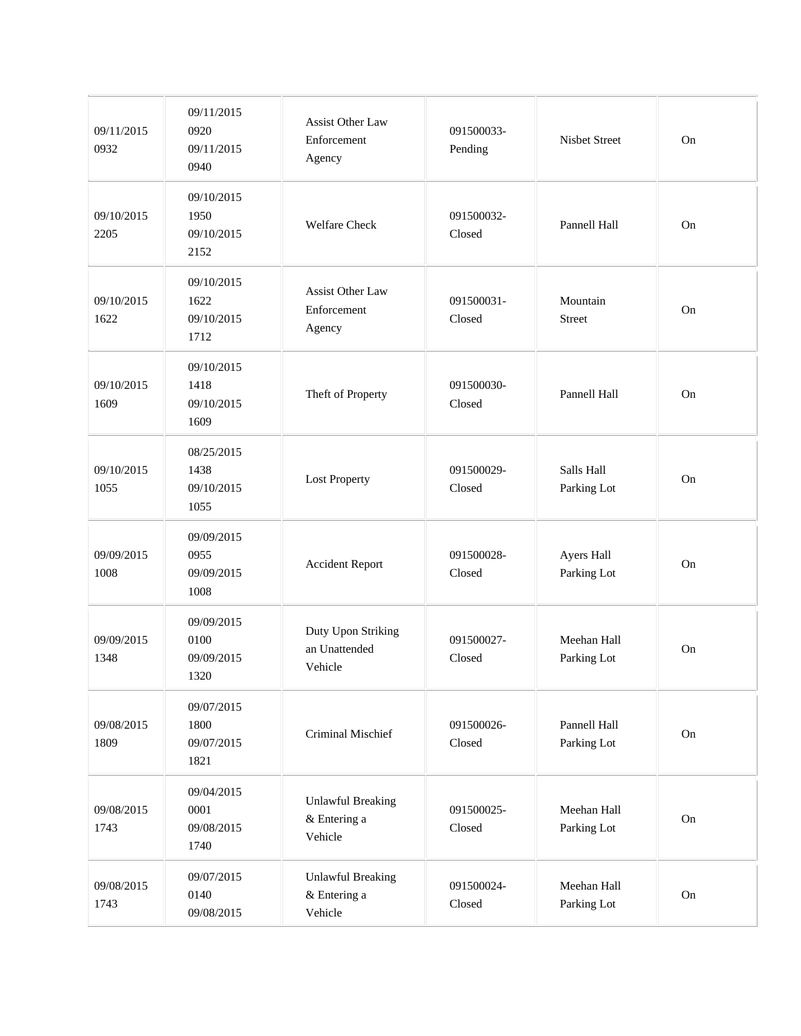| 09/11/2015<br>0932 | 09/11/2015<br>0920<br>09/11/2015<br>0940 | Assist Other Law<br>Enforcement<br>Agency           | 091500033-<br>Pending | Nisbet Street               | On |
|--------------------|------------------------------------------|-----------------------------------------------------|-----------------------|-----------------------------|----|
| 09/10/2015<br>2205 | 09/10/2015<br>1950<br>09/10/2015<br>2152 | <b>Welfare Check</b>                                | 091500032-<br>Closed  | Pannell Hall                | On |
| 09/10/2015<br>1622 | 09/10/2015<br>1622<br>09/10/2015<br>1712 | Assist Other Law<br>Enforcement<br>Agency           | 091500031-<br>Closed  | Mountain<br>Street          | On |
| 09/10/2015<br>1609 | 09/10/2015<br>1418<br>09/10/2015<br>1609 | Theft of Property                                   | 091500030-<br>Closed  | Pannell Hall                | On |
| 09/10/2015<br>1055 | 08/25/2015<br>1438<br>09/10/2015<br>1055 | <b>Lost Property</b>                                | 091500029-<br>Closed  | Salls Hall<br>Parking Lot   | On |
| 09/09/2015<br>1008 | 09/09/2015<br>0955<br>09/09/2015<br>1008 | <b>Accident Report</b>                              | 091500028-<br>Closed  | Ayers Hall<br>Parking Lot   | On |
| 09/09/2015<br>1348 | 09/09/2015<br>0100<br>09/09/2015<br>1320 | Duty Upon Striking<br>an Unattended<br>Vehicle      | 091500027-<br>Closed  | Meehan Hall<br>Parking Lot  | On |
| 09/08/2015<br>1809 | 09/07/2015<br>1800<br>09/07/2015<br>1821 | Criminal Mischief                                   | 091500026-<br>Closed  | Pannell Hall<br>Parking Lot | On |
| 09/08/2015<br>1743 | 09/04/2015<br>0001<br>09/08/2015<br>1740 | <b>Unlawful Breaking</b><br>& Entering a<br>Vehicle | 091500025-<br>Closed  | Meehan Hall<br>Parking Lot  | On |
| 09/08/2015<br>1743 | 09/07/2015<br>0140<br>09/08/2015         | <b>Unlawful Breaking</b><br>& Entering a<br>Vehicle | 091500024-<br>Closed  | Meehan Hall<br>Parking Lot  | On |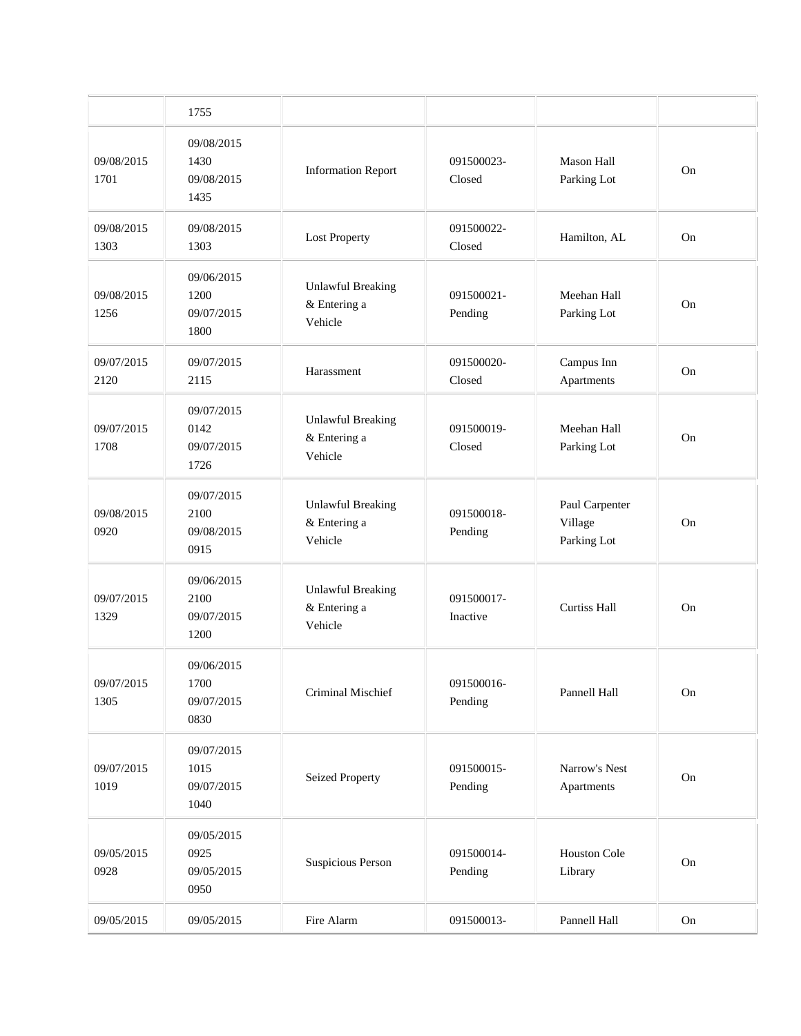|                    | 1755                                     |                                                     |                        |                                          |    |
|--------------------|------------------------------------------|-----------------------------------------------------|------------------------|------------------------------------------|----|
| 09/08/2015<br>1701 | 09/08/2015<br>1430<br>09/08/2015<br>1435 | <b>Information Report</b>                           | 091500023-<br>Closed   | <b>Mason Hall</b><br>Parking Lot         | On |
| 09/08/2015<br>1303 | 09/08/2015<br>1303                       | <b>Lost Property</b>                                | 091500022-<br>Closed   | Hamilton, AL                             | On |
| 09/08/2015<br>1256 | 09/06/2015<br>1200<br>09/07/2015<br>1800 | <b>Unlawful Breaking</b><br>& Entering a<br>Vehicle | 091500021-<br>Pending  | Meehan Hall<br>Parking Lot               | On |
| 09/07/2015<br>2120 | 09/07/2015<br>2115                       | Harassment                                          | 091500020-<br>Closed   | Campus Inn<br>Apartments                 | On |
| 09/07/2015<br>1708 | 09/07/2015<br>0142<br>09/07/2015<br>1726 | <b>Unlawful Breaking</b><br>& Entering a<br>Vehicle | 091500019-<br>Closed   | Meehan Hall<br>Parking Lot               | On |
| 09/08/2015<br>0920 | 09/07/2015<br>2100<br>09/08/2015<br>0915 | <b>Unlawful Breaking</b><br>& Entering a<br>Vehicle | 091500018-<br>Pending  | Paul Carpenter<br>Village<br>Parking Lot | On |
| 09/07/2015<br>1329 | 09/06/2015<br>2100<br>09/07/2015<br>1200 | <b>Unlawful Breaking</b><br>& Entering a<br>Vehicle | 091500017-<br>Inactive | <b>Curtiss Hall</b>                      | On |
| 09/07/2015<br>1305 | 09/06/2015<br>1700<br>09/07/2015<br>0830 | Criminal Mischief                                   | 091500016-<br>Pending  | Pannell Hall                             | On |
| 09/07/2015<br>1019 | 09/07/2015<br>1015<br>09/07/2015<br>1040 | <b>Seized Property</b>                              | 091500015-<br>Pending  | Narrow's Nest<br>Apartments              | On |
| 09/05/2015<br>0928 | 09/05/2015<br>0925<br>09/05/2015<br>0950 | Suspicious Person                                   | 091500014-<br>Pending  | Houston Cole<br>Library                  | On |
| 09/05/2015         | 09/05/2015                               | Fire Alarm                                          | 091500013-             | Pannell Hall                             | On |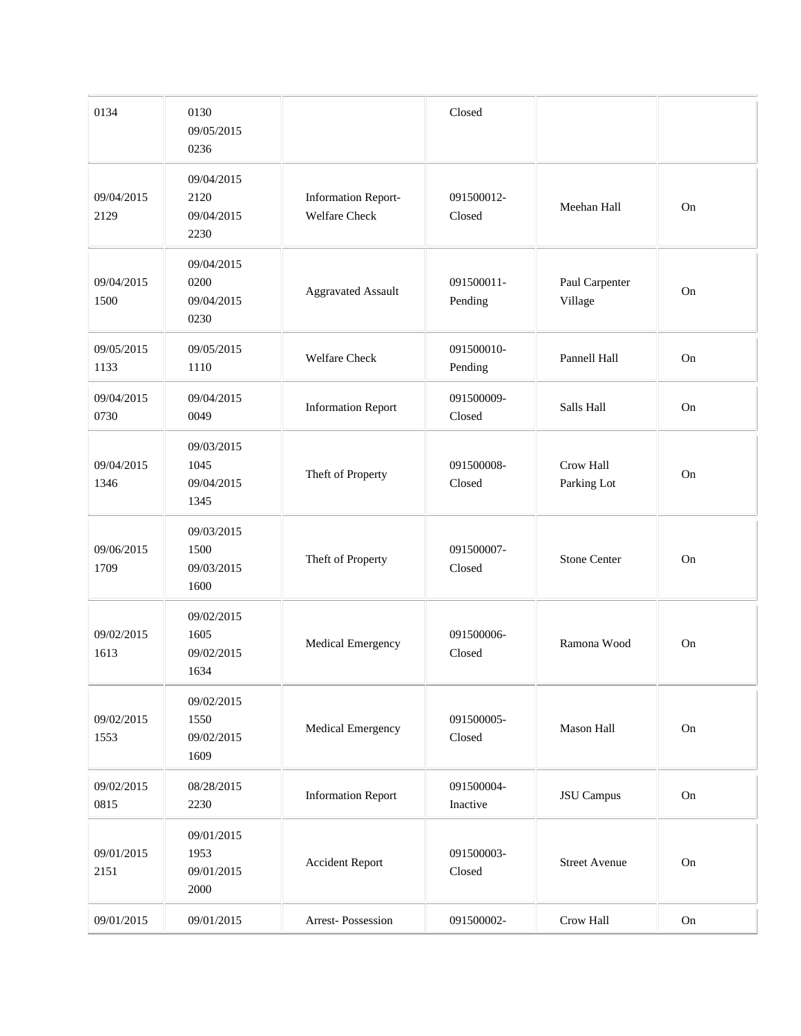| 0134               | 0130<br>09/05/2015<br>0236               |                                                    | Closed                 |                           |          |
|--------------------|------------------------------------------|----------------------------------------------------|------------------------|---------------------------|----------|
| 09/04/2015<br>2129 | 09/04/2015<br>2120<br>09/04/2015<br>2230 | <b>Information Report-</b><br><b>Welfare Check</b> | 091500012-<br>Closed   | Meehan Hall               | On       |
| 09/04/2015<br>1500 | 09/04/2015<br>0200<br>09/04/2015<br>0230 | <b>Aggravated Assault</b>                          | 091500011-<br>Pending  | Paul Carpenter<br>Village | On       |
| 09/05/2015<br>1133 | 09/05/2015<br>1110                       | <b>Welfare Check</b>                               | 091500010-<br>Pending  | Pannell Hall              | On       |
| 09/04/2015<br>0730 | 09/04/2015<br>0049                       | <b>Information Report</b>                          | 091500009-<br>Closed   | Salls Hall                | On       |
| 09/04/2015<br>1346 | 09/03/2015<br>1045<br>09/04/2015<br>1345 | Theft of Property                                  | 091500008-<br>Closed   | Crow Hall<br>Parking Lot  | On       |
| 09/06/2015<br>1709 | 09/03/2015<br>1500<br>09/03/2015<br>1600 | Theft of Property                                  | 091500007-<br>Closed   | <b>Stone Center</b>       | On       |
| 09/02/2015<br>1613 | 09/02/2015<br>1605<br>09/02/2015<br>1634 | Medical Emergency                                  | 091500006-<br>Closed   | Ramona Wood               | On       |
| 09/02/2015<br>1553 | 09/02/2015<br>1550<br>09/02/2015<br>1609 | Medical Emergency                                  | 091500005-<br>Closed   | Mason Hall                | $\rm On$ |
| 09/02/2015<br>0815 | 08/28/2015<br>2230                       | <b>Information Report</b>                          | 091500004-<br>Inactive | <b>JSU</b> Campus         | On       |
| 09/01/2015<br>2151 | 09/01/2015<br>1953<br>09/01/2015<br>2000 | <b>Accident Report</b>                             | 091500003-<br>Closed   | <b>Street Avenue</b>      | $\rm On$ |
| 09/01/2015         | 09/01/2015                               | Arrest-Possession                                  | 091500002-             | Crow Hall                 | On       |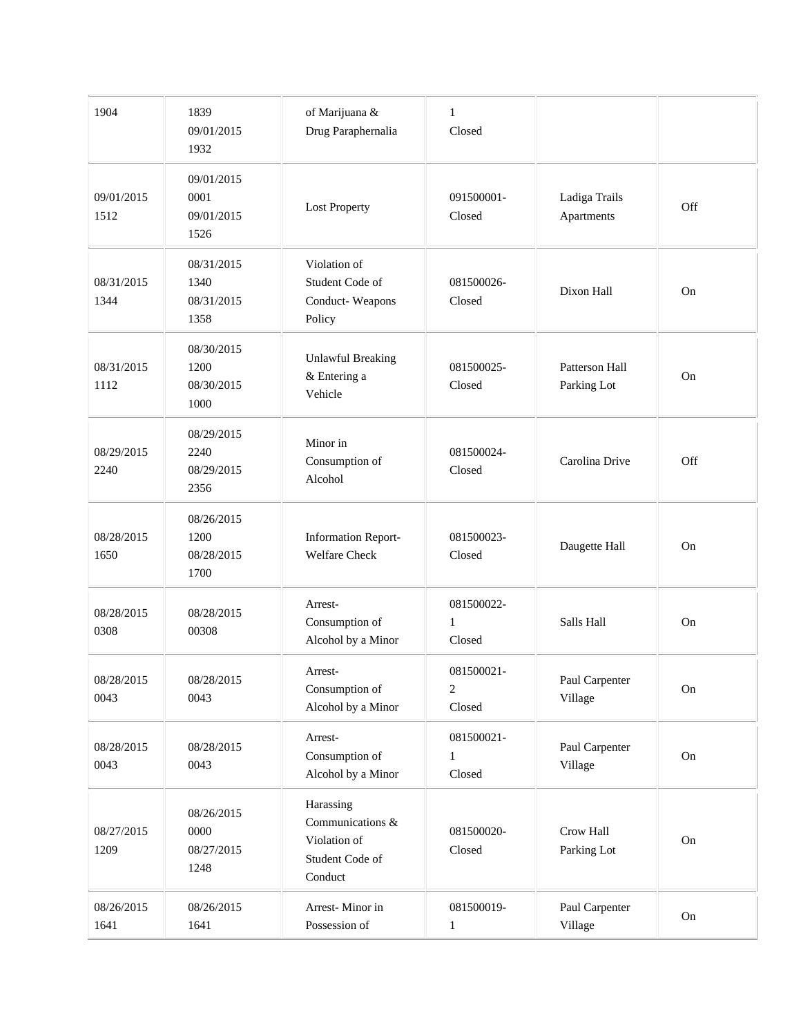| 1904               | 1839<br>09/01/2015<br>1932               | of Marijuana &<br>Drug Paraphernalia                                        | $\mathbf{1}$<br>Closed                 |                               |     |
|--------------------|------------------------------------------|-----------------------------------------------------------------------------|----------------------------------------|-------------------------------|-----|
| 09/01/2015<br>1512 | 09/01/2015<br>0001<br>09/01/2015<br>1526 | <b>Lost Property</b>                                                        | 091500001-<br>Closed                   | Ladiga Trails<br>Apartments   | Off |
| 08/31/2015<br>1344 | 08/31/2015<br>1340<br>08/31/2015<br>1358 | Violation of<br>Student Code of<br>Conduct-Weapons<br>Policy                | 081500026-<br>Closed                   | Dixon Hall                    | On  |
| 08/31/2015<br>1112 | 08/30/2015<br>1200<br>08/30/2015<br>1000 | <b>Unlawful Breaking</b><br>& Entering a<br>Vehicle                         | 081500025-<br>Closed                   | Patterson Hall<br>Parking Lot | On  |
| 08/29/2015<br>2240 | 08/29/2015<br>2240<br>08/29/2015<br>2356 | Minor in<br>Consumption of<br>Alcohol                                       | 081500024-<br>Closed                   | Carolina Drive                | Off |
| 08/28/2015<br>1650 | 08/26/2015<br>1200<br>08/28/2015<br>1700 | <b>Information Report-</b><br><b>Welfare Check</b>                          | 081500023-<br>Closed                   | Daugette Hall                 | On  |
| 08/28/2015<br>0308 | 08/28/2015<br>00308                      | Arrest-<br>Consumption of<br>Alcohol by a Minor                             | 081500022-<br>1<br>Closed              | Salls Hall                    | On  |
| 08/28/2015<br>0043 | 08/28/2015<br>0043                       | Arrest-<br>Consumption of<br>Alcohol by a Minor                             | 081500021-<br>$\overline{2}$<br>Closed | Paul Carpenter<br>Village     | On  |
| 08/28/2015<br>0043 | 08/28/2015<br>0043                       | Arrest-<br>Consumption of<br>Alcohol by a Minor                             | 081500021-<br>1<br>Closed              | Paul Carpenter<br>Village     | On  |
| 08/27/2015<br>1209 | 08/26/2015<br>0000<br>08/27/2015<br>1248 | Harassing<br>Communications &<br>Violation of<br>Student Code of<br>Conduct | 081500020-<br>Closed                   | Crow Hall<br>Parking Lot      | On  |
| 08/26/2015<br>1641 | 08/26/2015<br>1641                       | Arrest-Minor in<br>Possession of                                            | 081500019-<br>$\mathbf{1}$             | Paul Carpenter<br>Village     | On  |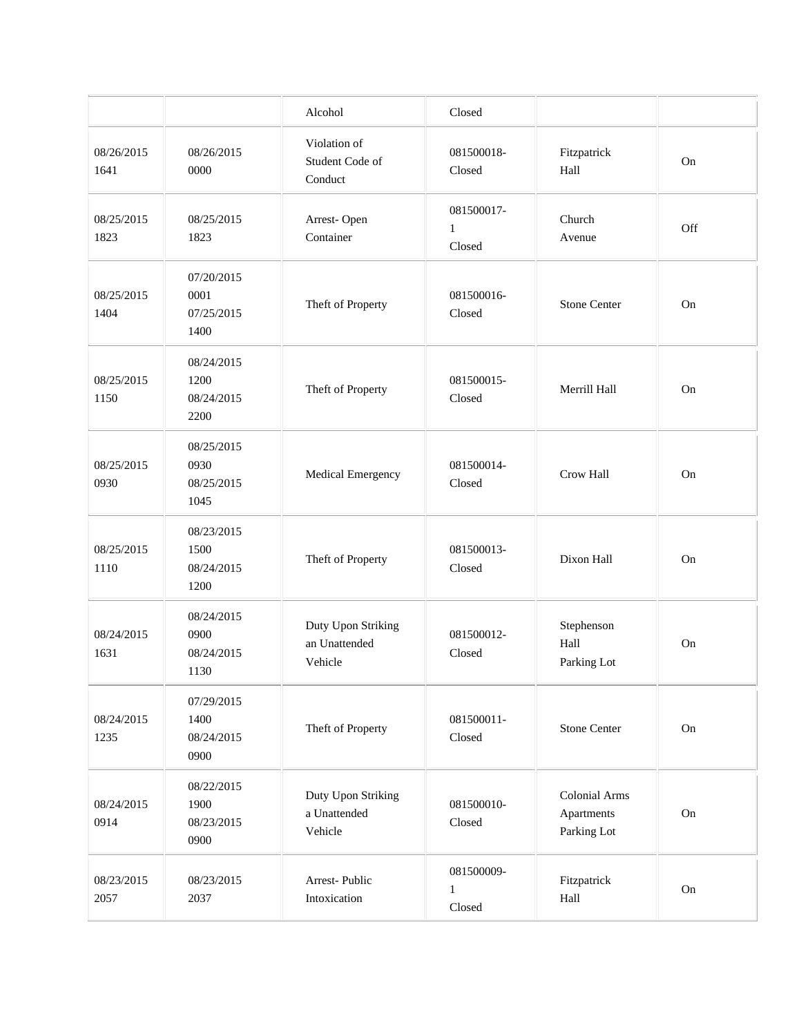|                    |                                          | Alcohol                                        | Closed                               |                                            |          |
|--------------------|------------------------------------------|------------------------------------------------|--------------------------------------|--------------------------------------------|----------|
| 08/26/2015<br>1641 | 08/26/2015<br>0000                       | Violation of<br>Student Code of<br>Conduct     | 081500018-<br>Closed                 | Fitzpatrick<br>Hall                        | On       |
| 08/25/2015<br>1823 | 08/25/2015<br>1823                       | Arrest-Open<br>Container                       | 081500017-<br>$\mathbf{1}$<br>Closed | Church<br>Avenue                           | Off      |
| 08/25/2015<br>1404 | 07/20/2015<br>0001<br>07/25/2015<br>1400 | Theft of Property                              | 081500016-<br>Closed                 | <b>Stone Center</b>                        | On       |
| 08/25/2015<br>1150 | 08/24/2015<br>1200<br>08/24/2015<br>2200 | Theft of Property                              | 081500015-<br>Closed                 | Merrill Hall                               | On       |
| 08/25/2015<br>0930 | 08/25/2015<br>0930<br>08/25/2015<br>1045 | Medical Emergency                              | 081500014-<br>Closed                 | Crow Hall                                  | On       |
| 08/25/2015<br>1110 | 08/23/2015<br>1500<br>08/24/2015<br>1200 | Theft of Property                              | 081500013-<br>Closed                 | Dixon Hall                                 | On       |
| 08/24/2015<br>1631 | 08/24/2015<br>0900<br>08/24/2015<br>1130 | Duty Upon Striking<br>an Unattended<br>Vehicle | 081500012-<br>Closed                 | Stephenson<br>Hall<br>Parking Lot          | On       |
| 08/24/2015<br>1235 | 07/29/2015<br>1400<br>08/24/2015<br>0900 | Theft of Property                              | 081500011-<br>Closed                 | <b>Stone Center</b>                        | $\rm On$ |
| 08/24/2015<br>0914 | 08/22/2015<br>1900<br>08/23/2015<br>0900 | Duty Upon Striking<br>a Unattended<br>Vehicle  | 081500010-<br>Closed                 | Colonial Arms<br>Apartments<br>Parking Lot | $\rm On$ |
| 08/23/2015<br>2057 | 08/23/2015<br>2037                       | Arrest-Public<br>Intoxication                  | 081500009-<br>$\mathbf{1}$<br>Closed | Fitzpatrick<br>Hall                        | $\rm On$ |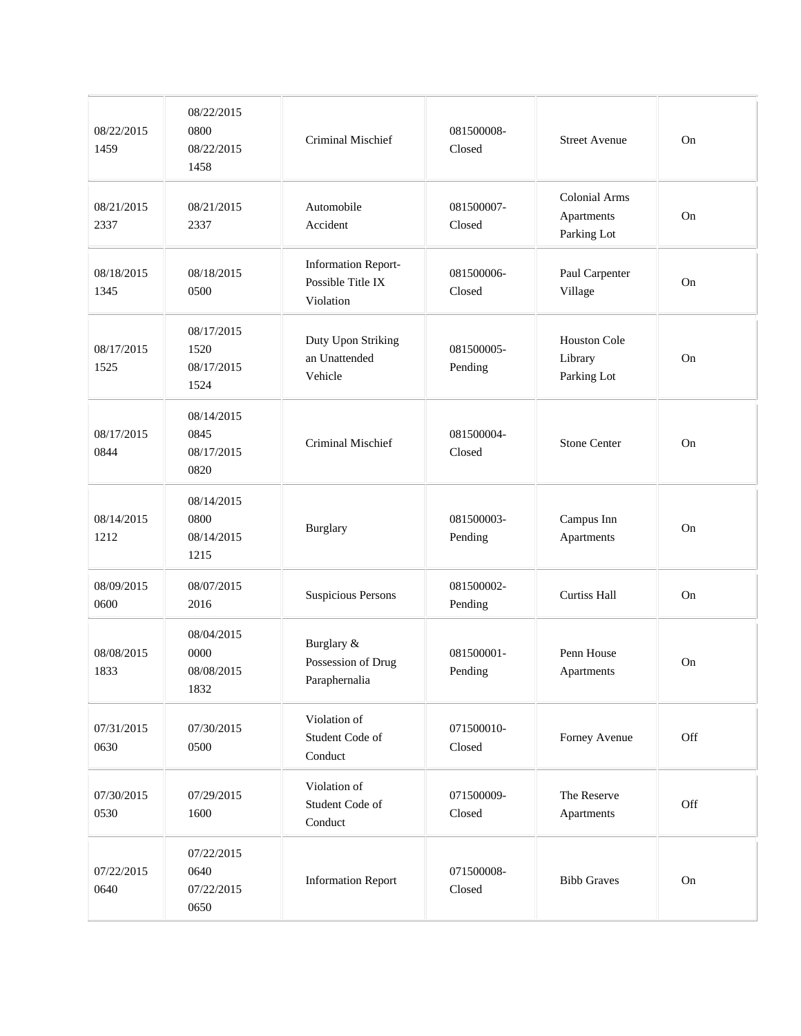| 08/22/2015<br>1459 | 08/22/2015<br>0800<br>08/22/2015<br>1458 | Criminal Mischief                                            | 081500008-<br>Closed  | <b>Street Avenue</b>                              | On       |
|--------------------|------------------------------------------|--------------------------------------------------------------|-----------------------|---------------------------------------------------|----------|
| 08/21/2015<br>2337 | 08/21/2015<br>2337                       | Automobile<br>Accident                                       | 081500007-<br>Closed  | <b>Colonial Arms</b><br>Apartments<br>Parking Lot | On       |
| 08/18/2015<br>1345 | 08/18/2015<br>0500                       | <b>Information Report-</b><br>Possible Title IX<br>Violation | 081500006-<br>Closed  | Paul Carpenter<br>Village                         | On       |
| 08/17/2015<br>1525 | 08/17/2015<br>1520<br>08/17/2015<br>1524 | Duty Upon Striking<br>an Unattended<br>Vehicle               | 081500005-<br>Pending | Houston Cole<br>Library<br>Parking Lot            | On       |
| 08/17/2015<br>0844 | 08/14/2015<br>0845<br>08/17/2015<br>0820 | Criminal Mischief                                            | 081500004-<br>Closed  | <b>Stone Center</b>                               | On       |
| 08/14/2015<br>1212 | 08/14/2015<br>0800<br>08/14/2015<br>1215 | Burglary                                                     | 081500003-<br>Pending | Campus Inn<br>Apartments                          | On       |
| 08/09/2015<br>0600 | 08/07/2015<br>2016                       | <b>Suspicious Persons</b>                                    | 081500002-<br>Pending | <b>Curtiss Hall</b>                               | On       |
| 08/08/2015<br>1833 | 08/04/2015<br>0000<br>08/08/2015<br>1832 | Burglary &<br>Possession of Drug<br>Paraphernalia            | 081500001-<br>Pending | Penn House<br>Apartments                          | On       |
| 07/31/2015<br>0630 | 07/30/2015<br>0500                       | Violation of<br>Student Code of<br>Conduct                   | 071500010-<br>Closed  | Forney Avenue                                     | Off      |
| 07/30/2015<br>0530 | 07/29/2015<br>1600                       | Violation of<br>Student Code of<br>Conduct                   | 071500009-<br>Closed  | The Reserve<br>Apartments                         | Off      |
| 07/22/2015<br>0640 | 07/22/2015<br>0640<br>07/22/2015<br>0650 | <b>Information Report</b>                                    | 071500008-<br>Closed  | <b>Bibb Graves</b>                                | $\rm On$ |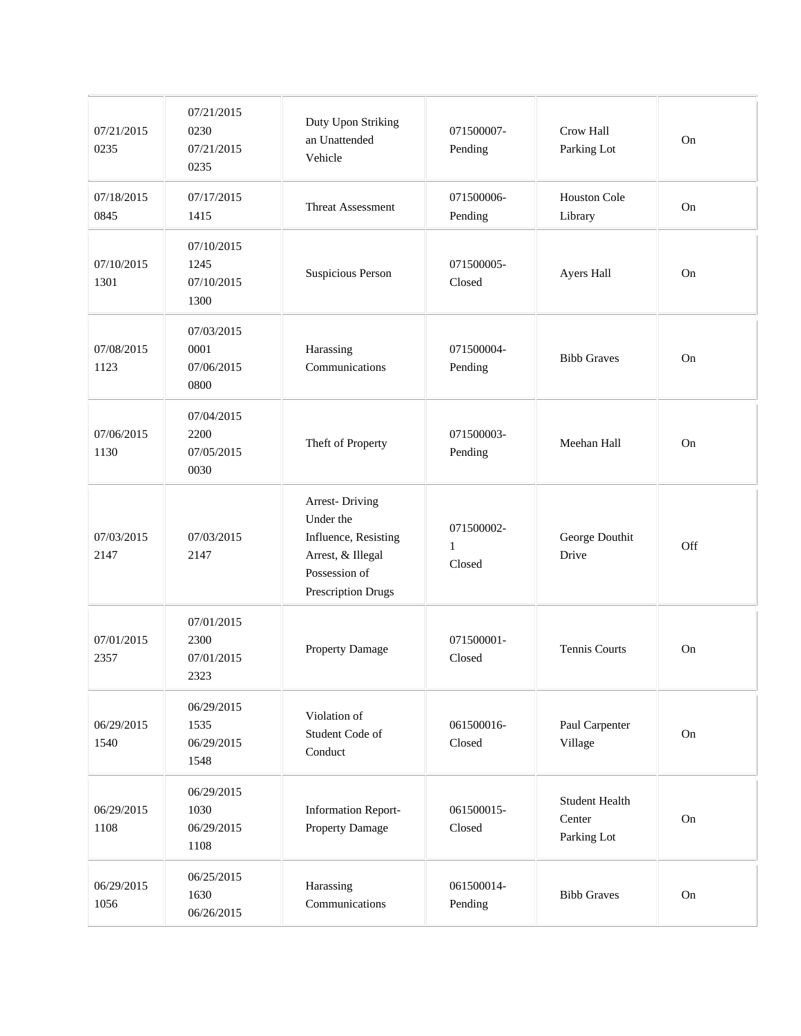| 07/21/2015<br>0235 | 07/21/2015<br>0230<br>07/21/2015<br>0235 | Duty Upon Striking<br>an Unattended<br>Vehicle                                                                         | 071500007-<br>Pending                | Crow Hall<br>Parking Lot                       | On       |
|--------------------|------------------------------------------|------------------------------------------------------------------------------------------------------------------------|--------------------------------------|------------------------------------------------|----------|
| 07/18/2015<br>0845 | 07/17/2015<br>1415                       | Threat Assessment                                                                                                      | 071500006-<br>Pending                | Houston Cole<br>Library                        | On       |
| 07/10/2015<br>1301 | 07/10/2015<br>1245<br>07/10/2015<br>1300 | Suspicious Person                                                                                                      | 071500005-<br>Closed                 | Ayers Hall                                     | On       |
| 07/08/2015<br>1123 | 07/03/2015<br>0001<br>07/06/2015<br>0800 | Harassing<br>Communications                                                                                            | 071500004-<br>Pending                | <b>Bibb Graves</b>                             | On       |
| 07/06/2015<br>1130 | 07/04/2015<br>2200<br>07/05/2015<br>0030 | Theft of Property                                                                                                      | 071500003-<br>Pending                | Meehan Hall                                    | On       |
| 07/03/2015<br>2147 | 07/03/2015<br>2147                       | <b>Arrest-Driving</b><br>Under the<br>Influence, Resisting<br>Arrest, & Illegal<br>Possession of<br>Prescription Drugs | 071500002-<br>$\mathbf{1}$<br>Closed | George Douthit<br>Drive                        | Off      |
| 07/01/2015<br>2357 | 07/01/2015<br>2300<br>07/01/2015<br>2323 | Property Damage                                                                                                        | 071500001-<br>Closed                 | Tennis Courts                                  | On       |
| 06/29/2015<br>1540 | 06/29/2015<br>1535<br>06/29/2015<br>1548 | Violation of<br>Student Code of<br>Conduct                                                                             | 061500016-<br>Closed                 | Paul Carpenter<br>Village                      | On       |
| 06/29/2015<br>1108 | 06/29/2015<br>1030<br>06/29/2015<br>1108 | <b>Information Report-</b><br>Property Damage                                                                          | 061500015-<br>Closed                 | <b>Student Health</b><br>Center<br>Parking Lot | On       |
| 06/29/2015<br>1056 | 06/25/2015<br>1630<br>06/26/2015         | Harassing<br>Communications                                                                                            | 061500014-<br>Pending                | <b>Bibb Graves</b>                             | $\rm On$ |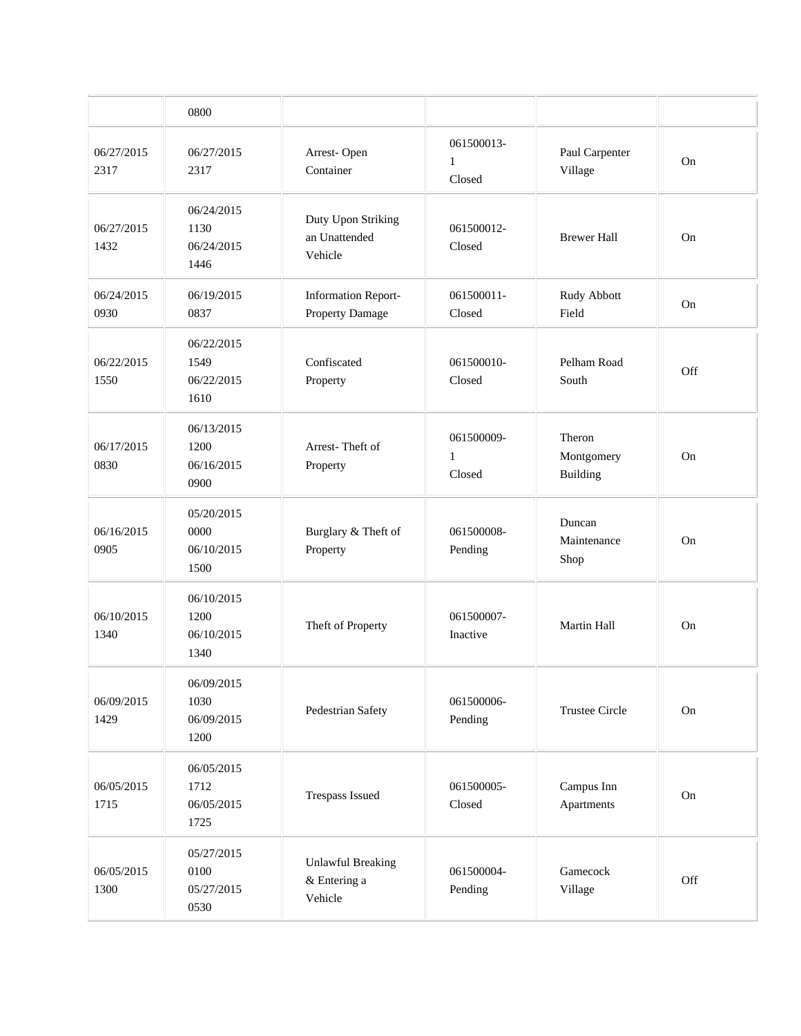|                    | 0800                                     |                                                     |                                      |                                  |     |
|--------------------|------------------------------------------|-----------------------------------------------------|--------------------------------------|----------------------------------|-----|
| 06/27/2015<br>2317 | 06/27/2015<br>2317                       | Arrest-Open<br>Container                            | 061500013-<br>$\mathbf{1}$<br>Closed | Paul Carpenter<br>Village        | On  |
| 06/27/2015<br>1432 | 06/24/2015<br>1130<br>06/24/2015<br>1446 | Duty Upon Striking<br>an Unattended<br>Vehicle      | 061500012-<br>Closed                 | <b>Brewer Hall</b>               | On  |
| 06/24/2015<br>0930 | 06/19/2015<br>0837                       | <b>Information Report-</b><br>Property Damage       | 061500011-<br>Closed                 | Rudy Abbott<br>Field             | On  |
| 06/22/2015<br>1550 | 06/22/2015<br>1549<br>06/22/2015<br>1610 | Confiscated<br>Property                             | 061500010-<br>Closed                 | Pelham Road<br>South             | Off |
| 06/17/2015<br>0830 | 06/13/2015<br>1200<br>06/16/2015<br>0900 | Arrest-Theft of<br>Property                         | 061500009-<br>1<br>Closed            | Theron<br>Montgomery<br>Building | On  |
| 06/16/2015<br>0905 | 05/20/2015<br>0000<br>06/10/2015<br>1500 | Burglary & Theft of<br>Property                     | 061500008-<br>Pending                | Duncan<br>Maintenance<br>Shop    | On  |
| 06/10/2015<br>1340 | 06/10/2015<br>1200<br>06/10/2015<br>1340 | Theft of Property                                   | 061500007-<br>Inactive               | Martin Hall                      | On  |
| 06/09/2015<br>1429 | 06/09/2015<br>1030<br>06/09/2015<br>1200 | Pedestrian Safety                                   | 061500006-<br>Pending                | <b>Trustee Circle</b>            | On  |
| 06/05/2015<br>1715 | 06/05/2015<br>1712<br>06/05/2015<br>1725 | Trespass Issued                                     | 061500005-<br>Closed                 | Campus Inn<br>Apartments         | On  |
| 06/05/2015<br>1300 | 05/27/2015<br>0100<br>05/27/2015<br>0530 | <b>Unlawful Breaking</b><br>& Entering a<br>Vehicle | 061500004-<br>Pending                | Gamecock<br>Village              | Off |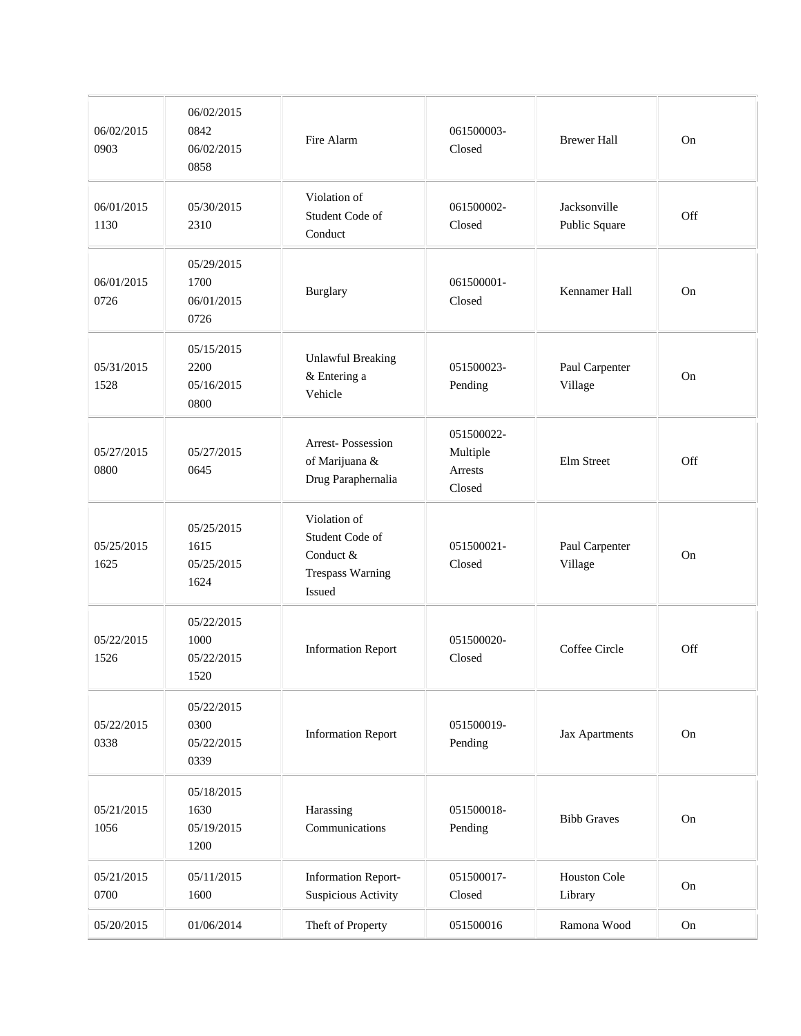| 06/02/2015<br>0903 | 06/02/2015<br>0842<br>06/02/2015<br>0858 | Fire Alarm                                                                        | 061500003-<br>Closed                        | <b>Brewer Hall</b>            | On        |
|--------------------|------------------------------------------|-----------------------------------------------------------------------------------|---------------------------------------------|-------------------------------|-----------|
| 06/01/2015<br>1130 | 05/30/2015<br>2310                       | Violation of<br>Student Code of<br>Conduct                                        | 061500002-<br>Closed                        | Jacksonville<br>Public Square | Off       |
| 06/01/2015<br>0726 | 05/29/2015<br>1700<br>06/01/2015<br>0726 | Burglary                                                                          | 061500001-<br>Closed                        | Kennamer Hall                 | On        |
| 05/31/2015<br>1528 | 05/15/2015<br>2200<br>05/16/2015<br>0800 | <b>Unlawful Breaking</b><br>& Entering a<br>Vehicle                               | 051500023-<br>Pending                       | Paul Carpenter<br>Village     | On        |
| 05/27/2015<br>0800 | 05/27/2015<br>0645                       | Arrest-Possession<br>of Marijuana &<br>Drug Paraphernalia                         | 051500022-<br>Multiple<br>Arrests<br>Closed | Elm Street                    | Off       |
| 05/25/2015<br>1625 | 05/25/2015<br>1615<br>05/25/2015<br>1624 | Violation of<br>Student Code of<br>Conduct &<br><b>Trespass Warning</b><br>Issued | 051500021-<br>Closed                        | Paul Carpenter<br>Village     | <b>On</b> |
| 05/22/2015<br>1526 | 05/22/2015<br>1000<br>05/22/2015<br>1520 | <b>Information Report</b>                                                         | 051500020-<br>Closed                        | Coffee Circle                 | Off       |
| 05/22/2015<br>0338 | 05/22/2015<br>0300<br>05/22/2015<br>0339 | <b>Information Report</b>                                                         | 051500019-<br>Pending                       | Jax Apartments                | On        |
| 05/21/2015<br>1056 | 05/18/2015<br>1630<br>05/19/2015<br>1200 | Harassing<br>Communications                                                       | 051500018-<br>Pending                       | <b>Bibb Graves</b>            | On        |
| 05/21/2015<br>0700 | 05/11/2015<br>1600                       | <b>Information Report-</b><br>Suspicious Activity                                 | 051500017-<br>Closed                        | Houston Cole<br>Library       | On        |
| 05/20/2015         | 01/06/2014                               | Theft of Property                                                                 | 051500016                                   | Ramona Wood                   | On        |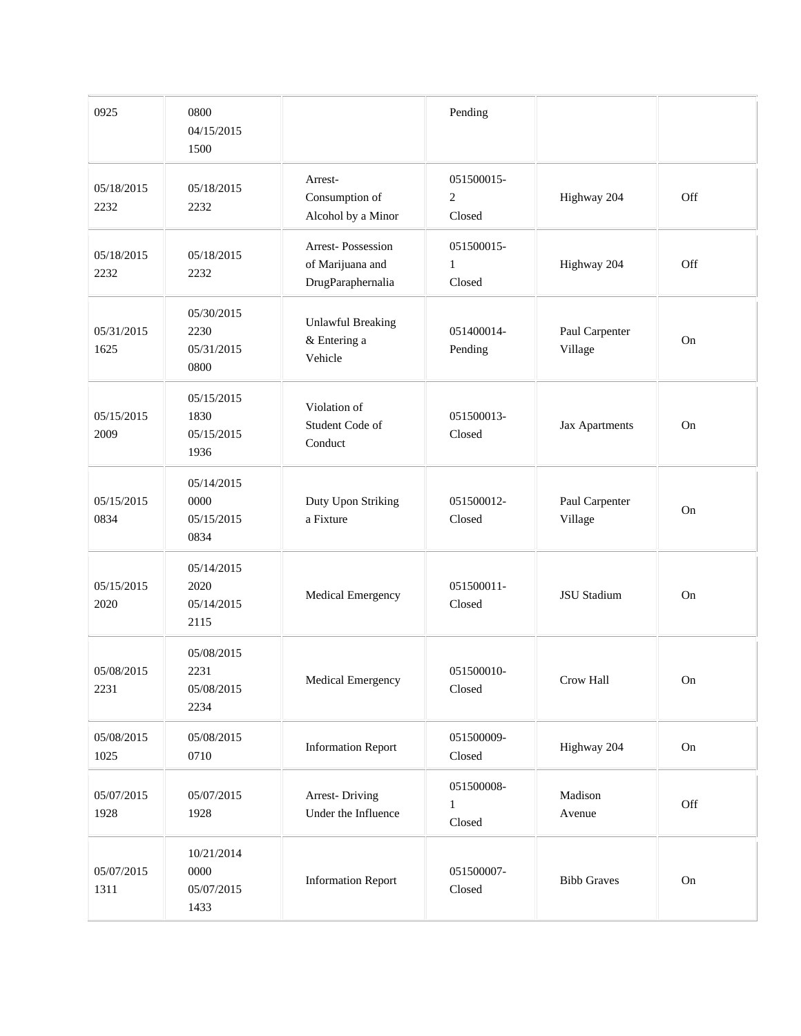| 0925               | 0800<br>04/15/2015<br>1500               |                                                            | Pending                                |                           |            |
|--------------------|------------------------------------------|------------------------------------------------------------|----------------------------------------|---------------------------|------------|
| 05/18/2015<br>2232 | 05/18/2015<br>2232                       | Arrest-<br>Consumption of<br>Alcohol by a Minor            | 051500015-<br>$\overline{c}$<br>Closed | Highway 204               | Off        |
| 05/18/2015<br>2232 | 05/18/2015<br>2232                       | Arrest-Possession<br>of Marijuana and<br>DrugParaphernalia | 051500015-<br>$\mathbf{1}$<br>Closed   | Highway 204               | Off        |
| 05/31/2015<br>1625 | 05/30/2015<br>2230<br>05/31/2015<br>0800 | <b>Unlawful Breaking</b><br>& Entering a<br>Vehicle        | 051400014-<br>Pending                  | Paul Carpenter<br>Village | On         |
| 05/15/2015<br>2009 | 05/15/2015<br>1830<br>05/15/2015<br>1936 | Violation of<br>Student Code of<br>Conduct                 | 051500013-<br>Closed                   | Jax Apartments            | On         |
| 05/15/2015<br>0834 | 05/14/2015<br>0000<br>05/15/2015<br>0834 | Duty Upon Striking<br>a Fixture                            | 051500012-<br>Closed                   | Paul Carpenter<br>Village | On         |
| 05/15/2015<br>2020 | 05/14/2015<br>2020<br>05/14/2015<br>2115 | Medical Emergency                                          | 051500011-<br>Closed                   | JSU Stadium               | On         |
| 05/08/2015<br>2231 | 05/08/2015<br>2231<br>05/08/2015<br>2234 | Medical Emergency                                          | 051500010-<br>Closed                   | Crow Hall                 | On         |
| 05/08/2015<br>1025 | 05/08/2015<br>0710                       | <b>Information Report</b>                                  | 051500009-<br>Closed                   | Highway 204               | On         |
| 05/07/2015<br>1928 | 05/07/2015<br>1928                       | <b>Arrest-Driving</b><br>Under the Influence               | 051500008-<br>$\mathbf{1}$<br>Closed   | Madison<br>Avenue         | Off        |
| 05/07/2015<br>1311 | 10/21/2014<br>0000<br>05/07/2015<br>1433 | <b>Information Report</b>                                  | 051500007-<br>Closed                   | <b>Bibb Graves</b>        | ${\rm On}$ |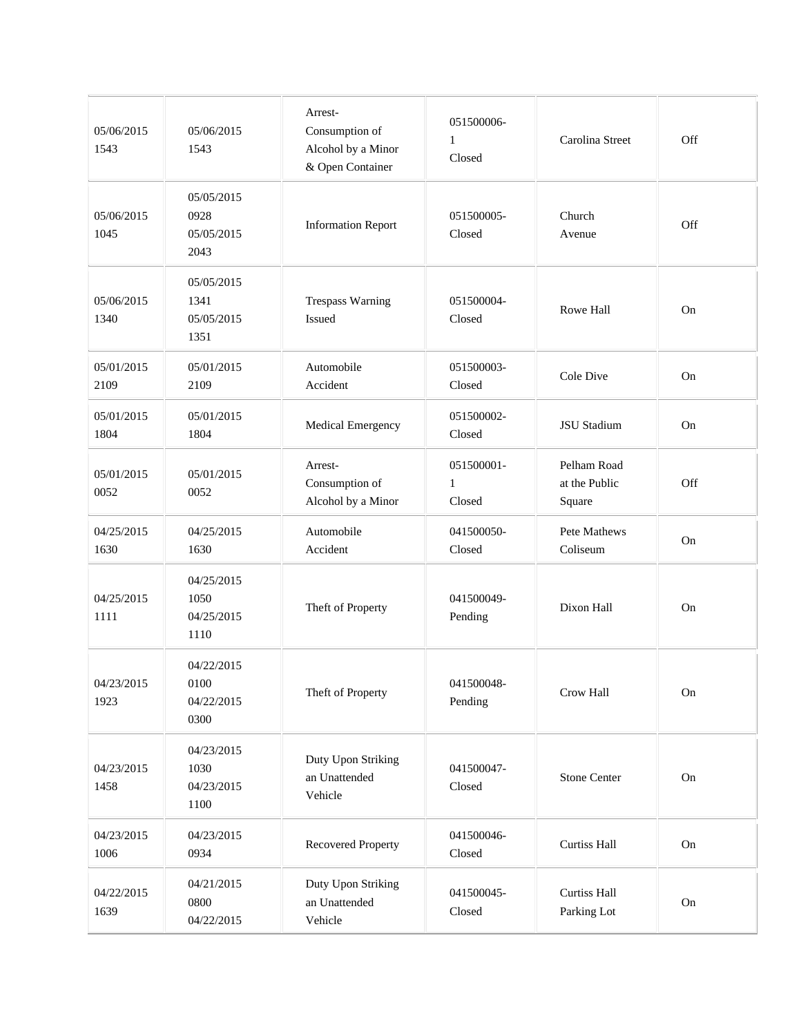| 05/06/2015<br>1543 | 05/06/2015<br>1543                       | Arrest-<br>Consumption of<br>Alcohol by a Minor<br>& Open Container | 051500006-<br>$\mathbf{1}$<br>Closed | Carolina Street                        | Off |
|--------------------|------------------------------------------|---------------------------------------------------------------------|--------------------------------------|----------------------------------------|-----|
| 05/06/2015<br>1045 | 05/05/2015<br>0928<br>05/05/2015<br>2043 | <b>Information Report</b>                                           | 051500005-<br>Closed                 | Church<br>Avenue                       | Off |
| 05/06/2015<br>1340 | 05/05/2015<br>1341<br>05/05/2015<br>1351 | <b>Trespass Warning</b><br>Issued                                   | 051500004-<br>Closed                 | <b>Rowe Hall</b>                       | On  |
| 05/01/2015<br>2109 | 05/01/2015<br>2109                       | Automobile<br>Accident                                              | 051500003-<br>Closed                 | <b>Cole Dive</b>                       | On  |
| 05/01/2015<br>1804 | 05/01/2015<br>1804                       | Medical Emergency                                                   | 051500002-<br>Closed                 | <b>JSU</b> Stadium                     | On  |
| 05/01/2015<br>0052 | 05/01/2015<br>0052                       | Arrest-<br>Consumption of<br>Alcohol by a Minor                     | 051500001-<br>$\mathbf{1}$<br>Closed | Pelham Road<br>at the Public<br>Square | Off |
| 04/25/2015<br>1630 | 04/25/2015<br>1630                       | Automobile<br>Accident                                              | 041500050-<br>Closed                 | Pete Mathews<br>Coliseum               | On  |
| 04/25/2015<br>1111 | 04/25/2015<br>1050<br>04/25/2015<br>1110 | Theft of Property                                                   | 041500049-<br>Pending                | Dixon Hall                             | On  |
| 04/23/2015<br>1923 | 04/22/2015<br>0100<br>04/22/2015<br>0300 | Theft of Property                                                   | 041500048-<br>Pending                | Crow Hall                              | On  |
| 04/23/2015<br>1458 | 04/23/2015<br>1030<br>04/23/2015<br>1100 | Duty Upon Striking<br>an Unattended<br>Vehicle                      | 041500047-<br>Closed                 | <b>Stone Center</b>                    | On  |
| 04/23/2015<br>1006 | 04/23/2015<br>0934                       | Recovered Property                                                  | 041500046-<br>Closed                 | Curtiss Hall                           | On  |
| 04/22/2015<br>1639 | 04/21/2015<br>0800<br>04/22/2015         | Duty Upon Striking<br>an Unattended<br>Vehicle                      | 041500045-<br>Closed                 | <b>Curtiss Hall</b><br>Parking Lot     | On  |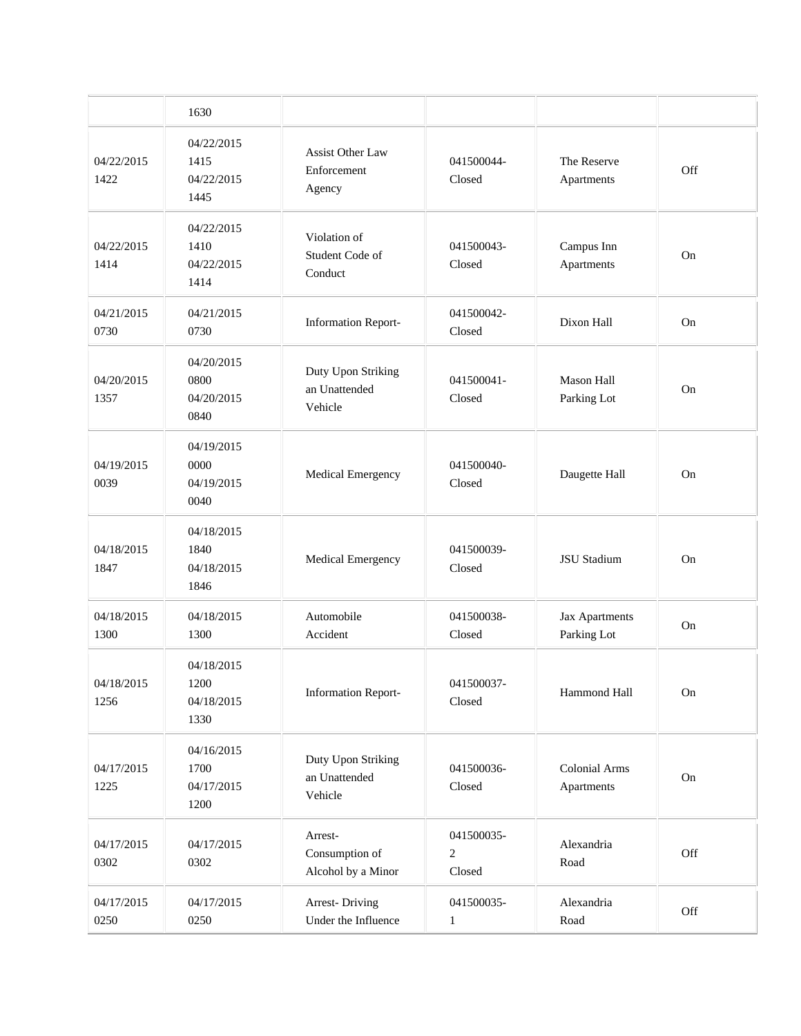|                    | 1630                                     |                                                 |                            |                                  |     |
|--------------------|------------------------------------------|-------------------------------------------------|----------------------------|----------------------------------|-----|
| 04/22/2015<br>1422 | 04/22/2015<br>1415<br>04/22/2015<br>1445 | Assist Other Law<br>Enforcement<br>Agency       | 041500044-<br>Closed       | The Reserve<br>Apartments        | Off |
| 04/22/2015<br>1414 | 04/22/2015<br>1410<br>04/22/2015<br>1414 | Violation of<br>Student Code of<br>Conduct      | 041500043-<br>Closed       | Campus Inn<br>Apartments         | On  |
| 04/21/2015<br>0730 | 04/21/2015<br>0730                       | <b>Information Report-</b>                      | 041500042-<br>Closed       | Dixon Hall                       | On  |
| 04/20/2015<br>1357 | 04/20/2015<br>0800<br>04/20/2015<br>0840 | Duty Upon Striking<br>an Unattended<br>Vehicle  | 041500041-<br>Closed       | <b>Mason Hall</b><br>Parking Lot | On  |
| 04/19/2015<br>0039 | 04/19/2015<br>0000<br>04/19/2015<br>0040 | Medical Emergency                               | 041500040-<br>Closed       | Daugette Hall                    | On  |
| 04/18/2015<br>1847 | 04/18/2015<br>1840<br>04/18/2015<br>1846 | Medical Emergency                               | 041500039-<br>Closed       | <b>JSU</b> Stadium               | On  |
| 04/18/2015<br>1300 | 04/18/2015<br>1300                       | Automobile<br>Accident                          | 041500038-<br>Closed       | Jax Apartments<br>Parking Lot    | On  |
| 04/18/2015<br>1256 | 04/18/2015<br>1200<br>04/18/2015<br>1330 | <b>Information Report-</b>                      | 041500037-<br>Closed       | Hammond Hall                     | On  |
| 04/17/2015<br>1225 | 04/16/2015<br>1700<br>04/17/2015<br>1200 | Duty Upon Striking<br>an Unattended<br>Vehicle  | 041500036-<br>Closed       | Colonial Arms<br>Apartments      | On  |
| 04/17/2015<br>0302 | 04/17/2015<br>0302                       | Arrest-<br>Consumption of<br>Alcohol by a Minor | 041500035-<br>2<br>Closed  | Alexandria<br>Road               | Off |
| 04/17/2015<br>0250 | 04/17/2015<br>0250                       | <b>Arrest-Driving</b><br>Under the Influence    | 041500035-<br>$\mathbf{1}$ | Alexandria<br>Road               | Off |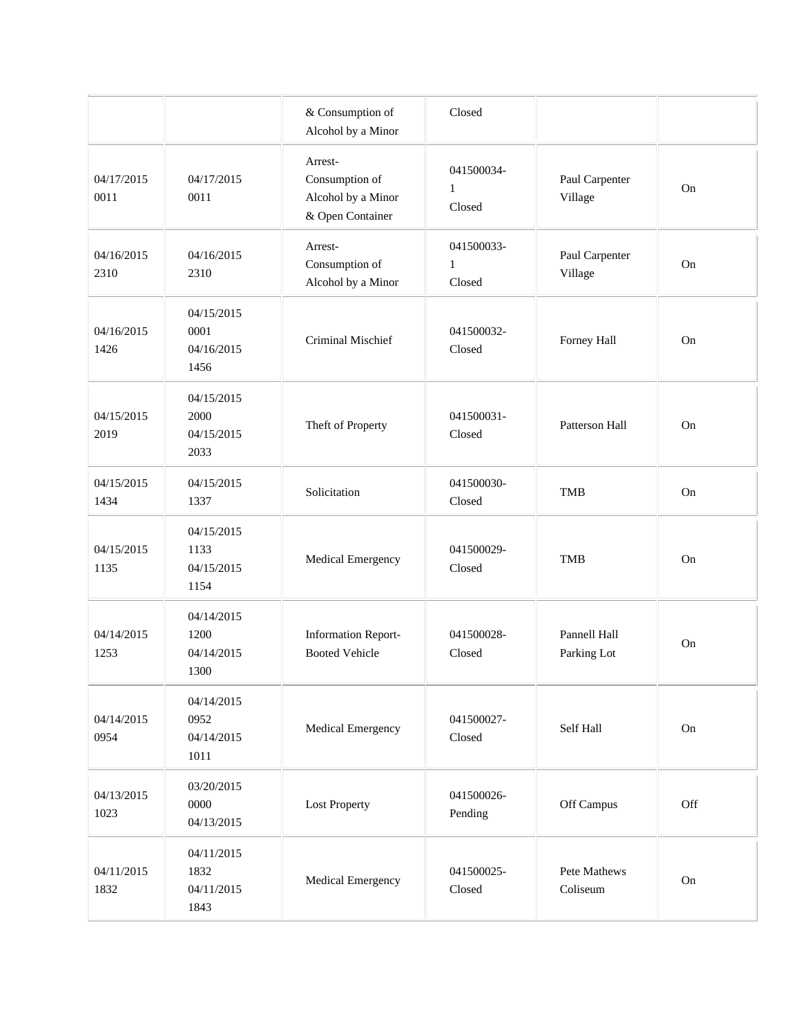|                    |                                          | & Consumption of<br>Alcohol by a Minor                              | Closed                               |                             |          |
|--------------------|------------------------------------------|---------------------------------------------------------------------|--------------------------------------|-----------------------------|----------|
| 04/17/2015<br>0011 | 04/17/2015<br>0011                       | Arrest-<br>Consumption of<br>Alcohol by a Minor<br>& Open Container | 041500034-<br>$\mathbf{1}$<br>Closed | Paul Carpenter<br>Village   | On       |
| 04/16/2015<br>2310 | 04/16/2015<br>2310                       | Arrest-<br>Consumption of<br>Alcohol by a Minor                     | 041500033-<br>$\mathbf{1}$<br>Closed | Paul Carpenter<br>Village   | On       |
| 04/16/2015<br>1426 | 04/15/2015<br>0001<br>04/16/2015<br>1456 | Criminal Mischief                                                   | 041500032-<br>Closed                 | Forney Hall                 | On       |
| 04/15/2015<br>2019 | 04/15/2015<br>2000<br>04/15/2015<br>2033 | Theft of Property                                                   | 041500031-<br>Closed                 | Patterson Hall              | On       |
| 04/15/2015<br>1434 | 04/15/2015<br>1337                       | Solicitation                                                        | 041500030-<br>Closed                 | <b>TMB</b>                  | On       |
| 04/15/2015<br>1135 | 04/15/2015<br>1133<br>04/15/2015<br>1154 | Medical Emergency                                                   | 041500029-<br>Closed                 | <b>TMB</b>                  | On       |
| 04/14/2015<br>1253 | 04/14/2015<br>1200<br>04/14/2015<br>1300 | <b>Information Report-</b><br><b>Booted Vehicle</b>                 | 041500028-<br>Closed                 | Pannell Hall<br>Parking Lot | On       |
| 04/14/2015<br>0954 | 04/14/2015<br>0952<br>04/14/2015<br>1011 | Medical Emergency                                                   | 041500027-<br>Closed                 | Self Hall                   | $\rm On$ |
| 04/13/2015<br>1023 | 03/20/2015<br>0000<br>04/13/2015         | <b>Lost Property</b>                                                | 041500026-<br>Pending                | Off Campus                  | Off      |
| 04/11/2015<br>1832 | 04/11/2015<br>1832<br>04/11/2015<br>1843 | Medical Emergency                                                   | 041500025-<br>Closed                 | Pete Mathews<br>Coliseum    | $\rm On$ |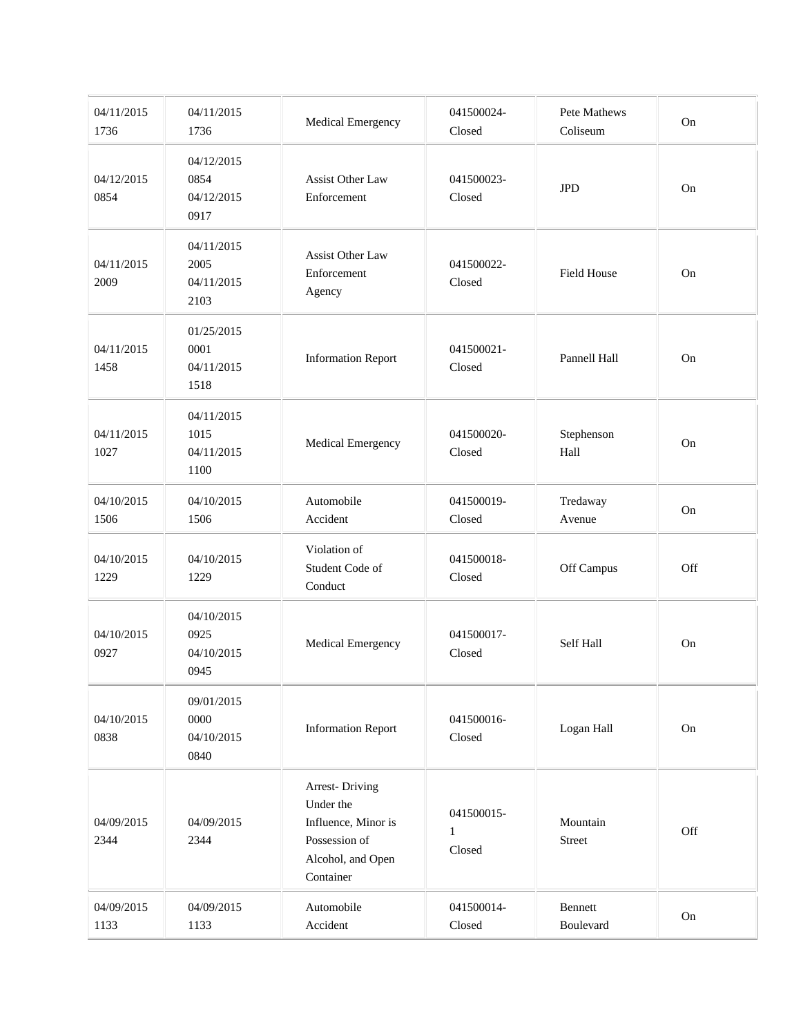| 04/11/2015<br>1736 | 04/11/2015<br>1736                       | Medical Emergency                                                                                            | 041500024-<br>Closed                 | Pete Mathews<br>Coliseum | On  |
|--------------------|------------------------------------------|--------------------------------------------------------------------------------------------------------------|--------------------------------------|--------------------------|-----|
| 04/12/2015<br>0854 | 04/12/2015<br>0854<br>04/12/2015<br>0917 | <b>Assist Other Law</b><br>Enforcement                                                                       | 041500023-<br>Closed                 | <b>JPD</b>               | On  |
| 04/11/2015<br>2009 | 04/11/2015<br>2005<br>04/11/2015<br>2103 | Assist Other Law<br>Enforcement<br>Agency                                                                    | 041500022-<br>Closed                 | <b>Field House</b>       | On  |
| 04/11/2015<br>1458 | 01/25/2015<br>0001<br>04/11/2015<br>1518 | <b>Information Report</b>                                                                                    | 041500021-<br>Closed                 | Pannell Hall             | On  |
| 04/11/2015<br>1027 | 04/11/2015<br>1015<br>04/11/2015<br>1100 | Medical Emergency                                                                                            | 041500020-<br>Closed                 | Stephenson<br>Hall       | On  |
| 04/10/2015<br>1506 | 04/10/2015<br>1506                       | Automobile<br>Accident                                                                                       | 041500019-<br>Closed                 | Tredaway<br>Avenue       | On  |
| 04/10/2015<br>1229 | 04/10/2015<br>1229                       | Violation of<br>Student Code of<br>Conduct                                                                   | 041500018-<br>Closed                 | Off Campus               | Off |
| 04/10/2015<br>0927 | 04/10/2015<br>0925<br>04/10/2015<br>0945 | Medical Emergency                                                                                            | 041500017-<br>Closed                 | Self Hall                | On  |
| 04/10/2015<br>0838 | 09/01/2015<br>0000<br>04/10/2015<br>0840 | <b>Information Report</b>                                                                                    | 041500016-<br>Closed                 | Logan Hall               | On  |
| 04/09/2015<br>2344 | 04/09/2015<br>2344                       | <b>Arrest-Driving</b><br>Under the<br>Influence, Minor is<br>Possession of<br>Alcohol, and Open<br>Container | 041500015-<br>$\mathbf{1}$<br>Closed | Mountain<br>Street       | Off |
| 04/09/2015<br>1133 | 04/09/2015<br>1133                       | Automobile<br>Accident                                                                                       | 041500014-<br>Closed                 | Bennett<br>Boulevard     | On  |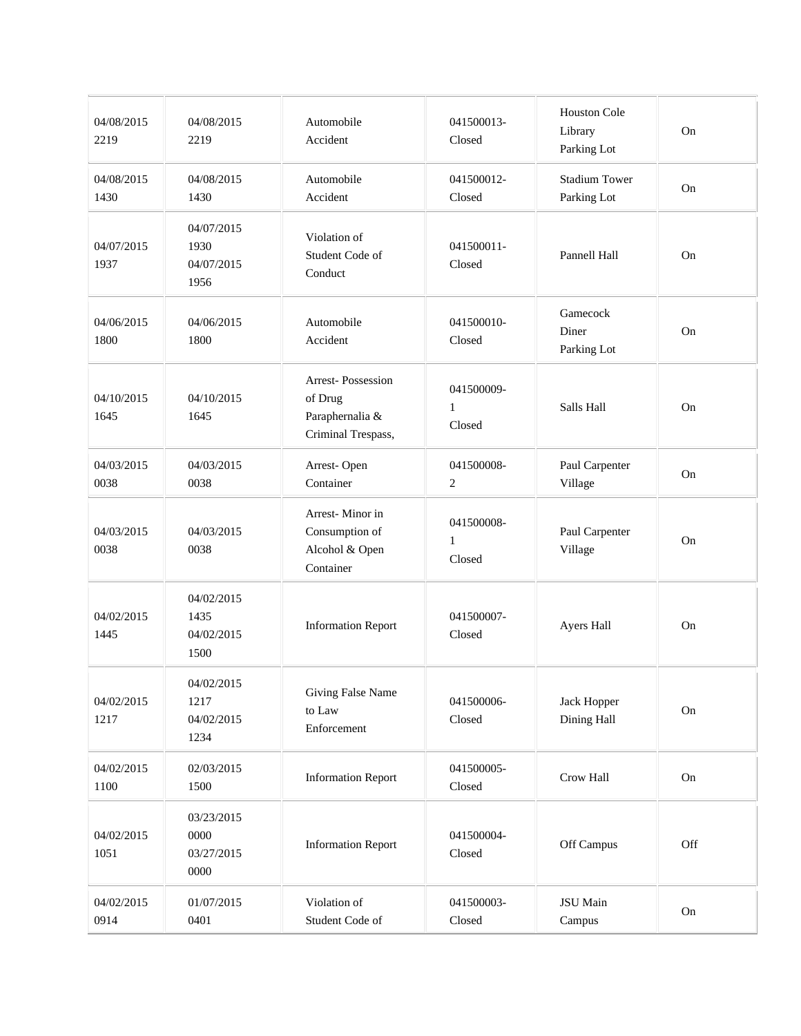| 04/08/2015<br>2219 | 04/08/2015<br>2219                       | Automobile<br>Accident                                                | 041500013-<br>Closed                 | Houston Cole<br>Library<br>Parking Lot | On        |
|--------------------|------------------------------------------|-----------------------------------------------------------------------|--------------------------------------|----------------------------------------|-----------|
| 04/08/2015<br>1430 | 04/08/2015<br>1430                       | Automobile<br>Accident                                                | 041500012-<br>Closed                 | <b>Stadium Tower</b><br>Parking Lot    | On        |
| 04/07/2015<br>1937 | 04/07/2015<br>1930<br>04/07/2015<br>1956 | Violation of<br>Student Code of<br>Conduct                            | 041500011-<br>Closed                 | Pannell Hall                           | <b>On</b> |
| 04/06/2015<br>1800 | 04/06/2015<br>1800                       | Automobile<br>Accident                                                | 041500010-<br>Closed                 | Gamecock<br>Diner<br>Parking Lot       | On        |
| 04/10/2015<br>1645 | 04/10/2015<br>1645                       | Arrest-Possession<br>of Drug<br>Paraphernalia &<br>Criminal Trespass, | 041500009-<br>$\mathbf{1}$<br>Closed | Salls Hall                             | On        |
| 04/03/2015<br>0038 | 04/03/2015<br>0038                       | Arrest-Open<br>Container                                              | 041500008-<br>2                      | Paul Carpenter<br>Village              | On        |
| 04/03/2015<br>0038 | 04/03/2015<br>0038                       | Arrest-Minor in<br>Consumption of<br>Alcohol & Open<br>Container      | 041500008-<br>$\mathbf{1}$<br>Closed | Paul Carpenter<br>Village              | On        |
| 04/02/2015<br>1445 | 04/02/2015<br>1435<br>04/02/2015<br>1500 | <b>Information Report</b>                                             | 041500007-<br>Closed                 | Ayers Hall                             | On        |
| 04/02/2015<br>1217 | 04/02/2015<br>1217<br>04/02/2015<br>1234 | Giving False Name<br>to Law<br>Enforcement                            | 041500006-<br>Closed                 | Jack Hopper<br>Dining Hall             | $\rm On$  |
| 04/02/2015<br>1100 | 02/03/2015<br>1500                       | <b>Information Report</b>                                             | 041500005-<br>Closed                 | Crow Hall                              | On        |
| 04/02/2015<br>1051 | 03/23/2015<br>0000<br>03/27/2015<br>0000 | <b>Information Report</b>                                             | 041500004-<br>Closed                 | Off Campus                             | Off       |
| 04/02/2015<br>0914 | 01/07/2015<br>0401                       | Violation of<br>Student Code of                                       | 041500003-<br>Closed                 | JSU Main<br>Campus                     | On        |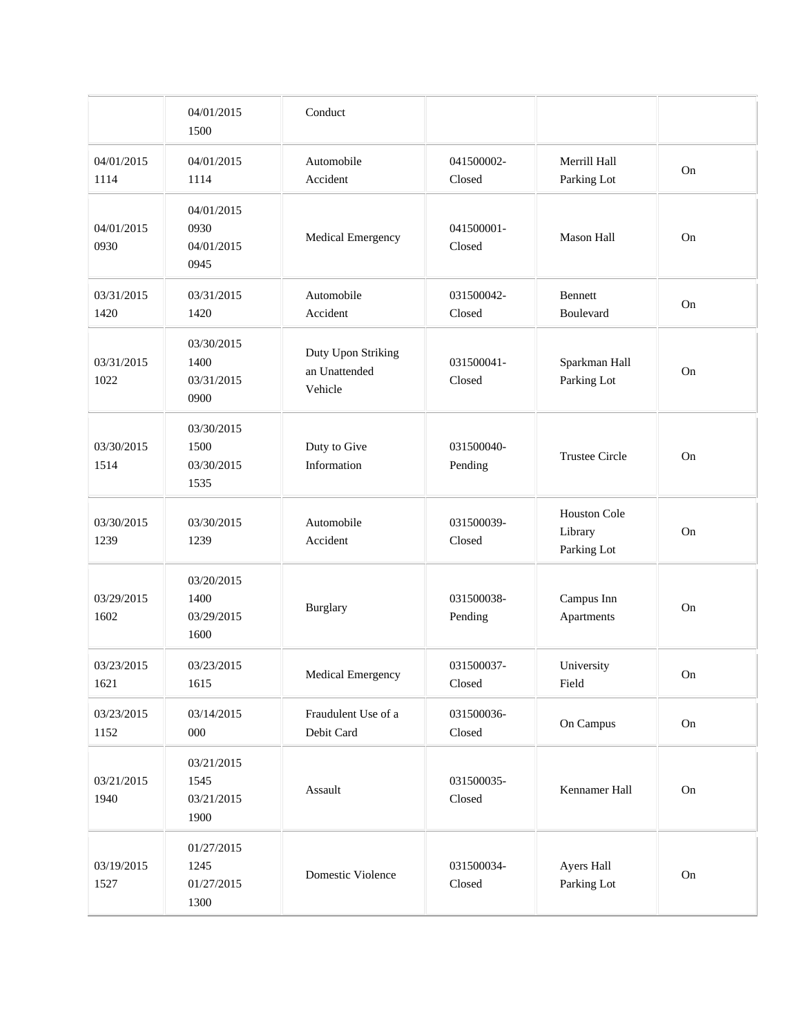|                    | 04/01/2015<br>1500                       | Conduct                                        |                       |                                               |          |
|--------------------|------------------------------------------|------------------------------------------------|-----------------------|-----------------------------------------------|----------|
| 04/01/2015<br>1114 | 04/01/2015<br>1114                       | Automobile<br>Accident                         | 041500002-<br>Closed  | Merrill Hall<br>Parking Lot                   | On       |
| 04/01/2015<br>0930 | 04/01/2015<br>0930<br>04/01/2015<br>0945 | Medical Emergency                              | 041500001-<br>Closed  | <b>Mason Hall</b>                             | On       |
| 03/31/2015<br>1420 | 03/31/2015<br>1420                       | Automobile<br>Accident                         | 031500042-<br>Closed  | Bennett<br>Boulevard                          | On       |
| 03/31/2015<br>1022 | 03/30/2015<br>1400<br>03/31/2015<br>0900 | Duty Upon Striking<br>an Unattended<br>Vehicle | 031500041-<br>Closed  | Sparkman Hall<br>Parking Lot                  | On       |
| 03/30/2015<br>1514 | 03/30/2015<br>1500<br>03/30/2015<br>1535 | Duty to Give<br>Information                    | 031500040-<br>Pending | <b>Trustee Circle</b>                         | On       |
| 03/30/2015<br>1239 | 03/30/2015<br>1239                       | Automobile<br>Accident                         | 031500039-<br>Closed  | <b>Houston Cole</b><br>Library<br>Parking Lot | On       |
| 03/29/2015<br>1602 | 03/20/2015<br>1400<br>03/29/2015<br>1600 | Burglary                                       | 031500038-<br>Pending | Campus Inn<br>Apartments                      | On       |
| 03/23/2015<br>1621 | 03/23/2015<br>1615                       | <b>Medical Emergency</b>                       | 031500037-<br>Closed  | University<br>Field                           | On       |
| 03/23/2015<br>1152 | 03/14/2015<br>000                        | Fraudulent Use of a<br>Debit Card              | 031500036-<br>Closed  | On Campus                                     | On       |
| 03/21/2015<br>1940 | 03/21/2015<br>1545<br>03/21/2015<br>1900 | Assault                                        | 031500035-<br>Closed  | Kennamer Hall                                 | $\rm On$ |
| 03/19/2015<br>1527 | 01/27/2015<br>1245<br>01/27/2015<br>1300 | Domestic Violence                              | 031500034-<br>Closed  | Ayers Hall<br>Parking Lot                     | On       |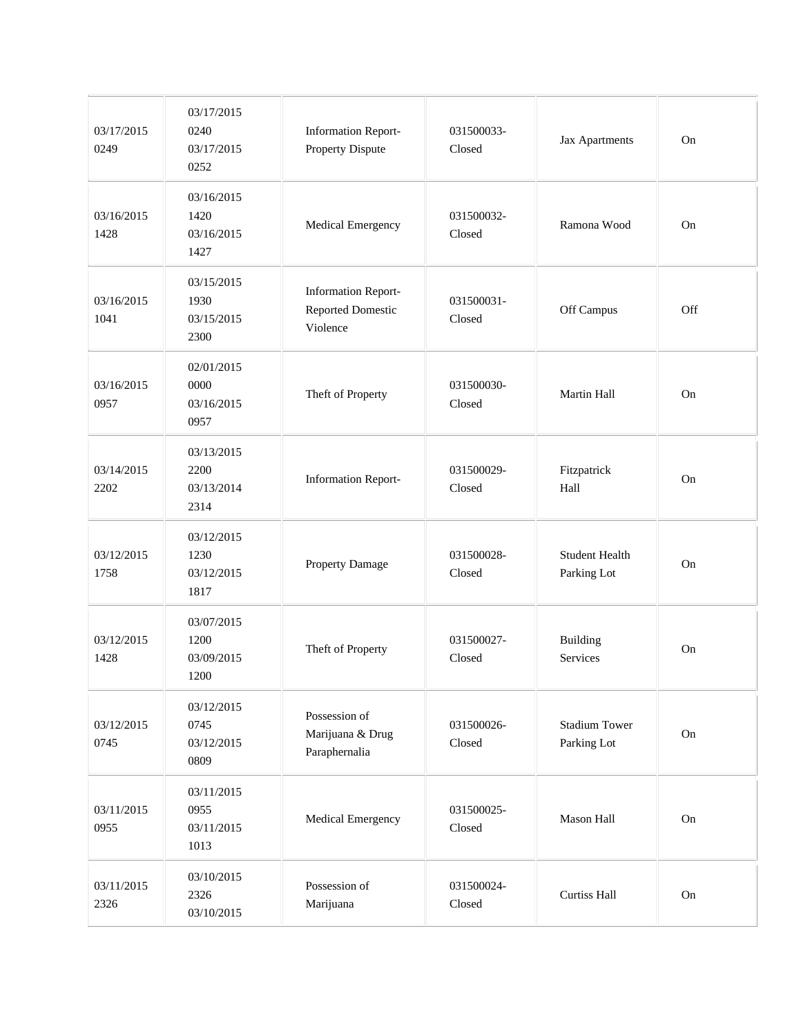| 03/17/2015<br>0249 | 03/17/2015<br>0240<br>03/17/2015<br>0252 | <b>Information Report-</b><br><b>Property Dispute</b>       | 031500033-<br>Closed | Jax Apartments                       | On  |
|--------------------|------------------------------------------|-------------------------------------------------------------|----------------------|--------------------------------------|-----|
| 03/16/2015<br>1428 | 03/16/2015<br>1420<br>03/16/2015<br>1427 | Medical Emergency                                           | 031500032-<br>Closed | Ramona Wood                          | On  |
| 03/16/2015<br>1041 | 03/15/2015<br>1930<br>03/15/2015<br>2300 | <b>Information Report-</b><br>Reported Domestic<br>Violence | 031500031-<br>Closed | Off Campus                           | Off |
| 03/16/2015<br>0957 | 02/01/2015<br>0000<br>03/16/2015<br>0957 | Theft of Property                                           | 031500030-<br>Closed | Martin Hall                          | On  |
| 03/14/2015<br>2202 | 03/13/2015<br>2200<br>03/13/2014<br>2314 | <b>Information Report-</b>                                  | 031500029-<br>Closed | Fitzpatrick<br>Hall                  | On  |
| 03/12/2015<br>1758 | 03/12/2015<br>1230<br>03/12/2015<br>1817 | Property Damage                                             | 031500028-<br>Closed | <b>Student Health</b><br>Parking Lot | On  |
| 03/12/2015<br>1428 | 03/07/2015<br>1200<br>03/09/2015<br>1200 | Theft of Property                                           | 031500027-<br>Closed | <b>Building</b><br>Services          | On  |
| 03/12/2015<br>0745 | 03/12/2015<br>0745<br>03/12/2015<br>0809 | Possession of<br>Marijuana & Drug<br>Paraphernalia          | 031500026-<br>Closed | <b>Stadium Tower</b><br>Parking Lot  | On  |
| 03/11/2015<br>0955 | 03/11/2015<br>0955<br>03/11/2015<br>1013 | Medical Emergency                                           | 031500025-<br>Closed | Mason Hall                           | On  |
| 03/11/2015<br>2326 | 03/10/2015<br>2326<br>03/10/2015         | Possession of<br>Marijuana                                  | 031500024-<br>Closed | Curtiss Hall                         | On  |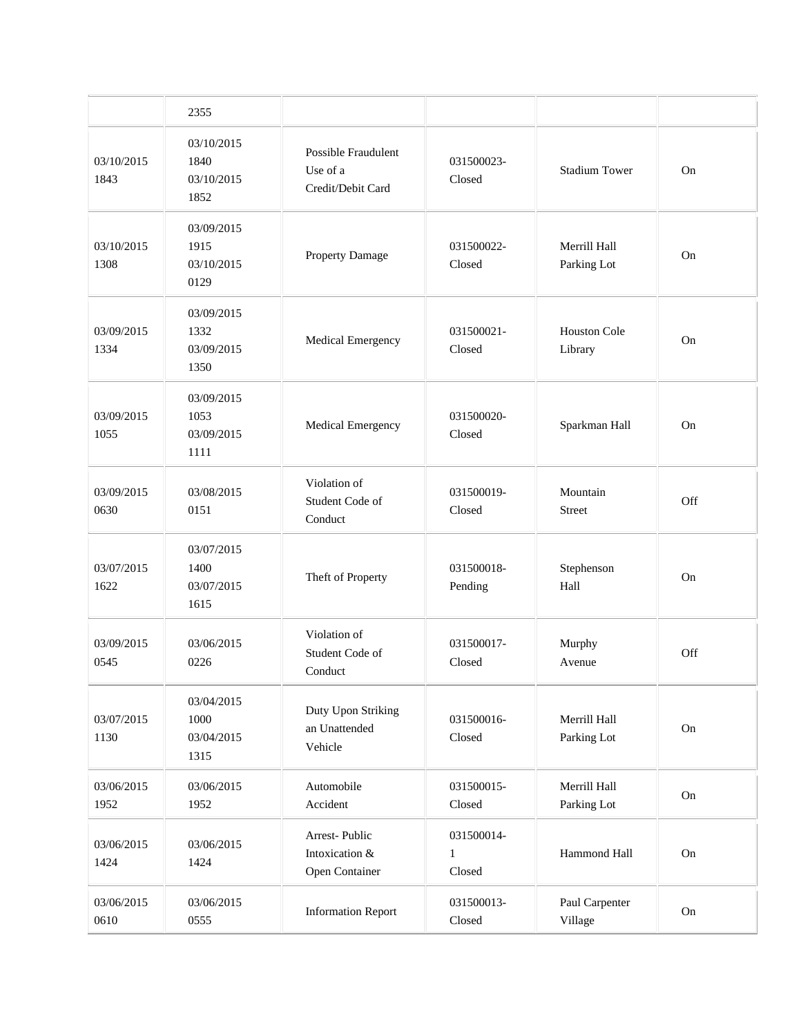|                    | 2355                                     |                                                      |                                      |                                |     |
|--------------------|------------------------------------------|------------------------------------------------------|--------------------------------------|--------------------------------|-----|
| 03/10/2015<br>1843 | 03/10/2015<br>1840<br>03/10/2015<br>1852 | Possible Fraudulent<br>Use of a<br>Credit/Debit Card | 031500023-<br>Closed                 | <b>Stadium Tower</b>           | On  |
| 03/10/2015<br>1308 | 03/09/2015<br>1915<br>03/10/2015<br>0129 | Property Damage                                      | 031500022-<br>Closed                 | Merrill Hall<br>Parking Lot    | On  |
| 03/09/2015<br>1334 | 03/09/2015<br>1332<br>03/09/2015<br>1350 | Medical Emergency                                    | 031500021-<br>Closed                 | <b>Houston Cole</b><br>Library | On  |
| 03/09/2015<br>1055 | 03/09/2015<br>1053<br>03/09/2015<br>1111 | Medical Emergency                                    | 031500020-<br>Closed                 | Sparkman Hall                  | On  |
| 03/09/2015<br>0630 | 03/08/2015<br>0151                       | Violation of<br>Student Code of<br>Conduct           | 031500019-<br>Closed                 | Mountain<br>Street             | Off |
| 03/07/2015<br>1622 | 03/07/2015<br>1400<br>03/07/2015<br>1615 | Theft of Property                                    | 031500018-<br>Pending                | Stephenson<br>Hall             | On  |
| 03/09/2015<br>0545 | 03/06/2015<br>0226                       | Violation of<br>Student Code of<br>Conduct           | 031500017-<br>Closed                 | Murphy<br>Avenue               | Off |
| 03/07/2015<br>1130 | 03/04/2015<br>1000<br>03/04/2015<br>1315 | Duty Upon Striking<br>an Unattended<br>Vehicle       | 031500016-<br>Closed                 | Merrill Hall<br>Parking Lot    | On  |
| 03/06/2015<br>1952 | 03/06/2015<br>1952                       | Automobile<br>Accident                               | 031500015-<br>Closed                 | Merrill Hall<br>Parking Lot    | On  |
| 03/06/2015<br>1424 | 03/06/2015<br>1424                       | Arrest-Public<br>Intoxication &<br>Open Container    | 031500014-<br>$\mathbf{1}$<br>Closed | Hammond Hall                   | On  |
| 03/06/2015<br>0610 | 03/06/2015<br>0555                       | <b>Information Report</b>                            | 031500013-<br>Closed                 | Paul Carpenter<br>Village      | On  |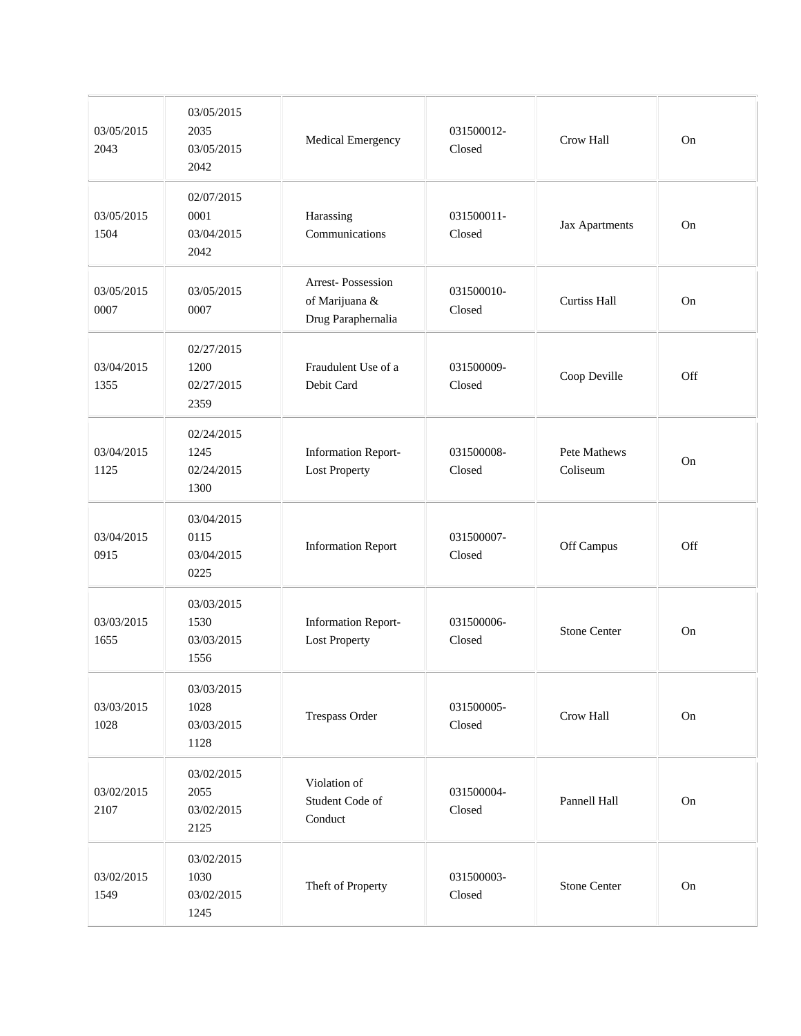| 03/05/2015<br>2043 | 03/05/2015<br>2035<br>03/05/2015<br>2042 | Medical Emergency                                         | 031500012-<br>Closed | Crow Hall                       | On  |
|--------------------|------------------------------------------|-----------------------------------------------------------|----------------------|---------------------------------|-----|
| 03/05/2015<br>1504 | 02/07/2015<br>0001<br>03/04/2015<br>2042 | Harassing<br>Communications                               | 031500011-<br>Closed | Jax Apartments                  | On  |
| 03/05/2015<br>0007 | 03/05/2015<br>0007                       | Arrest-Possession<br>of Marijuana &<br>Drug Paraphernalia | 031500010-<br>Closed | <b>Curtiss Hall</b>             | On  |
| 03/04/2015<br>1355 | 02/27/2015<br>1200<br>02/27/2015<br>2359 | Fraudulent Use of a<br>Debit Card                         | 031500009-<br>Closed | Coop Deville                    | Off |
| 03/04/2015<br>1125 | 02/24/2015<br>1245<br>02/24/2015<br>1300 | <b>Information Report-</b><br><b>Lost Property</b>        | 031500008-<br>Closed | <b>Pete Mathews</b><br>Coliseum | On  |
| 03/04/2015<br>0915 | 03/04/2015<br>0115<br>03/04/2015<br>0225 | <b>Information Report</b>                                 | 031500007-<br>Closed | Off Campus                      | Off |
| 03/03/2015<br>1655 | 03/03/2015<br>1530<br>03/03/2015<br>1556 | <b>Information Report-</b><br><b>Lost Property</b>        | 031500006-<br>Closed | <b>Stone Center</b>             | On  |
| 03/03/2015<br>1028 | 03/03/2015<br>1028<br>03/03/2015<br>1128 | Trespass Order                                            | 031500005-<br>Closed | Crow Hall                       | On  |
| 03/02/2015<br>2107 | 03/02/2015<br>2055<br>03/02/2015<br>2125 | Violation of<br>Student Code of<br>Conduct                | 031500004-<br>Closed | Pannell Hall                    | On  |
| 03/02/2015<br>1549 | 03/02/2015<br>1030<br>03/02/2015<br>1245 | Theft of Property                                         | 031500003-<br>Closed | <b>Stone Center</b>             | On  |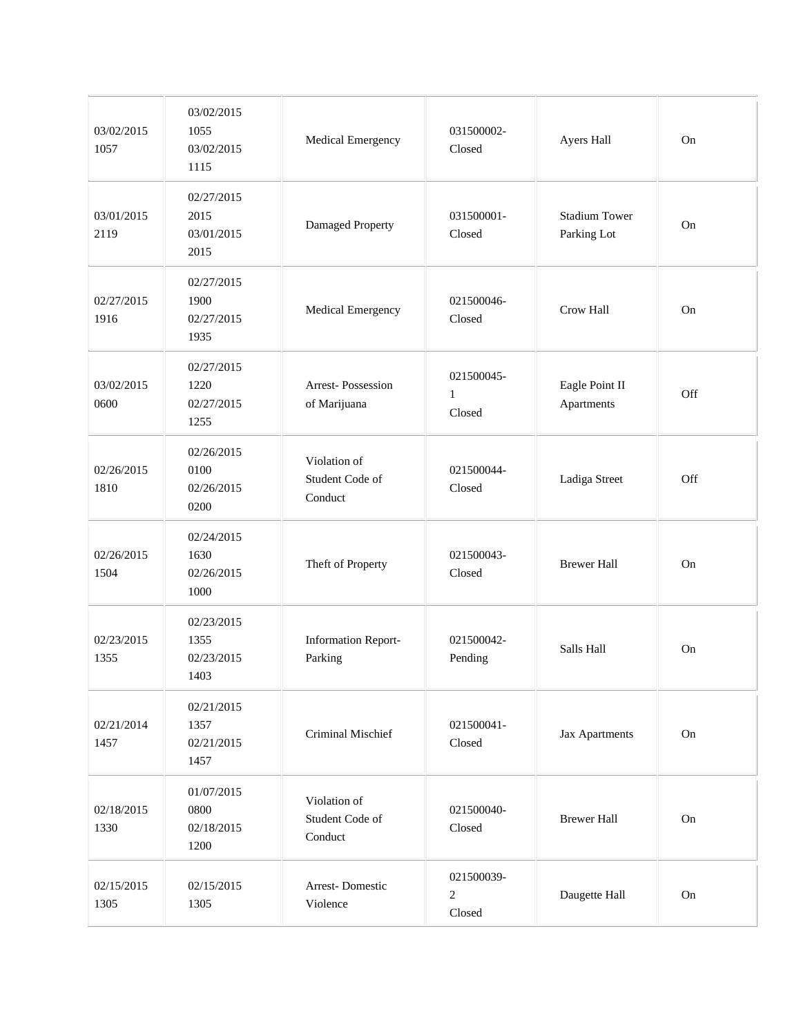| 03/02/2015<br>1057 | 03/02/2015<br>1055<br>03/02/2015<br>1115 | Medical Emergency                          | 031500002-<br>Closed                   | Ayers Hall                          | On  |
|--------------------|------------------------------------------|--------------------------------------------|----------------------------------------|-------------------------------------|-----|
| 03/01/2015<br>2119 | 02/27/2015<br>2015<br>03/01/2015<br>2015 | Damaged Property                           | 031500001-<br>Closed                   | <b>Stadium Tower</b><br>Parking Lot | On  |
| 02/27/2015<br>1916 | 02/27/2015<br>1900<br>02/27/2015<br>1935 | Medical Emergency                          | 021500046-<br>Closed                   | Crow Hall                           | On  |
| 03/02/2015<br>0600 | 02/27/2015<br>1220<br>02/27/2015<br>1255 | Arrest-Possession<br>of Marijuana          | 021500045-<br>$\mathbf{1}$<br>Closed   | Eagle Point II<br>Apartments        | Off |
| 02/26/2015<br>1810 | 02/26/2015<br>0100<br>02/26/2015<br>0200 | Violation of<br>Student Code of<br>Conduct | 021500044-<br>Closed                   | Ladiga Street                       | Off |
| 02/26/2015<br>1504 | 02/24/2015<br>1630<br>02/26/2015<br>1000 | Theft of Property                          | 021500043-<br>Closed                   | <b>Brewer Hall</b>                  | On  |
| 02/23/2015<br>1355 | 02/23/2015<br>1355<br>02/23/2015<br>1403 | <b>Information Report-</b><br>Parking      | 021500042-<br>Pending                  | Salls Hall                          | On  |
| 02/21/2014<br>1457 | 02/21/2015<br>1357<br>02/21/2015<br>1457 | Criminal Mischief                          | 021500041-<br>Closed                   | Jax Apartments                      | On  |
| 02/18/2015<br>1330 | 01/07/2015<br>0800<br>02/18/2015<br>1200 | Violation of<br>Student Code of<br>Conduct | 021500040-<br>Closed                   | <b>Brewer Hall</b>                  | On  |
| 02/15/2015<br>1305 | 02/15/2015<br>1305                       | Arrest-Domestic<br>Violence                | 021500039-<br>$\mathfrak{2}$<br>Closed | Daugette Hall                       | On  |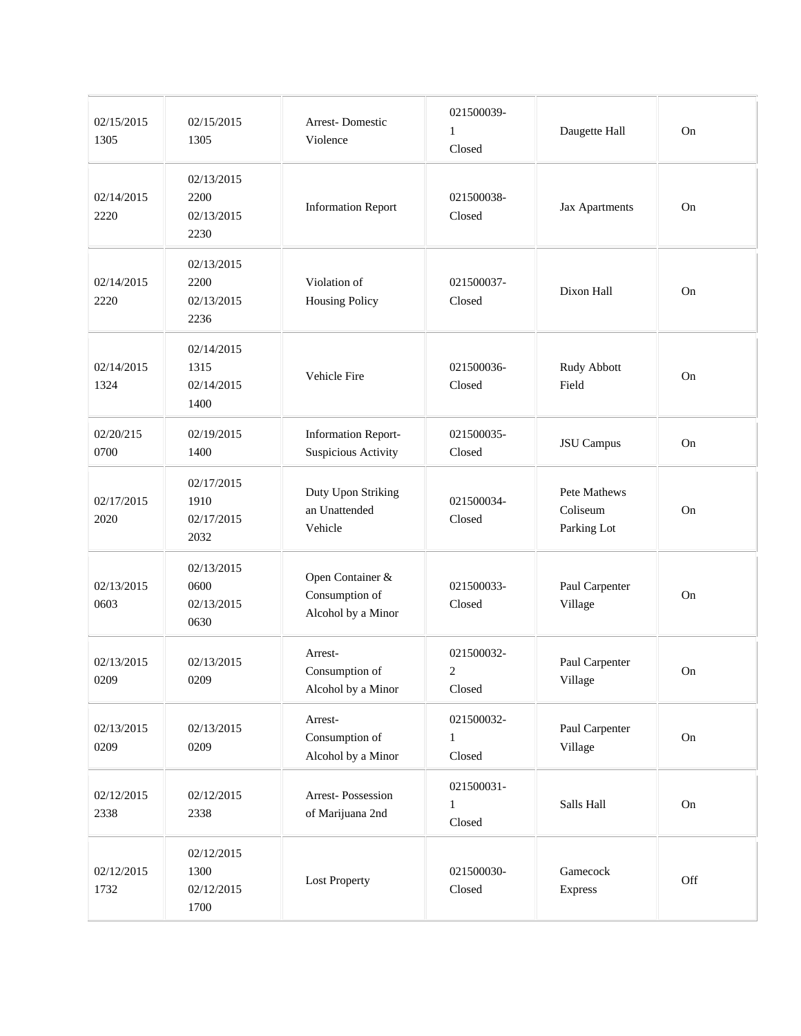| 02/15/2015<br>1305 | 02/15/2015<br>1305                       | <b>Arrest-Domestic</b><br>Violence                       | 021500039-<br>$\mathbf{1}$<br>Closed     | Daugette Hall                           | On  |
|--------------------|------------------------------------------|----------------------------------------------------------|------------------------------------------|-----------------------------------------|-----|
| 02/14/2015<br>2220 | 02/13/2015<br>2200<br>02/13/2015<br>2230 | <b>Information Report</b>                                | 021500038-<br>Closed                     | Jax Apartments                          | On  |
| 02/14/2015<br>2220 | 02/13/2015<br>2200<br>02/13/2015<br>2236 | Violation of<br><b>Housing Policy</b>                    | 021500037-<br>Closed                     | Dixon Hall                              | On  |
| 02/14/2015<br>1324 | 02/14/2015<br>1315<br>02/14/2015<br>1400 | Vehicle Fire                                             | 021500036-<br>Closed                     | Rudy Abbott<br>Field                    | On  |
| 02/20/215<br>0700  | 02/19/2015<br>1400                       | <b>Information Report-</b><br>Suspicious Activity        | 021500035-<br>Closed                     | <b>JSU</b> Campus                       | On  |
| 02/17/2015<br>2020 | 02/17/2015<br>1910<br>02/17/2015<br>2032 | Duty Upon Striking<br>an Unattended<br>Vehicle           | 021500034-<br>Closed                     | Pete Mathews<br>Coliseum<br>Parking Lot | On  |
| 02/13/2015<br>0603 | 02/13/2015<br>0600<br>02/13/2015<br>0630 | Open Container &<br>Consumption of<br>Alcohol by a Minor | 021500033-<br>Closed                     | Paul Carpenter<br>Village               | On  |
| 02/13/2015<br>0209 | 02/13/2015<br>0209                       | Arrest-<br>Consumption of<br>Alcohol by a Minor          | 021500032-<br>$\boldsymbol{2}$<br>Closed | Paul Carpenter<br>Village               | On  |
| 02/13/2015<br>0209 | 02/13/2015<br>0209                       | Arrest-<br>Consumption of<br>Alcohol by a Minor          | 021500032-<br>$\mathbf{1}$<br>Closed     | Paul Carpenter<br>Village               | On  |
| 02/12/2015<br>2338 | 02/12/2015<br>2338                       | Arrest-Possession<br>of Marijuana 2nd                    | 021500031-<br>1<br>Closed                | Salls Hall                              | On  |
| 02/12/2015<br>1732 | 02/12/2015<br>1300<br>02/12/2015<br>1700 | <b>Lost Property</b>                                     | 021500030-<br>Closed                     | Gamecock<br>Express                     | Off |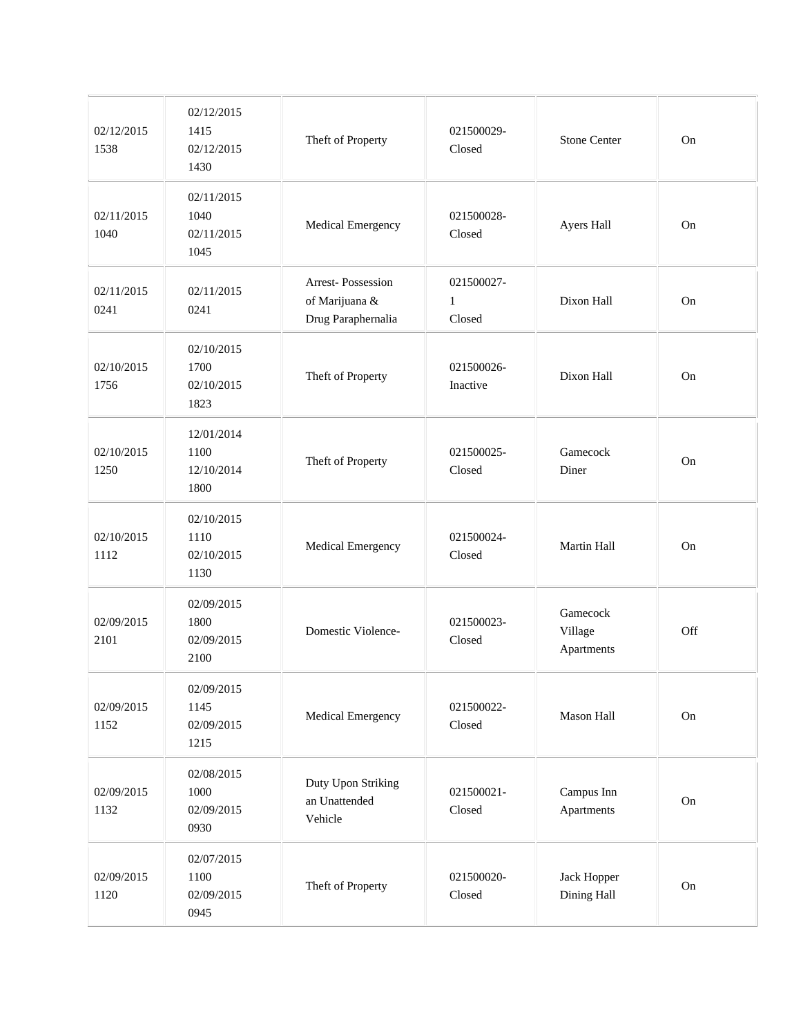| 02/12/2015<br>1538 | 02/12/2015<br>1415<br>02/12/2015<br>1430 | Theft of Property                                         | 021500029-<br>Closed                 | <b>Stone Center</b>               | On  |
|--------------------|------------------------------------------|-----------------------------------------------------------|--------------------------------------|-----------------------------------|-----|
| 02/11/2015<br>1040 | 02/11/2015<br>1040<br>02/11/2015<br>1045 | Medical Emergency                                         | 021500028-<br>Closed                 | Ayers Hall                        | On  |
| 02/11/2015<br>0241 | 02/11/2015<br>0241                       | Arrest-Possession<br>of Marijuana &<br>Drug Paraphernalia | 021500027-<br>$\mathbf{1}$<br>Closed | Dixon Hall                        | On  |
| 02/10/2015<br>1756 | 02/10/2015<br>1700<br>02/10/2015<br>1823 | Theft of Property                                         | 021500026-<br>Inactive               | Dixon Hall                        | On  |
| 02/10/2015<br>1250 | 12/01/2014<br>1100<br>12/10/2014<br>1800 | Theft of Property                                         | 021500025-<br>Closed                 | Gamecock<br>Diner                 | On  |
| 02/10/2015<br>1112 | 02/10/2015<br>1110<br>02/10/2015<br>1130 | Medical Emergency                                         | 021500024-<br>Closed                 | Martin Hall                       | On  |
| 02/09/2015<br>2101 | 02/09/2015<br>1800<br>02/09/2015<br>2100 | Domestic Violence-                                        | 021500023-<br>Closed                 | Gamecock<br>Village<br>Apartments | Off |
| 02/09/2015<br>1152 | 02/09/2015<br>1145<br>02/09/2015<br>1215 | Medical Emergency                                         | 021500022-<br>Closed                 | Mason Hall                        | On  |
| 02/09/2015<br>1132 | 02/08/2015<br>1000<br>02/09/2015<br>0930 | Duty Upon Striking<br>an Unattended<br>Vehicle            | 021500021-<br>Closed                 | Campus Inn<br>Apartments          | On  |
| 02/09/2015<br>1120 | 02/07/2015<br>1100<br>02/09/2015<br>0945 | Theft of Property                                         | 021500020-<br>Closed                 | Jack Hopper<br>Dining Hall        | On  |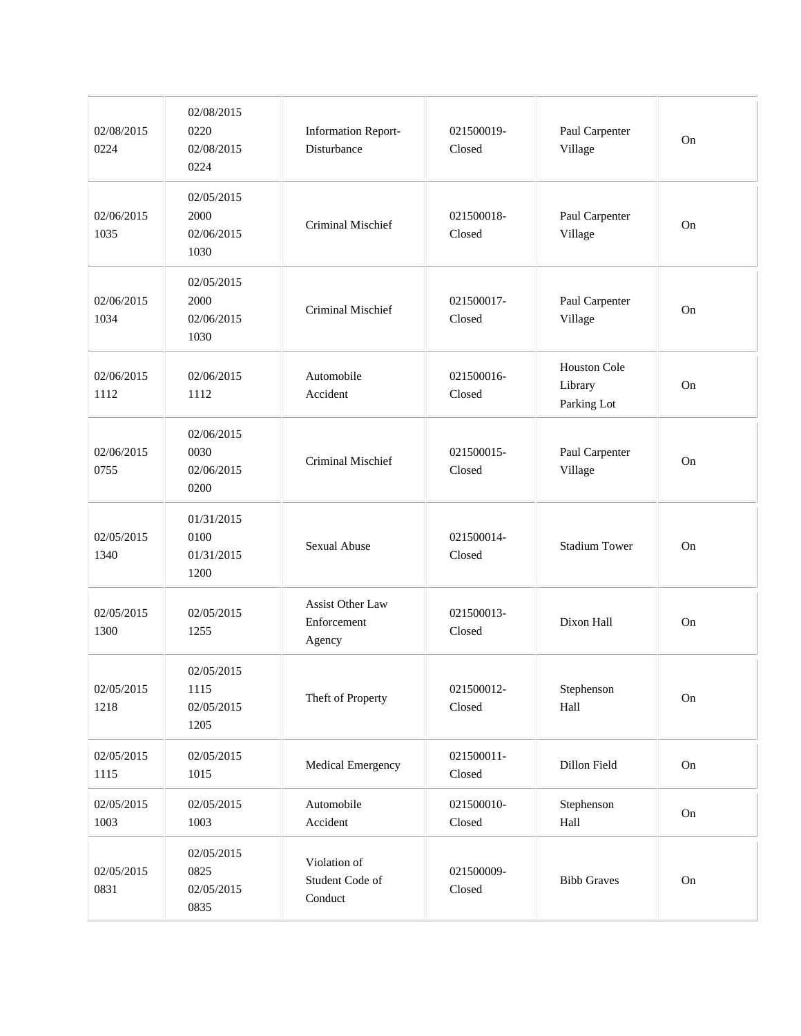| 02/08/2015<br>0224 | 02/08/2015<br>0220<br>02/08/2015<br>0224 | <b>Information Report-</b><br>Disturbance        | 021500019-<br>Closed | Paul Carpenter<br>Village              | On        |
|--------------------|------------------------------------------|--------------------------------------------------|----------------------|----------------------------------------|-----------|
| 02/06/2015<br>1035 | 02/05/2015<br>2000<br>02/06/2015<br>1030 | <b>Criminal Mischief</b>                         | 021500018-<br>Closed | Paul Carpenter<br>Village              | <b>On</b> |
| 02/06/2015<br>1034 | 02/05/2015<br>2000<br>02/06/2015<br>1030 | <b>Criminal Mischief</b>                         | 021500017-<br>Closed | Paul Carpenter<br>Village              | <b>On</b> |
| 02/06/2015<br>1112 | 02/06/2015<br>1112                       | Automobile<br>Accident                           | 021500016-<br>Closed | Houston Cole<br>Library<br>Parking Lot | On        |
| 02/06/2015<br>0755 | 02/06/2015<br>0030<br>02/06/2015<br>0200 | Criminal Mischief                                | 021500015-<br>Closed | Paul Carpenter<br>Village              | On        |
| 02/05/2015<br>1340 | 01/31/2015<br>0100<br>01/31/2015<br>1200 | <b>Sexual Abuse</b>                              | 021500014-<br>Closed | <b>Stadium Tower</b>                   | On        |
| 02/05/2015<br>1300 | 02/05/2015<br>1255                       | <b>Assist Other Law</b><br>Enforcement<br>Agency | 021500013-<br>Closed | Dixon Hall                             | On        |
| 02/05/2015<br>1218 | 02/05/2015<br>1115<br>02/05/2015<br>1205 | Theft of Property                                | 021500012-<br>Closed | Stephenson<br>Hall                     | $\rm On$  |
| 02/05/2015<br>1115 | 02/05/2015<br>1015                       | Medical Emergency                                | 021500011-<br>Closed | Dillon Field                           | On        |
| 02/05/2015<br>1003 | 02/05/2015<br>1003                       | Automobile<br>Accident                           | 021500010-<br>Closed | Stephenson<br>Hall                     | On        |
| 02/05/2015<br>0831 | 02/05/2015<br>0825<br>02/05/2015<br>0835 | Violation of<br>Student Code of<br>Conduct       | 021500009-<br>Closed | <b>Bibb Graves</b>                     | $\rm On$  |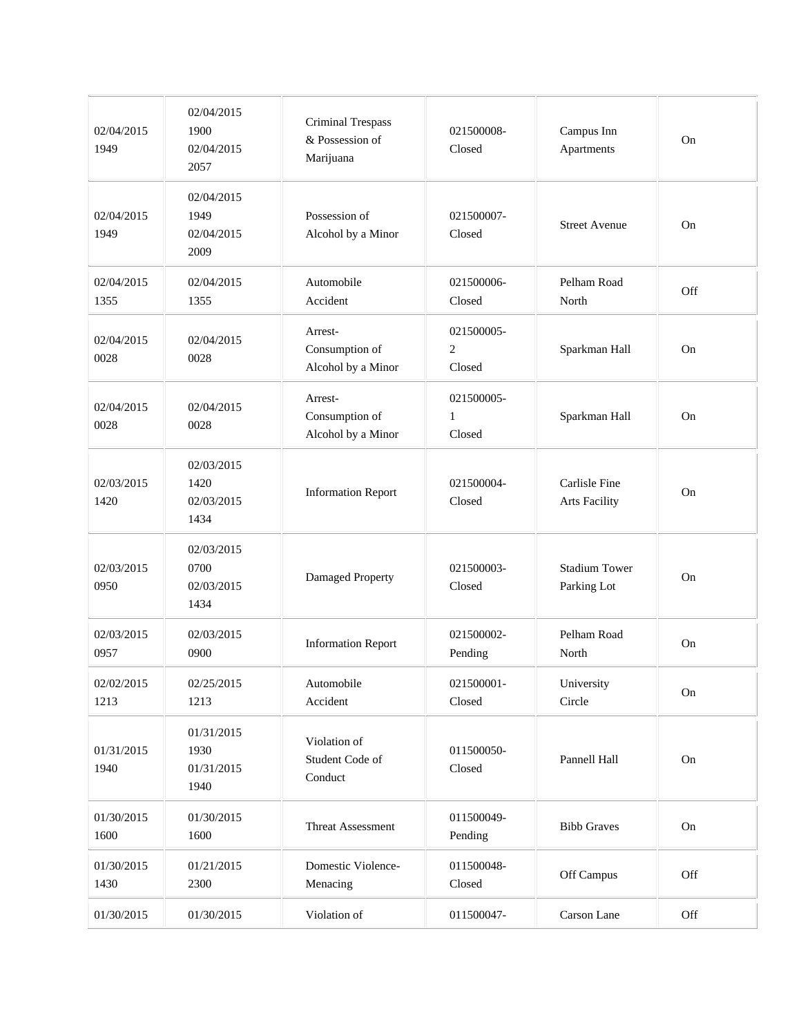| 02/04/2015<br>1949 | 02/04/2015<br>1900<br>02/04/2015<br>2057 | Criminal Trespass<br>& Possession of<br>Marijuana | 021500008-<br>Closed                   | Campus Inn<br>Apartments              | On  |
|--------------------|------------------------------------------|---------------------------------------------------|----------------------------------------|---------------------------------------|-----|
| 02/04/2015<br>1949 | 02/04/2015<br>1949<br>02/04/2015<br>2009 | Possession of<br>Alcohol by a Minor               | 021500007-<br>Closed                   | <b>Street Avenue</b>                  | On  |
| 02/04/2015<br>1355 | 02/04/2015<br>1355                       | Automobile<br>Accident                            | 021500006-<br>Closed                   | Pelham Road<br>North                  | Off |
| 02/04/2015<br>0028 | 02/04/2015<br>0028                       | Arrest-<br>Consumption of<br>Alcohol by a Minor   | 021500005-<br>$\mathfrak{2}$<br>Closed | Sparkman Hall                         | On  |
| 02/04/2015<br>0028 | 02/04/2015<br>0028                       | Arrest-<br>Consumption of<br>Alcohol by a Minor   | 021500005-<br>$\mathbf{1}$<br>Closed   | Sparkman Hall                         | On  |
| 02/03/2015<br>1420 | 02/03/2015<br>1420<br>02/03/2015<br>1434 | <b>Information Report</b>                         | 021500004-<br>Closed                   | Carlisle Fine<br><b>Arts Facility</b> | On  |
| 02/03/2015<br>0950 | 02/03/2015<br>0700<br>02/03/2015<br>1434 | Damaged Property                                  | 021500003-<br>Closed                   | <b>Stadium Tower</b><br>Parking Lot   | On  |
| 02/03/2015<br>0957 | 02/03/2015<br>0900                       | <b>Information Report</b>                         | 021500002-<br>Pending                  | Pelham Road<br>North                  | On  |
| 02/02/2015<br>1213 | 02/25/2015<br>1213                       | Automobile<br>Accident                            | 021500001-<br>Closed                   | University<br>Circle                  | On  |
| 01/31/2015<br>1940 | 01/31/2015<br>1930<br>01/31/2015<br>1940 | Violation of<br>Student Code of<br>Conduct        | 011500050-<br>Closed                   | Pannell Hall                          | On  |
| 01/30/2015<br>1600 | 01/30/2015<br>1600                       | Threat Assessment                                 | 011500049-<br>Pending                  | <b>Bibb Graves</b>                    | On  |
| 01/30/2015<br>1430 | 01/21/2015<br>2300                       | Domestic Violence-<br>Menacing                    | 011500048-<br>Closed                   | Off Campus                            | Off |
| 01/30/2015         | 01/30/2015                               | Violation of                                      | 011500047-                             | Carson Lane                           | Off |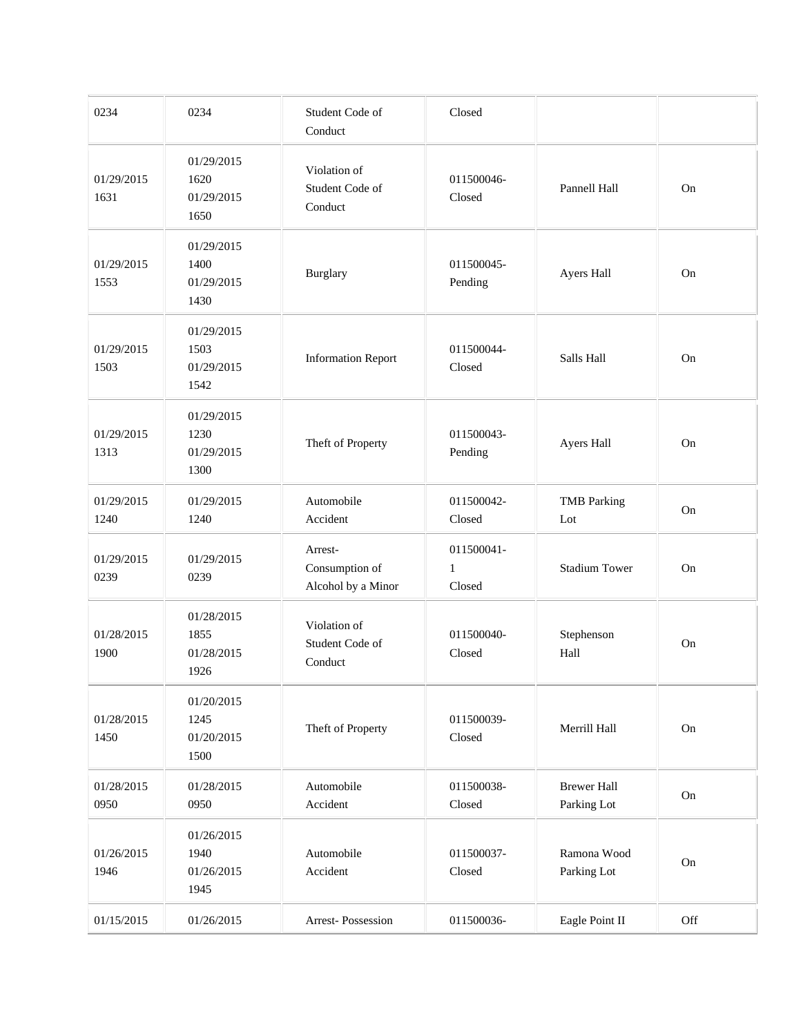| 0234               | 0234                                     | Student Code of<br>Conduct                      | Closed                               |                                   |          |
|--------------------|------------------------------------------|-------------------------------------------------|--------------------------------------|-----------------------------------|----------|
| 01/29/2015<br>1631 | 01/29/2015<br>1620<br>01/29/2015<br>1650 | Violation of<br>Student Code of<br>Conduct      | 011500046-<br>Closed                 | Pannell Hall                      | On       |
| 01/29/2015<br>1553 | 01/29/2015<br>1400<br>01/29/2015<br>1430 | Burglary                                        | 011500045-<br>Pending                | Ayers Hall                        | On       |
| 01/29/2015<br>1503 | 01/29/2015<br>1503<br>01/29/2015<br>1542 | <b>Information Report</b>                       | 011500044-<br>Closed                 | Salls Hall                        | On       |
| 01/29/2015<br>1313 | 01/29/2015<br>1230<br>01/29/2015<br>1300 | Theft of Property                               | 011500043-<br>Pending                | Ayers Hall                        | On       |
| 01/29/2015<br>1240 | 01/29/2015<br>1240                       | Automobile<br>Accident                          | 011500042-<br>Closed                 | <b>TMB</b> Parking<br>Lot         | On       |
| 01/29/2015<br>0239 | 01/29/2015<br>0239                       | Arrest-<br>Consumption of<br>Alcohol by a Minor | 011500041-<br>$\mathbf{1}$<br>Closed | <b>Stadium Tower</b>              | On       |
| 01/28/2015<br>1900 | 01/28/2015<br>1855<br>01/28/2015<br>1926 | Violation of<br>Student Code of<br>Conduct      | 011500040-<br>Closed                 | Stephenson<br>Hall                | On       |
| 01/28/2015<br>1450 | 01/20/2015<br>1245<br>01/20/2015<br>1500 | Theft of Property                               | 011500039-<br>Closed                 | Merrill Hall                      | On       |
| 01/28/2015<br>0950 | 01/28/2015<br>0950                       | Automobile<br>Accident                          | 011500038-<br>Closed                 | <b>Brewer Hall</b><br>Parking Lot | On       |
| 01/26/2015<br>1946 | 01/26/2015<br>1940<br>01/26/2015<br>1945 | Automobile<br>Accident                          | 011500037-<br>Closed                 | Ramona Wood<br>Parking Lot        | $\rm On$ |
| 01/15/2015         | 01/26/2015                               | Arrest-Possession                               | 011500036-                           | Eagle Point II                    | Off      |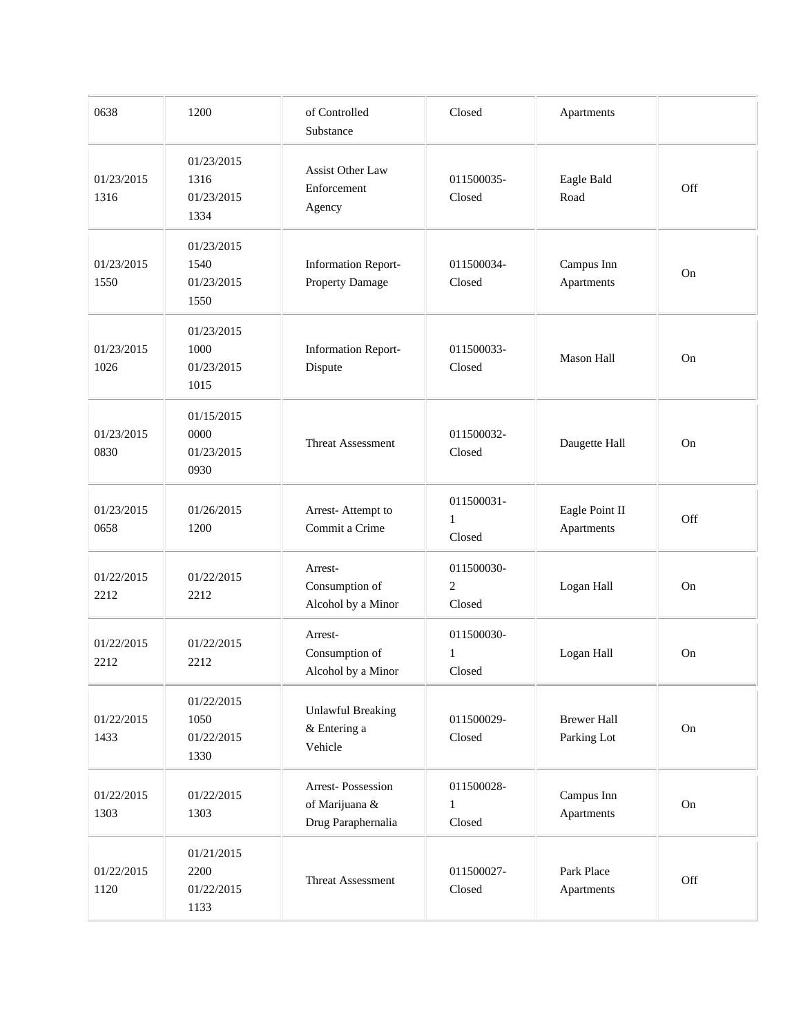| 0638               | 1200                                     | of Controlled<br>Substance                                | Closed                               | Apartments                        |     |
|--------------------|------------------------------------------|-----------------------------------------------------------|--------------------------------------|-----------------------------------|-----|
| 01/23/2015<br>1316 | 01/23/2015<br>1316<br>01/23/2015<br>1334 | Assist Other Law<br>Enforcement<br>Agency                 | 011500035-<br>Closed                 | Eagle Bald<br>Road                | Off |
| 01/23/2015<br>1550 | 01/23/2015<br>1540<br>01/23/2015<br>1550 | <b>Information Report-</b><br>Property Damage             | 011500034-<br>Closed                 | Campus Inn<br>Apartments          | On  |
| 01/23/2015<br>1026 | 01/23/2015<br>1000<br>01/23/2015<br>1015 | <b>Information Report-</b><br>Dispute                     | 011500033-<br>Closed                 | Mason Hall                        | On  |
| 01/23/2015<br>0830 | 01/15/2015<br>0000<br>01/23/2015<br>0930 | Threat Assessment                                         | 011500032-<br>Closed                 | Daugette Hall                     | On  |
| 01/23/2015<br>0658 | 01/26/2015<br>1200                       | Arrest-Attempt to<br>Commit a Crime                       | 011500031-<br>$\mathbf{1}$<br>Closed | Eagle Point II<br>Apartments      | Off |
| 01/22/2015<br>2212 | 01/22/2015<br>2212                       | Arrest-<br>Consumption of<br>Alcohol by a Minor           | 011500030-<br>$\mathbf{2}$<br>Closed | Logan Hall                        | On  |
| 01/22/2015<br>2212 | 01/22/2015<br>2212                       | Arrest-<br>Consumption of<br>Alcohol by a Minor           | 011500030-<br>1<br>Closed            | Logan Hall                        | On  |
| 01/22/2015<br>1433 | 01/22/2015<br>1050<br>01/22/2015<br>1330 | <b>Unlawful Breaking</b><br>& Entering a<br>Vehicle       | 011500029-<br>Closed                 | <b>Brewer Hall</b><br>Parking Lot | On  |
| 01/22/2015<br>1303 | 01/22/2015<br>1303                       | Arrest-Possession<br>of Marijuana &<br>Drug Paraphernalia | 011500028-<br>$\mathbf{1}$<br>Closed | Campus Inn<br>Apartments          | On  |
| 01/22/2015<br>1120 | 01/21/2015<br>2200<br>01/22/2015<br>1133 | Threat Assessment                                         | 011500027-<br>Closed                 | Park Place<br>Apartments          | Off |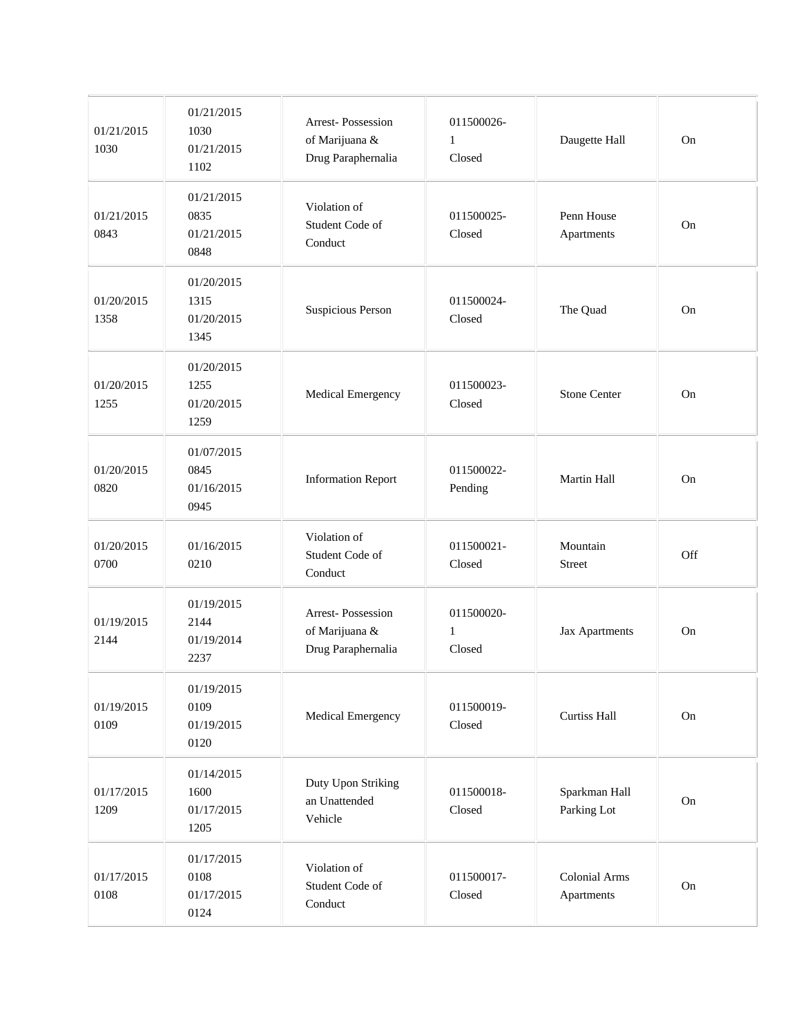| 01/21/2015<br>1030 | 01/21/2015<br>1030<br>01/21/2015<br>1102 | Arrest-Possession<br>of Marijuana &<br>Drug Paraphernalia | 011500026-<br>$\mathbf{1}$<br>Closed | Daugette Hall                      | On  |
|--------------------|------------------------------------------|-----------------------------------------------------------|--------------------------------------|------------------------------------|-----|
| 01/21/2015<br>0843 | 01/21/2015<br>0835<br>01/21/2015<br>0848 | Violation of<br>Student Code of<br>Conduct                | 011500025-<br>Closed                 | Penn House<br>Apartments           | On  |
| 01/20/2015<br>1358 | 01/20/2015<br>1315<br>01/20/2015<br>1345 | Suspicious Person                                         | 011500024-<br>Closed                 | The Quad                           | On  |
| 01/20/2015<br>1255 | 01/20/2015<br>1255<br>01/20/2015<br>1259 | Medical Emergency                                         | 011500023-<br>Closed                 | <b>Stone Center</b>                | On  |
| 01/20/2015<br>0820 | 01/07/2015<br>0845<br>01/16/2015<br>0945 | <b>Information Report</b>                                 | 011500022-<br>Pending                | Martin Hall                        | On  |
| 01/20/2015<br>0700 | 01/16/2015<br>0210                       | Violation of<br>Student Code of<br>Conduct                | 011500021-<br>Closed                 | Mountain<br><b>Street</b>          | Off |
| 01/19/2015<br>2144 | 01/19/2015<br>2144<br>01/19/2014<br>2237 | Arrest-Possession<br>of Marijuana &<br>Drug Paraphernalia | 011500020-<br>$\mathbf{1}$<br>Closed | Jax Apartments                     | On  |
| 01/19/2015<br>0109 | 01/19/2015<br>0109<br>01/19/2015<br>0120 | Medical Emergency                                         | 011500019-<br>Closed                 | Curtiss Hall                       | On  |
| 01/17/2015<br>1209 | 01/14/2015<br>1600<br>01/17/2015<br>1205 | Duty Upon Striking<br>an Unattended<br>Vehicle            | 011500018-<br>Closed                 | Sparkman Hall<br>Parking Lot       | On  |
| 01/17/2015<br>0108 | 01/17/2015<br>0108<br>01/17/2015<br>0124 | Violation of<br>Student Code of<br>Conduct                | 011500017-<br>Closed                 | <b>Colonial Arms</b><br>Apartments | On  |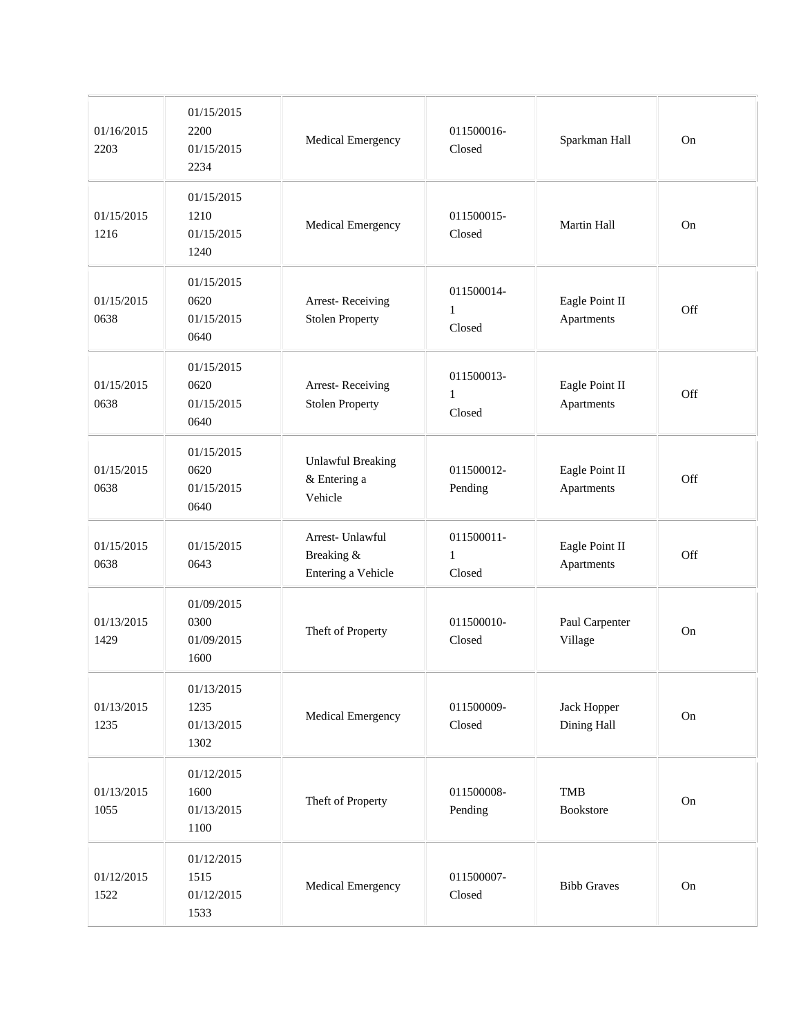| 01/16/2015<br>2203 | 01/15/2015<br>2200<br>01/15/2015<br>2234 | Medical Emergency                                    | 011500016-<br>Closed                 | Sparkman Hall                | On         |
|--------------------|------------------------------------------|------------------------------------------------------|--------------------------------------|------------------------------|------------|
| 01/15/2015<br>1216 | 01/15/2015<br>1210<br>01/15/2015<br>1240 | Medical Emergency                                    | 011500015-<br>Closed                 | Martin Hall                  | On         |
| 01/15/2015<br>0638 | 01/15/2015<br>0620<br>01/15/2015<br>0640 | Arrest-Receiving<br><b>Stolen Property</b>           | 011500014-<br>$\mathbf{1}$<br>Closed | Eagle Point II<br>Apartments | Off        |
| 01/15/2015<br>0638 | 01/15/2015<br>0620<br>01/15/2015<br>0640 | Arrest-Receiving<br><b>Stolen Property</b>           | 011500013-<br>$\mathbf{1}$<br>Closed | Eagle Point II<br>Apartments | Off        |
| 01/15/2015<br>0638 | 01/15/2015<br>0620<br>01/15/2015<br>0640 | <b>Unlawful Breaking</b><br>& Entering a<br>Vehicle  | 011500012-<br>Pending                | Eagle Point II<br>Apartments | Off        |
| 01/15/2015<br>0638 | 01/15/2015<br>0643                       | Arrest- Unlawful<br>Breaking &<br>Entering a Vehicle | 011500011-<br>$\mathbf{1}$<br>Closed | Eagle Point II<br>Apartments | Off        |
| 01/13/2015<br>1429 | 01/09/2015<br>0300<br>01/09/2015<br>1600 | Theft of Property                                    | 011500010-<br>Closed                 | Paul Carpenter<br>Village    | On         |
| 01/13/2015<br>1235 | 01/13/2015<br>1235<br>01/13/2015<br>1302 | Medical Emergency                                    | 011500009-<br>Closed                 | Jack Hopper<br>Dining Hall   | ${\rm On}$ |
| 01/13/2015<br>1055 | 01/12/2015<br>1600<br>01/13/2015<br>1100 | Theft of Property                                    | 011500008-<br>Pending                | <b>TMB</b><br>Bookstore      | On         |
| 01/12/2015<br>1522 | 01/12/2015<br>1515<br>01/12/2015<br>1533 | Medical Emergency                                    | 011500007-<br>Closed                 | <b>Bibb Graves</b>           | ${\rm On}$ |